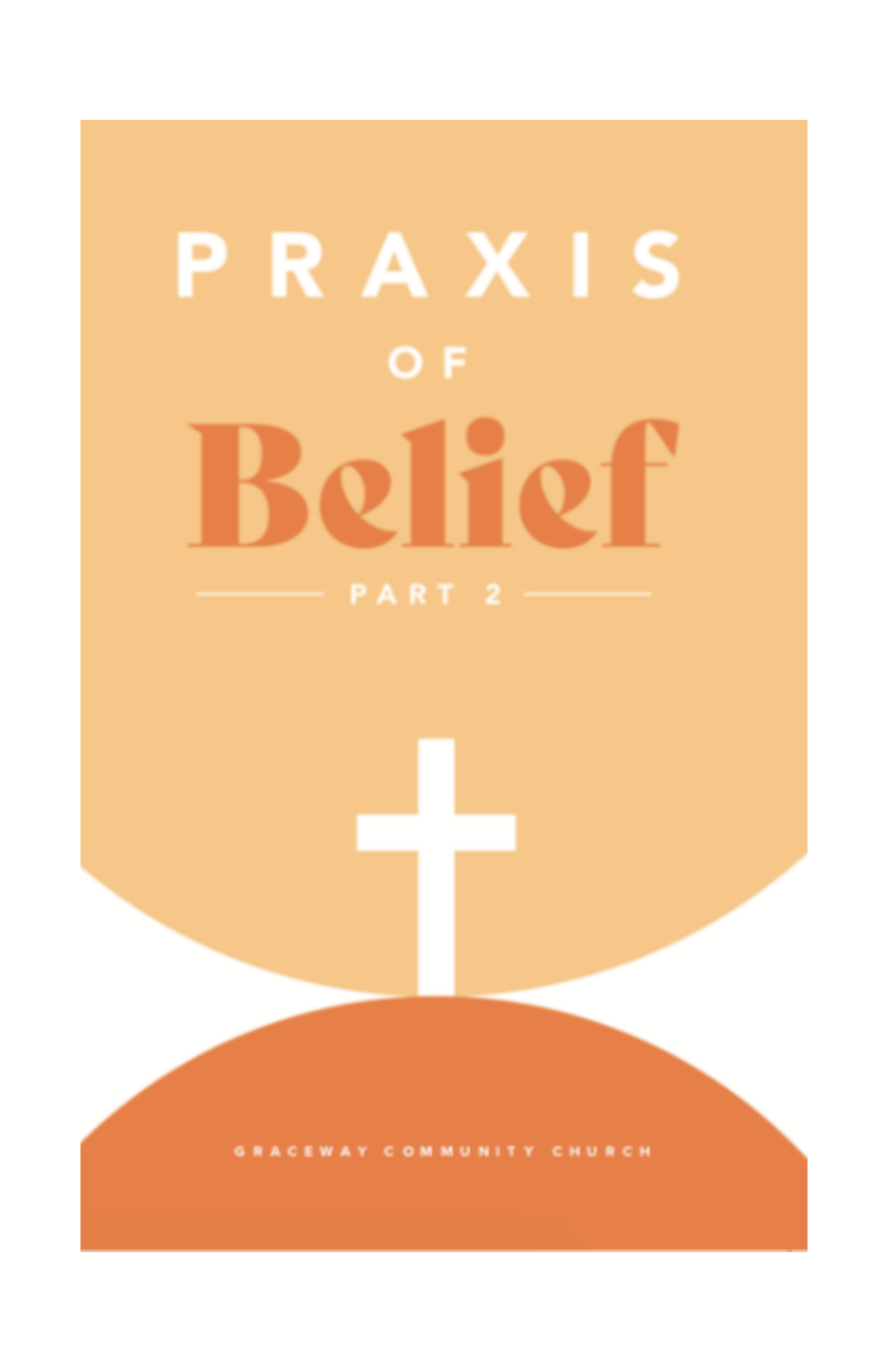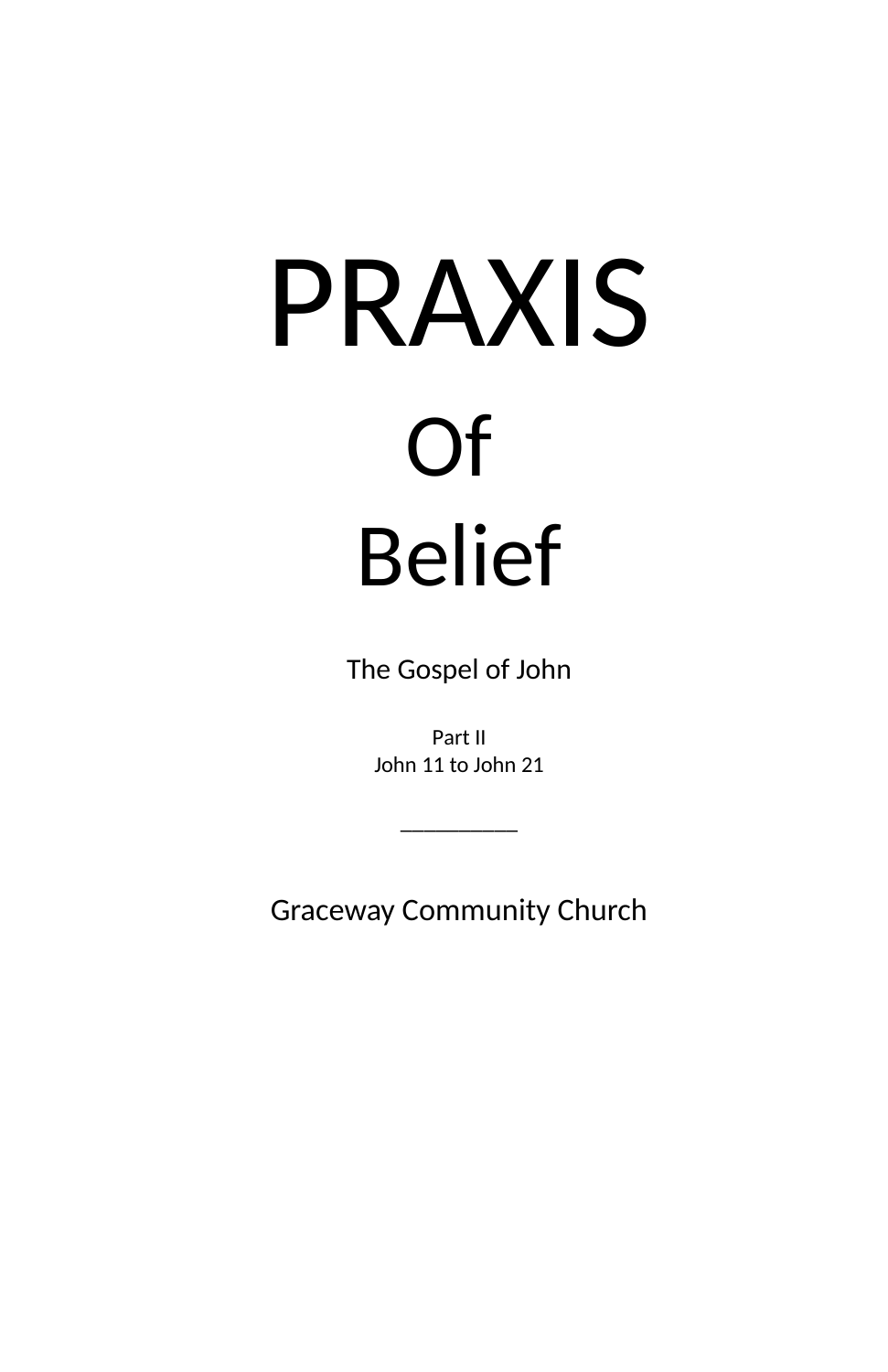# PRAXIS Of Belief

The Gospel of John

Part II John 11 to John 21

 $\overline{\phantom{a}}$  , where  $\overline{\phantom{a}}$ 

Graceway Community Church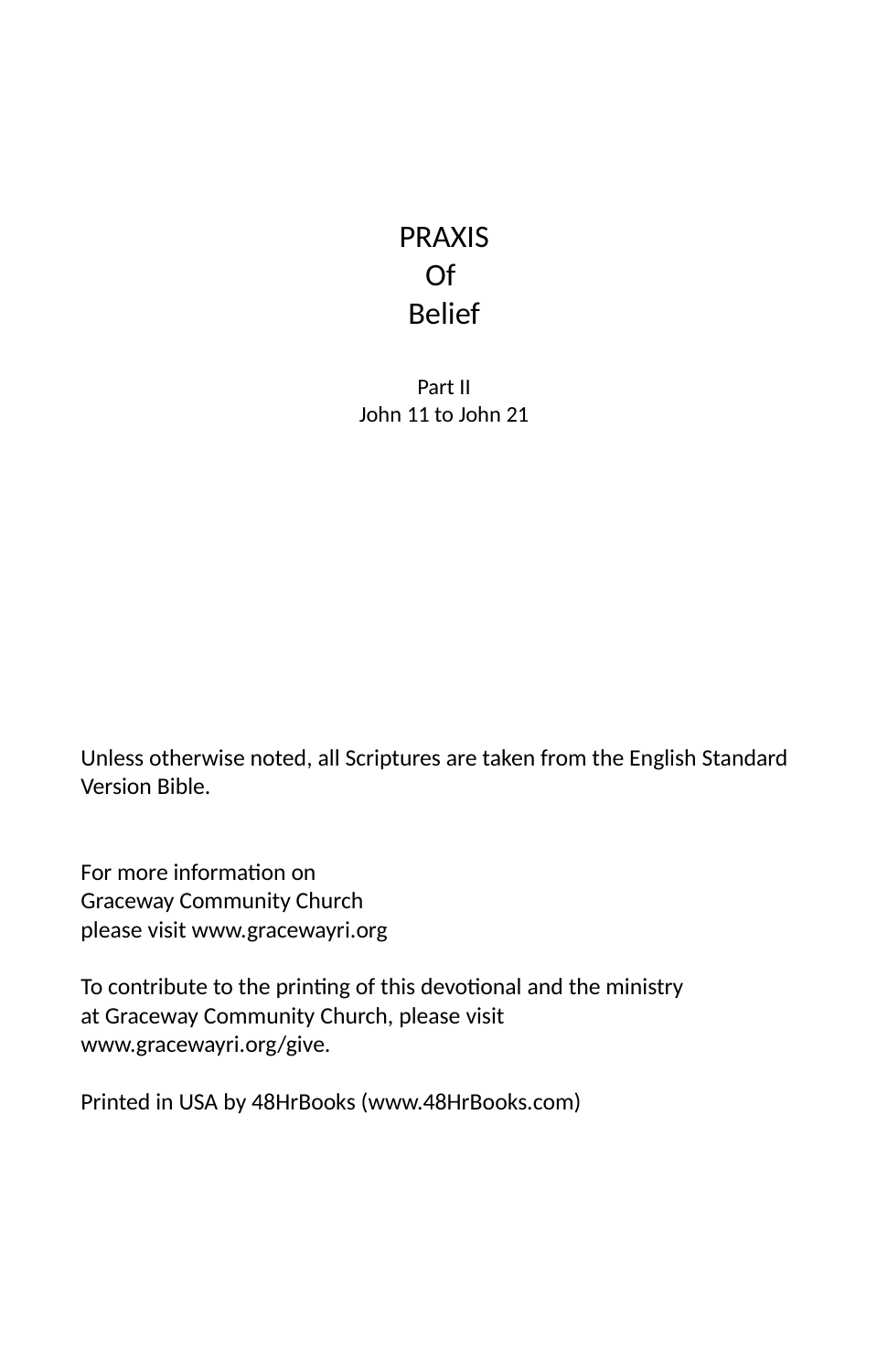# PRAXIS Of Belief

Part II John 11 to John 21

Unless otherwise noted, all Scriptures are taken from the English Standard Version Bible.

For more information on Graceway Community Church please visit www.gracewayri.org

To contribute to the printing of this devotional and the ministry at Graceway Community Church, please visit www.gracewayri.org/give.

Printed in USA by 48HrBooks (www.48HrBooks.com)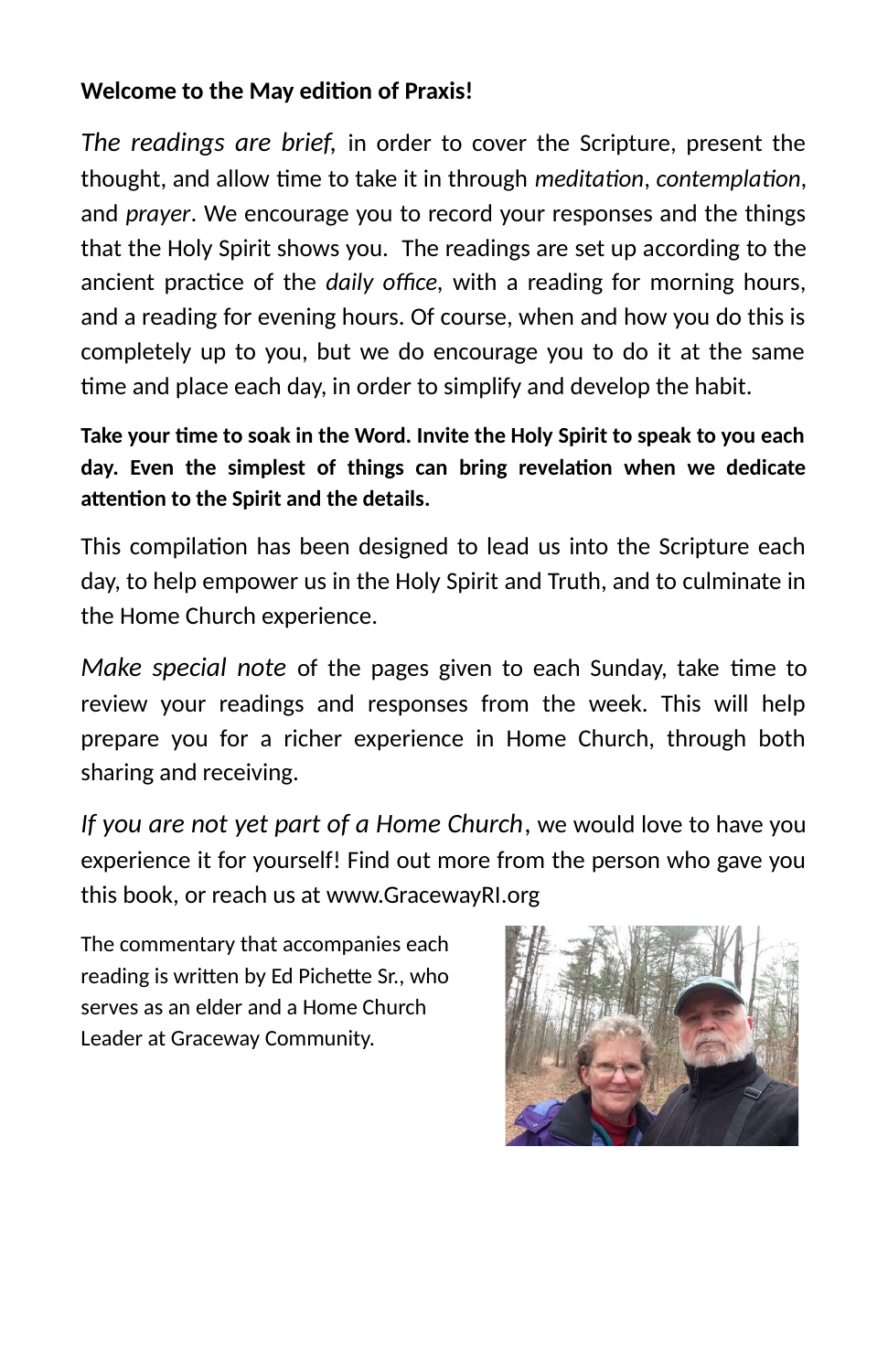## **Welcome to the May edition of Praxis!**

*The readings are brief,* in order to cover the Scripture, present the thought, and allow time to take it in through *meditation*, *contemplation*, and *prayer*. We encourage you to record your responses and the things that the Holy Spirit shows you. The readings are set up according to the ancient practice of the *daily office*, with a reading for morning hours, and a reading for evening hours. Of course, when and how you do this is completely up to you, but we do encourage you to do it at the same time and place each day, in order to simplify and develop the habit.

**Take your me to soak in the Word. Invite the Holy Spirit to speak to you each** day. Even the simplest of things can bring revelation when we dedicate attention to the Spirit and the details.

This compilation has been designed to lead us into the Scripture each day, to help empower us in the Holy Spirit and Truth, and to culminate in the Home Church experience.

*Make special note* of the pages given to each Sunday, take time to review your readings and responses from the week. This will help prepare you for a richer experience in Home Church, through both sharing and receiving.

*If you are not yet part of a Home Church*, we would love to have you experience it for yourself! Find out more from the person who gave you this book, or reach us at www.GracewayRI.org

The commentary that accompanies each reading is written by Ed Pichette Sr., who serves as an elder and a Home Church Leader at Graceway Community.

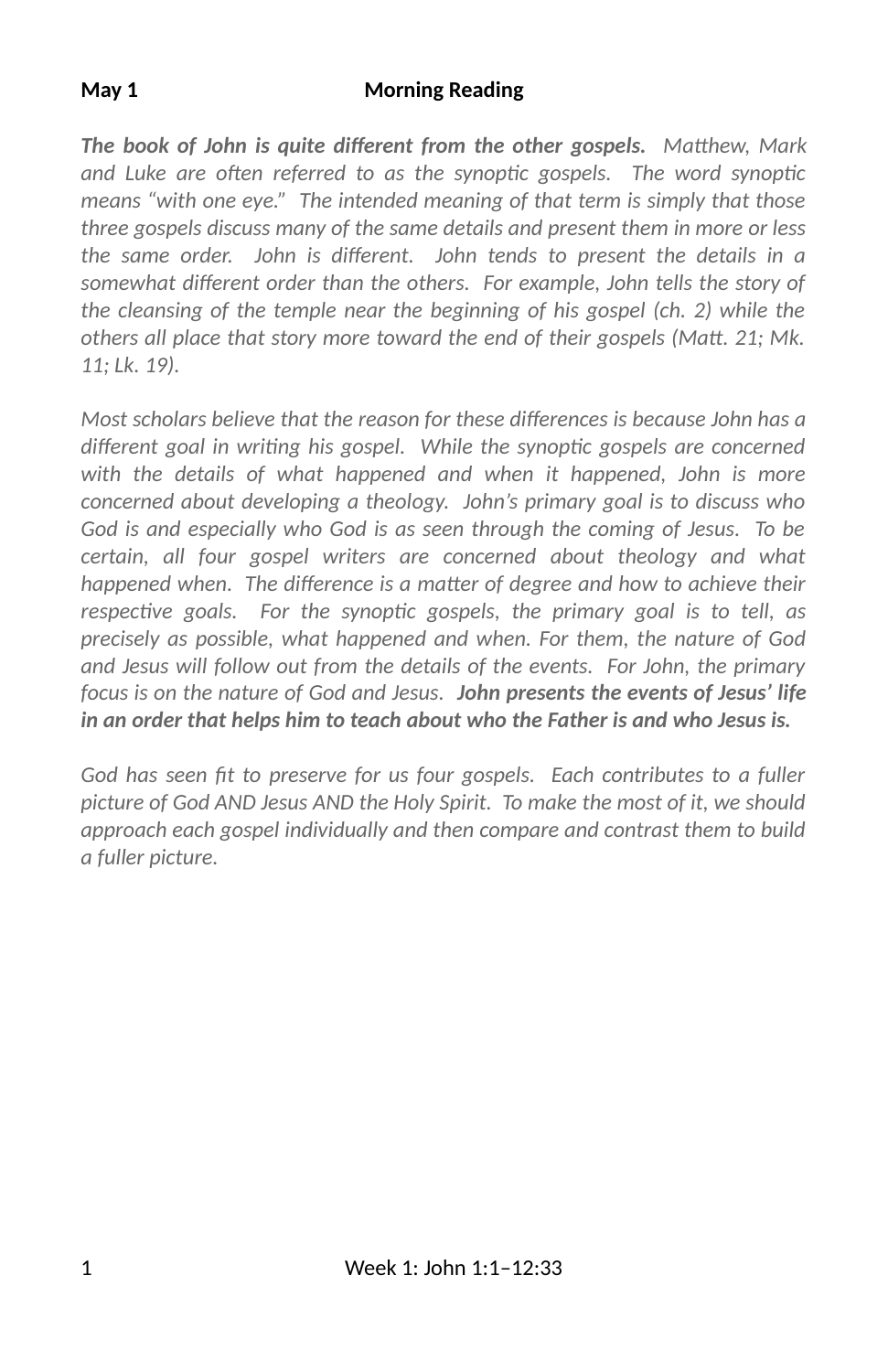#### **May 1 Morning Reading**

*The book of John is quite different from the other gospels.* Matthew, Mark and Luke are often referred to as the synoptic gospels. The word synoptic *means "with one eye." The intended meaning of that term is simply that those three gospels discuss many of the same details and present them in more or less* the same order. John is different. John tends to present the details in a somewhat different order than the others. For example, John tells the story of *the cleansing of the temple near the beginning of his gospel (ch. 2) while the others all place that story more toward the end of their gospels (Matt. 21; Mk. 11; Lk. 19).*

*Most scholars believe that the reason for these differences is because John has a different goal in writing his gospel. While the synoptic gospels are concerned with the details of what happened and when it happened, John is more concerned about developing a theology. John's primary goal is to discuss who God is and especially who God is as seen through the coming of Jesus. To be certain, all four gospel writers are concerned about theology and what happened when. The difference is a matter of degree and how to achieve their* respective goals. For the synoptic gospels, the primary goal is to tell, as *precisely as possible, what happened and when. For them, the nature of God and Jesus will follow out from the details of the events. For John, the primary focus is on the nature of God and Jesus. John presents the events of Jesus' life in an order that helps him to teach about who the Father is and who Jesus is.*

*God has seen fit to preserve for us four gospels. Each contributes to a fuller picture of God AND Jesus AND the Holy Spirit. To make the most of it, we should approach each gospel individually and then compare and contrast them to build a fuller picture.*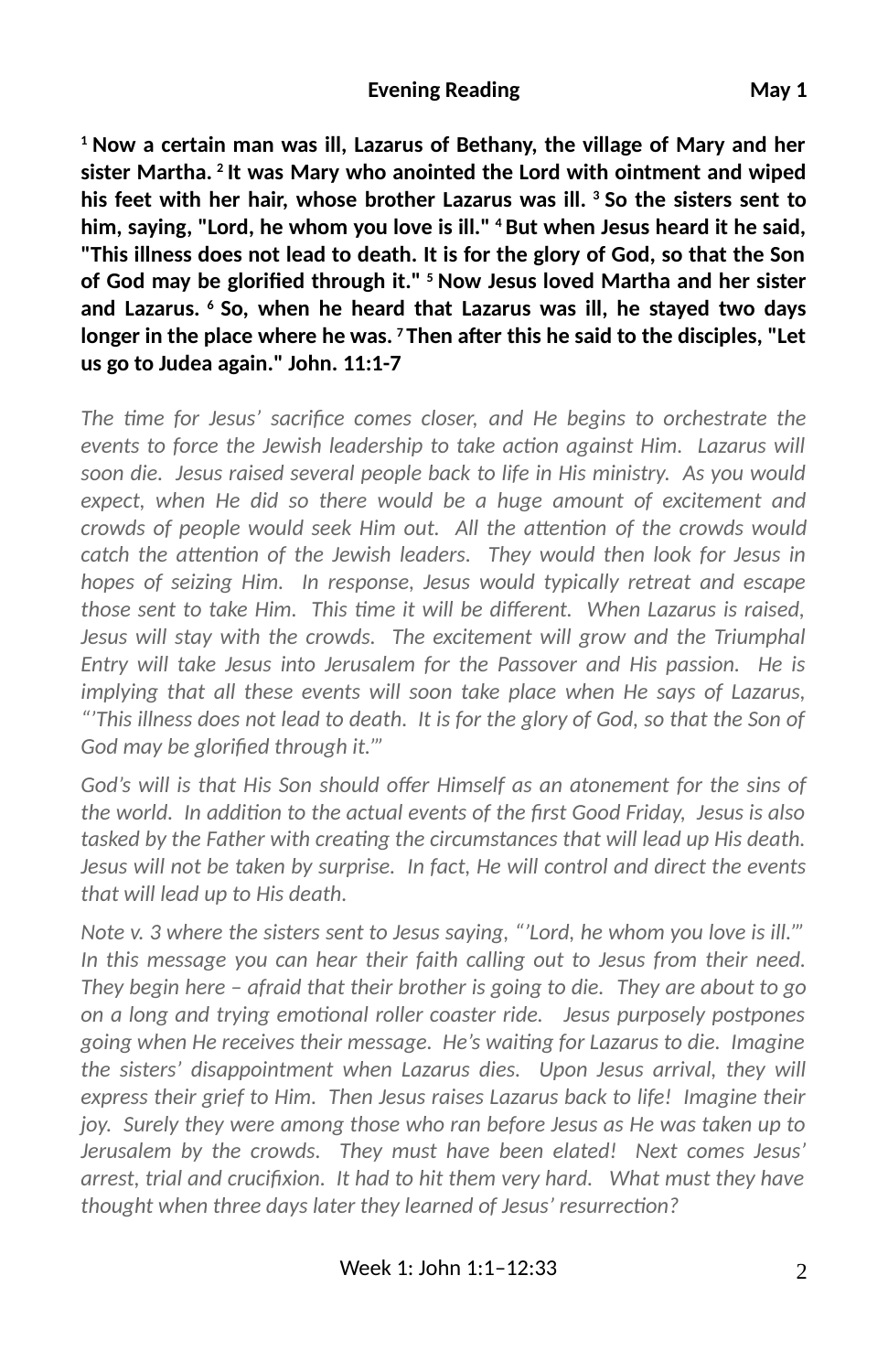#### **Evening Reading**  May 1

**1 Now a certain man was ill, Lazarus of Bethany, the village of Mary and her sister Martha. 2 It was Mary who anointed the Lord with ointment and wiped his feet with her hair, whose brother Lazarus was ill. 3 So the sisters sent to him, saying, "Lord, he whom you love is ill." 4 But when Jesus heard it he said, "This illness does not lead to death. It is for the glory of God, so that the Son** of God may be glorified through it." <sup>5</sup> Now Jesus loved Martha and her sister **and Lazarus. 6 So, when he heard that Lazarus was ill, he stayed two days** longer in the place where he was. <sup>7</sup> Then after this he said to the disciples, "Let **us go to Judea again." John. 11:1-7**

The time for Jesus' sacrifice comes closer, and He begins to orchestrate the *events to force the Jewish leadership to take action against Him. Lazarus will soon die. Jesus raised several people back to life in His ministry. As you would expect, when He did so there would be a huge amount of excitement and crowds of people would seek Him out. All the attention of the crowds would* catch the attention of the Jewish leaders. They would then look for Jesus in *hopes of seizing Him. In response, Jesus would typically retreat and escape those sent to take Him. This time it will be different. When Lazarus is raised, Jesus will stay with the crowds. The excitement will grow and the Triumphal Entry will take Jesus into Jerusalem for the Passover and His passion. He is implying that all these events will soon take place when He says of Lazarus, "'This illness does not lead to death. It is for the glory of God, so that the Son of* God may be glorified through it."'

God's will is that His Son should offer Himself as an atonement for the sins of *the world. In addion to the actual events of the 3rst Good Friday, Jesus is also tasked by the Father with creating the circumstances that will lead up His death. Jesus will not be taken by surprise. In fact, He will control and direct the events that will lead up to His death.*

*Note v. 3 where the sisters sent to Jesus saying, "'Lord, he whom you love is ill.'" In this message you can hear their faith calling out to Jesus from their need. They begin here – afraid that their brother is going to die. They are about to go on a long and trying emoonal roller coaster ride. Jesus purposely postpones going when He receives their message. He's waing for Lazarus to die. Imagine the sisters' disappointment when Lazarus dies. Upon Jesus arrival, they will express their grief to Him. Then Jesus raises Lazarus back to life! Imagine their joy. Surely they were among those who ran before Jesus as He was taken up to Jerusalem by the crowds. They must have been elated! Next comes Jesus'* arrest, trial and crucifixion. It had to hit them very hard. What must they have *thought when three days later they learned of Jesus' resurrection?*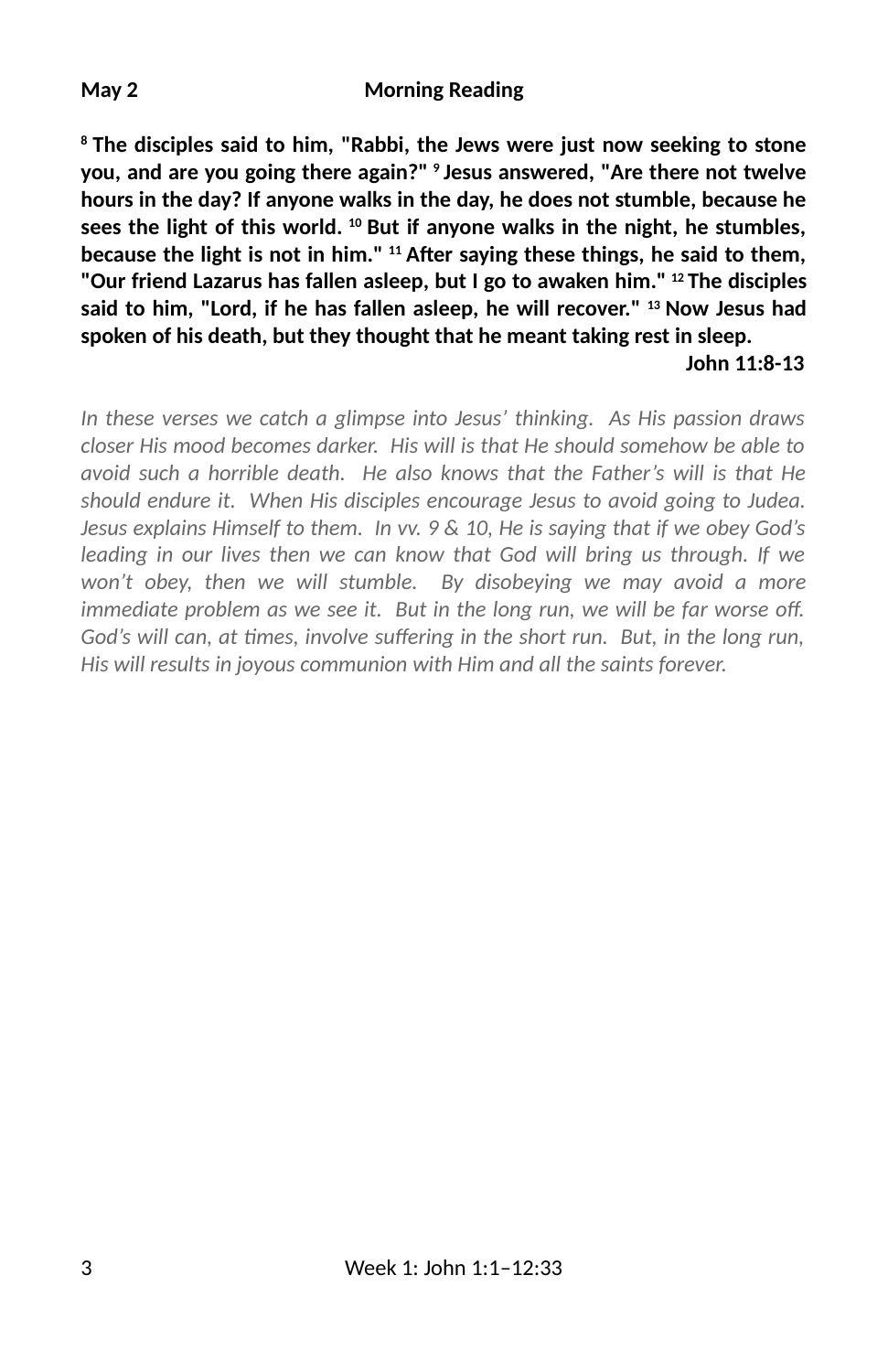#### **May 2 Morning Reading**

**8 The disciples said to him, "Rabbi, the Jews were just now seeking to stone you, and are you going there again?" 9 Jesus answered, "Are there not twelve hours in the day? If anyone walks in the day, he does not stumble, because he sees the light of this world. 10 But if anyone walks in the night, he stumbles, because the light is not in him." 11 A6er saying these things, he said to them, "Our friend Lazarus has fallen asleep, but I go to awaken him." 12 The disciples said to him, "Lord, if he has fallen asleep, he will recover." 13 Now Jesus had spoken of his death, but they thought that he meant taking rest in sleep. John 11:8-13**

*In these verses we catch a glimpse into Jesus' thinking. As His passion draws closer His mood becomes darker. His will is that He should somehow be able to avoid such a horrible death. He also knows that the Father's will is that He should endure it. When His disciples encourage Jesus to avoid going to Judea. Jesus explains Himself to them. In vv. 9 & 10, He is saying that if we obey God's leading in our lives then we can know that God will bring us through. If we won't obey, then we will stumble. By disobeying we may avoid a more immediate problem as we see it. But in the long run, we will be far worse off. God's will can, at times, involve suffering in the short run. But, in the long run, His will results in joyous communion with Him and all the saints forever.*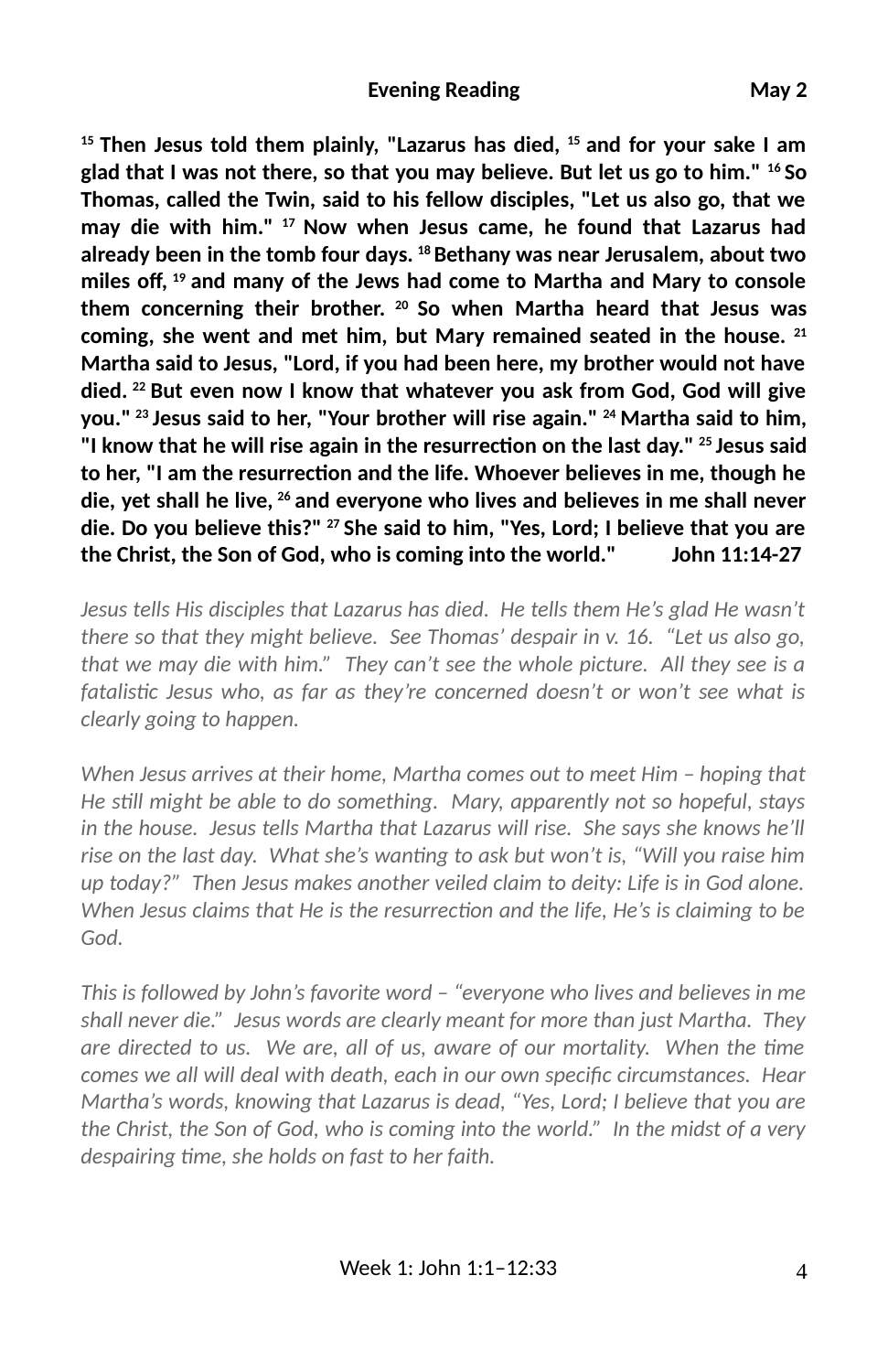**15 Then Jesus told them plainly, "Lazarus has died, 15 and for your sake I am glad that I was not there, so that you may believe. But let us go to him." 16 So Thomas, called the Twin, said to his fellow disciples, "Let us also go, that we may die with him." 17 Now when Jesus came, he found that Lazarus had already been in the tomb four days. 18 Bethany was near Jerusalem, about two** miles off, <sup>19</sup> and many of the Jews had come to Martha and Mary to console **them concerning their brother. 20 So when Martha heard that Jesus was coming, she went and met him, but Mary remained seated in the house. 21 Martha said to Jesus, "Lord, if you had been here, my brother would not have died. 22 But even now I know that whatever you ask from God, God will give you." 23 Jesus said to her, "Your brother will rise again." 24 Martha said to him,** "I know that he will rise again in the resurrection on the last day." <sup>25</sup> Jesus said to her, "I am the resurrection and the life. Whoever believes in me, though he **die, yet shall he live, 26 and everyone who lives and believes in me shall never die. Do you believe this?" 27 She said to him, "Yes, Lord; I believe that you are the Christ, the Son of God, who is coming into the world." John 11:14-27**

*Jesus tells His disciples that Lazarus has died. He tells them He's glad He wasn't there so that they might believe. See Thomas' despair in v. 16. "Let us also go, that we may die with him." They can't see the whole picture. All they see is a fatalisc Jesus who, as far as they're concerned doesn't or won't see what is clearly going to happen.* 

*When Jesus arrives at their home, Martha comes out to meet Him – hoping that He sll might be able to do something. Mary, apparently not so hopeful, stays in the house. Jesus tells Martha that Lazarus will rise. She says she knows he'll* rise on the last day. What she's wanting to ask but won't is, "Will you raise him *up today?" Then Jesus makes another veiled claim to deity: Life is in God alone. When Jesus claims that He is the resurrection and the life, He's is claiming to be God.* 

*This is followed by John's favorite word – "everyone who lives and believes in me shall never die." Jesus words are clearly meant for more than just Martha. They are directed to us. We are, all of us, aware of our mortality. When the time comes we all will deal with death, each in our own speci3c circumstances. Hear Martha's words, knowing that Lazarus is dead, "Yes, Lord; I believe that you are the Christ, the Son of God, who is coming into the world." In the midst of a very* despairing time, she holds on fast to her faith.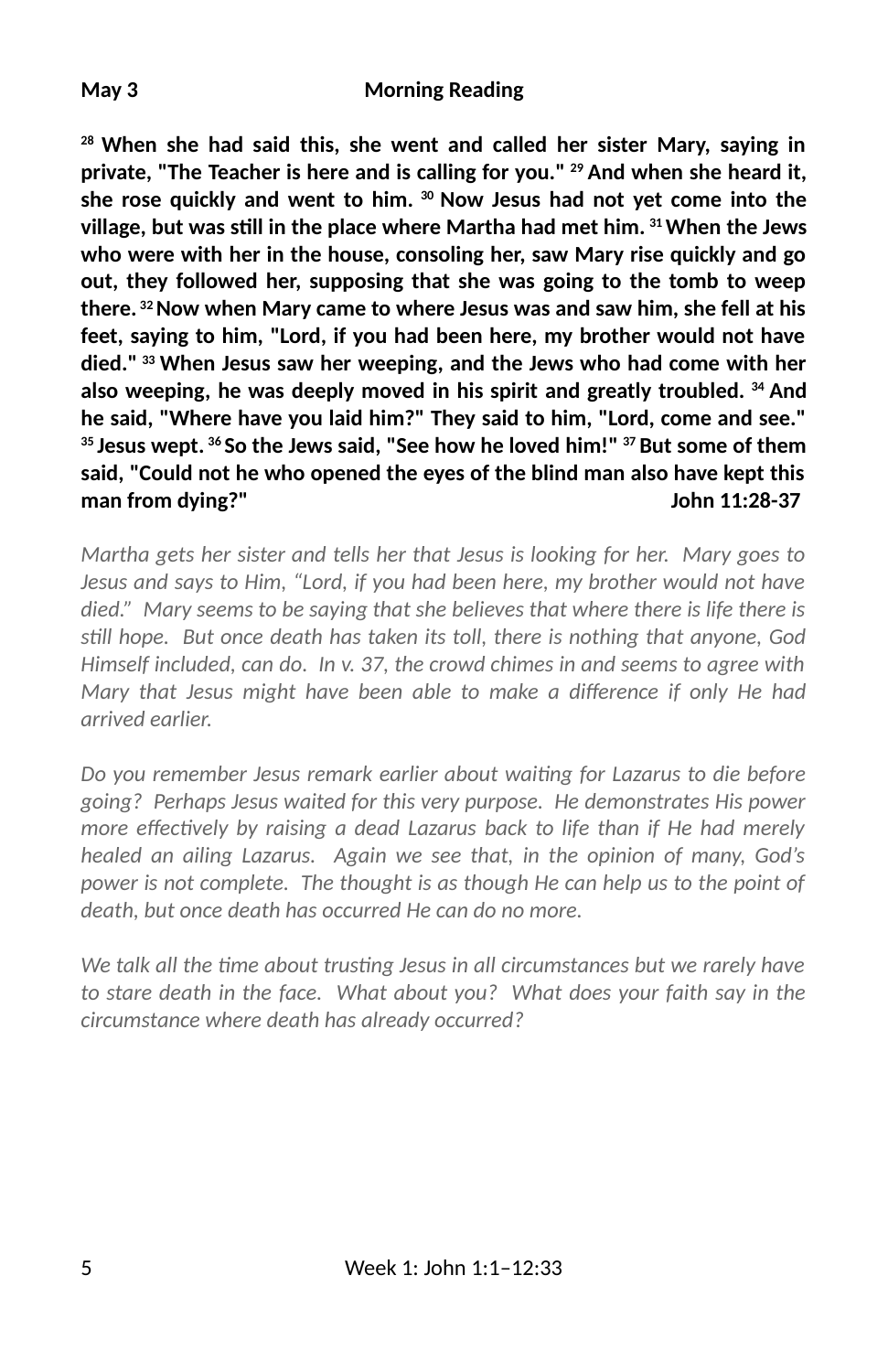#### **May 3 Morning Reading**

**28 When she had said this, she went and called her sister Mary, saying in private, "The Teacher is here and is calling for you." 29 And when she heard it, she rose quickly and went to him. 30 Now Jesus had not yet come into the village, but was sll in the place where Martha had met him. 31 When the Jews who were with her in the house, consoling her, saw Mary rise quickly and go out, they followed her, supposing that she was going to the tomb to weep there. 32 Now when Mary came to where Jesus was and saw him, she fell at his feet, saying to him, "Lord, if you had been here, my brother would not have died." 33 When Jesus saw her weeping, and the Jews who had come with her also weeping, he was deeply moved in his spirit and greatly troubled. 34 And he said, "Where have you laid him?" They said to him, "Lord, come and see." 35 Jesus wept. 36 So the Jews said, "See how he loved him!" 37 But some of them said, "Could not he who opened the eyes of the blind man also have kept this man from dying?" John 11:28-37**

*Martha gets her sister and tells her that Jesus is looking for her. Mary goes to Jesus and says to Him, "Lord, if you had been here, my brother would not have died." Mary seems to be saying that she believes that where there is life there is sll hope. But once death has taken its toll, there is nothing that anyone, God Himself included, can do. In v. 37, the crowd chimes in and seems to agree with Mary that Jesus might have been able to make a difference if only He had arrived earlier.* 

*Do you remember Jesus remark earlier about waing for Lazarus to die before going? Perhaps Jesus waited for this very purpose. He demonstrates His power more effectively by raising a dead Lazarus back to life than if He had merely healed an ailing Lazarus. Again we see that, in the opinion of many, God's power is not complete. The thought is as though He can help us to the point of death, but once death has occurred He can do no more.* 

*We talk all the time about trusting Jesus in all circumstances but we rarely have to stare death in the face. What about you? What does your faith say in the circumstance where death has already occurred?*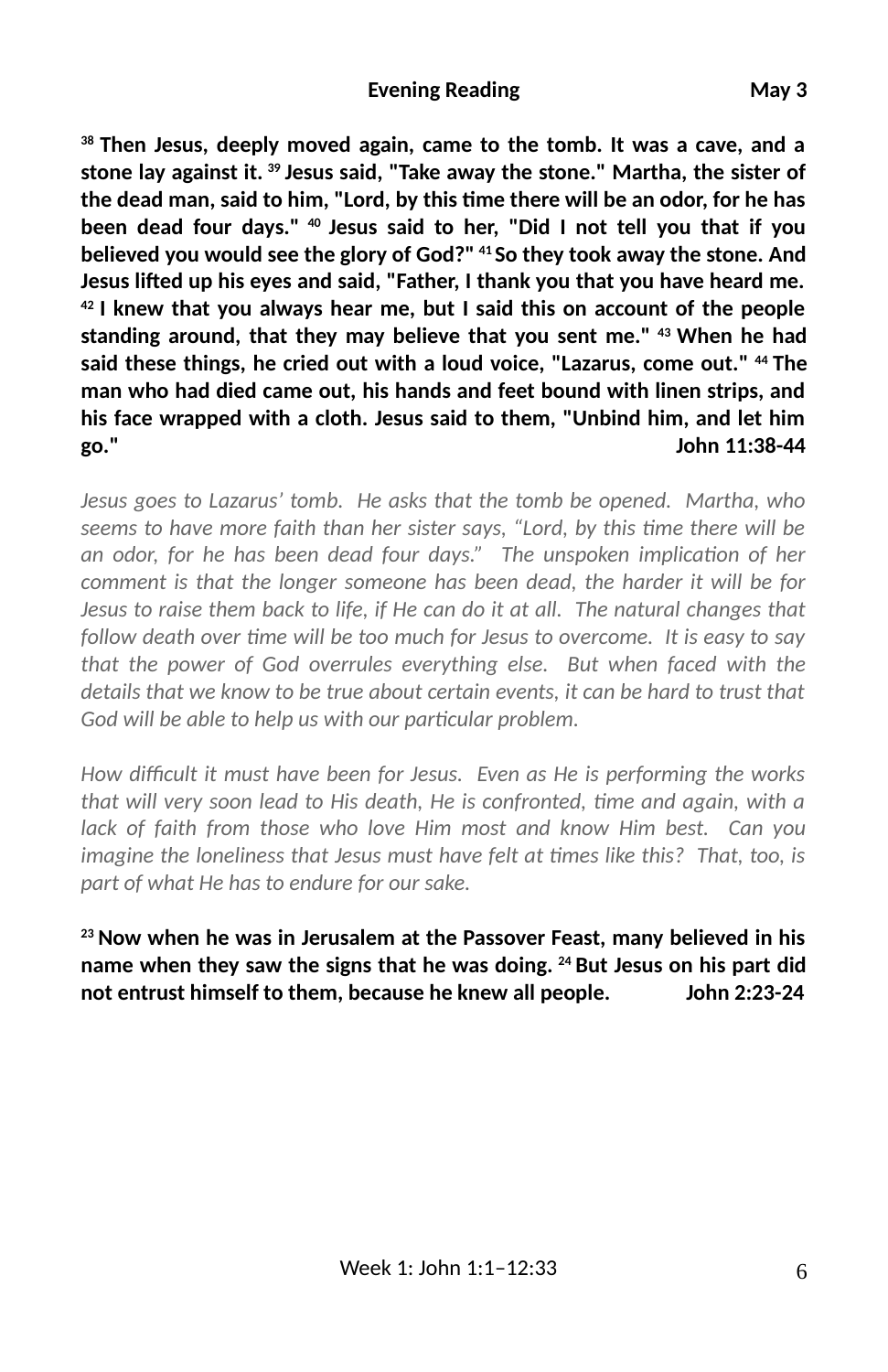#### **Evening Reading**  May 3

**38 Then Jesus, deeply moved again, came to the tomb. It was a cave, and a stone lay against it. 39 Jesus said, "Take away the stone." Martha, the sister of** the dead man, said to him, "Lord, by this time there will be an odor, for he has **been dead four days." 40 Jesus said to her, "Did I not tell you that if you believed you would see the glory of God?" 41 So they took away the stone. And** Jesus lifted up his eyes and said, "Father, I thank you that you have heard me. **42 I knew that you always hear me, but I said this on account of the people standing around, that they may believe that you sent me." 43 When he had said these things, he cried out with a loud voice, "Lazarus, come out." 44 The man who had died came out, his hands and feet bound with linen strips, and his face wrapped with a cloth. Jesus said to them, "Unbind him, and let him go." John 11:38-44**

*Jesus goes to Lazarus' tomb. He asks that the tomb be opened. Martha, who* seems to have more faith than her sister says, "Lord, by this time there will be an odor, for he has been dead four days." The unspoken implication of her *comment is that the longer someone has been dead, the harder it will be for Jesus to raise them back to life, if He can do it at all. The natural changes that* follow death over time will be too much for Jesus to overcome. It is easy to say *that the power of God overrules everything else. But when faced with the details that we know to be true about certain events, it can be hard to trust that* God will be able to help us with our particular problem.

How difficult it must have been for Jesus. Even as He is performing the works *that will very soon lead to His death, He is confronted, time and again, with a lack of faith from those who love Him most and know Him best. Can you imagine the loneliness that Jesus must have felt at times like this? That, too, is part of what He has to endure for our sake.*

**23 Now when he was in Jerusalem at the Passover Feast, many believed in his name when they saw the signs that he was doing. 24 But Jesus on his part did not entrust himself to them, because he knew all people. John 2:23-24**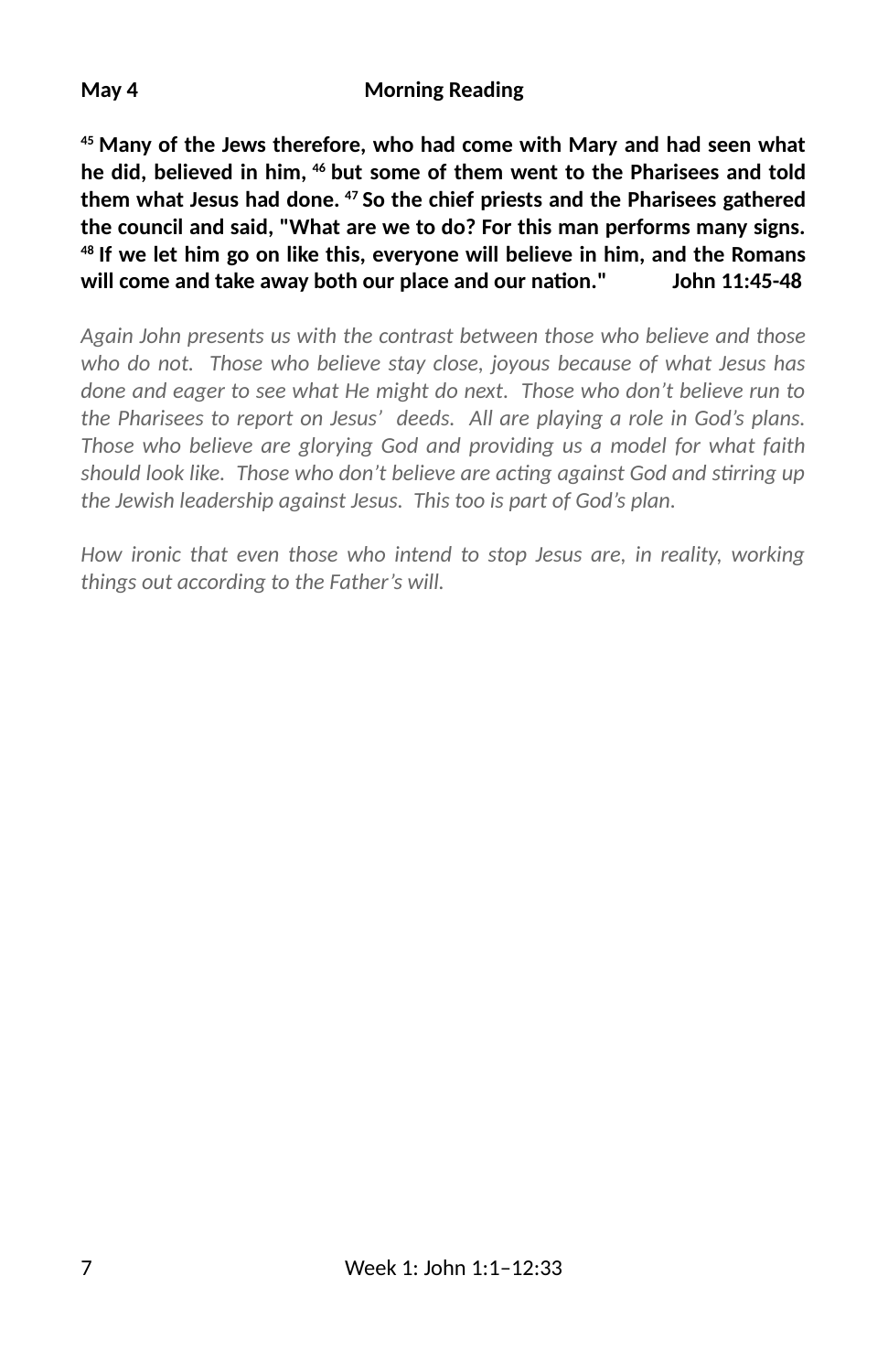#### **May 4 Morning Reading**

**45 Many of the Jews therefore, who had come with Mary and had seen what he did, believed in him, 46 but some of them went to the Pharisees and told them what Jesus had done. 47 So the chief priests and the Pharisees gathered the council and said, "What are we to do? For this man performs many signs. 48 If we let him go on like this, everyone will believe in him, and the Romans** will come and take away both our place and our nation." John 11:45-48

*Again John presents us with the contrast between those who believe and those who do not. Those who believe stay close, joyous because of what Jesus has done and eager to see what He might do next. Those who don't believe run to the Pharisees to report on Jesus' deeds. All are playing a role in God's plans. Those who believe are glorying God and providing us a model for what faith should look like. Those who don't believe are acting against God and stirring up the Jewish leadership against Jesus. This too is part of God's plan.* 

*How ironic that even those who intend to stop Jesus are, in reality, working things out according to the Father's will.*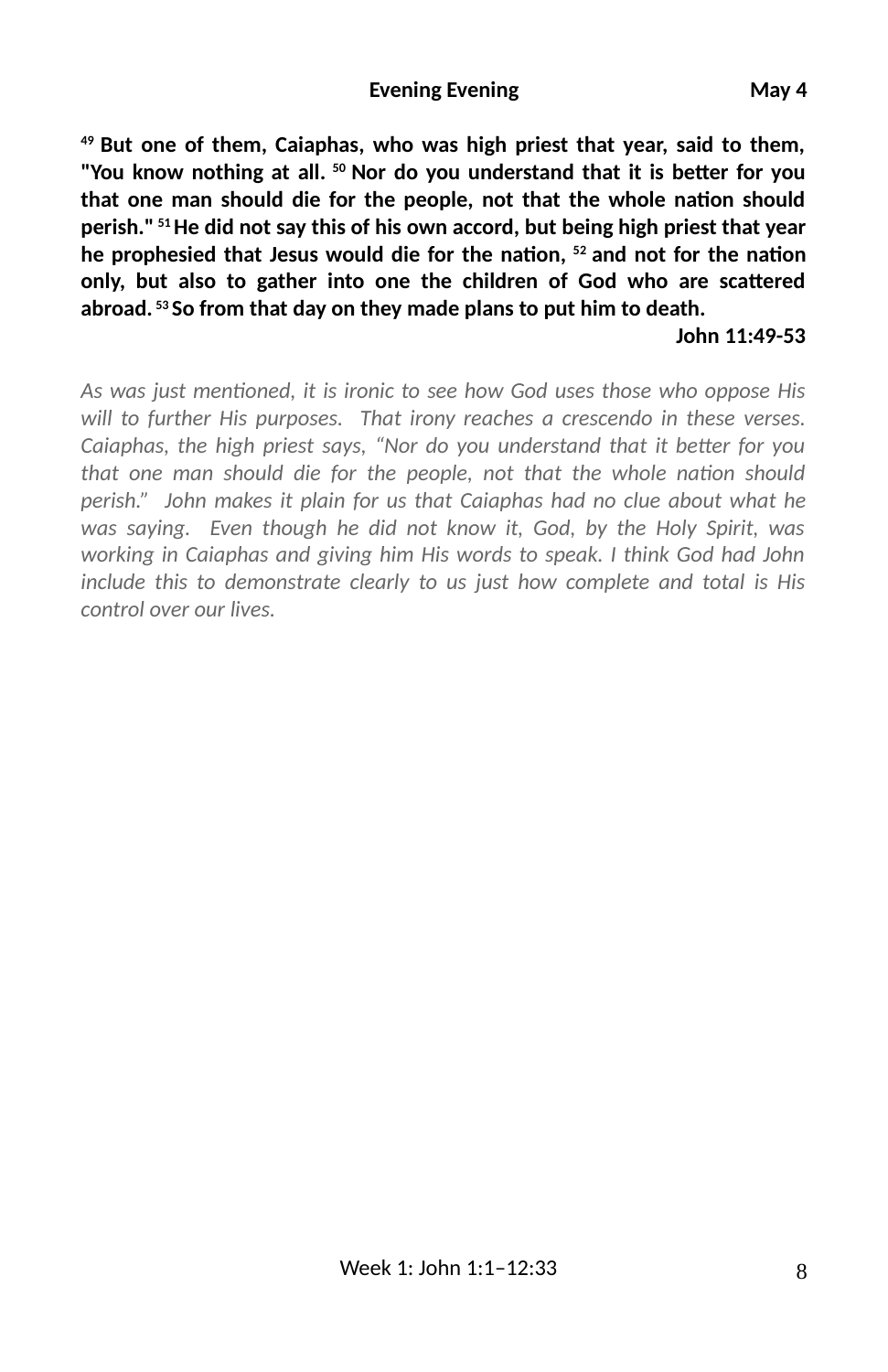#### **Evening Evening 1988 May 4**

**49 But one of them, Caiaphas, who was high priest that year, said to them,** "You know nothing at all.<sup>50</sup> Nor do you understand that it is better for you that one man should die for the people, not that the whole nation should **perish." 51 He did not say this of his own accord, but being high priest that year** he prophesied that Jesus would die for the nation, <sup>52</sup> and not for the nation only, but also to gather into one the children of God who are scattered **abroad. 53 So from that day on they made plans to put him to death.** 

#### **John 11:49-53**

As was just mentioned, it is ironic to see how God uses those who oppose His *will to further His purposes. That irony reaches a crescendo in these verses. Caiaphas, the high priest says, "Nor do you understand that it better for you that one man should die for the people, not that the whole nation should perish." John makes it plain for us that Caiaphas had no clue about what he was saying. Even though he did not know it, God, by the Holy Spirit, was working in Caiaphas and giving him His words to speak. I think God had John include this to demonstrate clearly to us just how complete and total is His control over our lives.*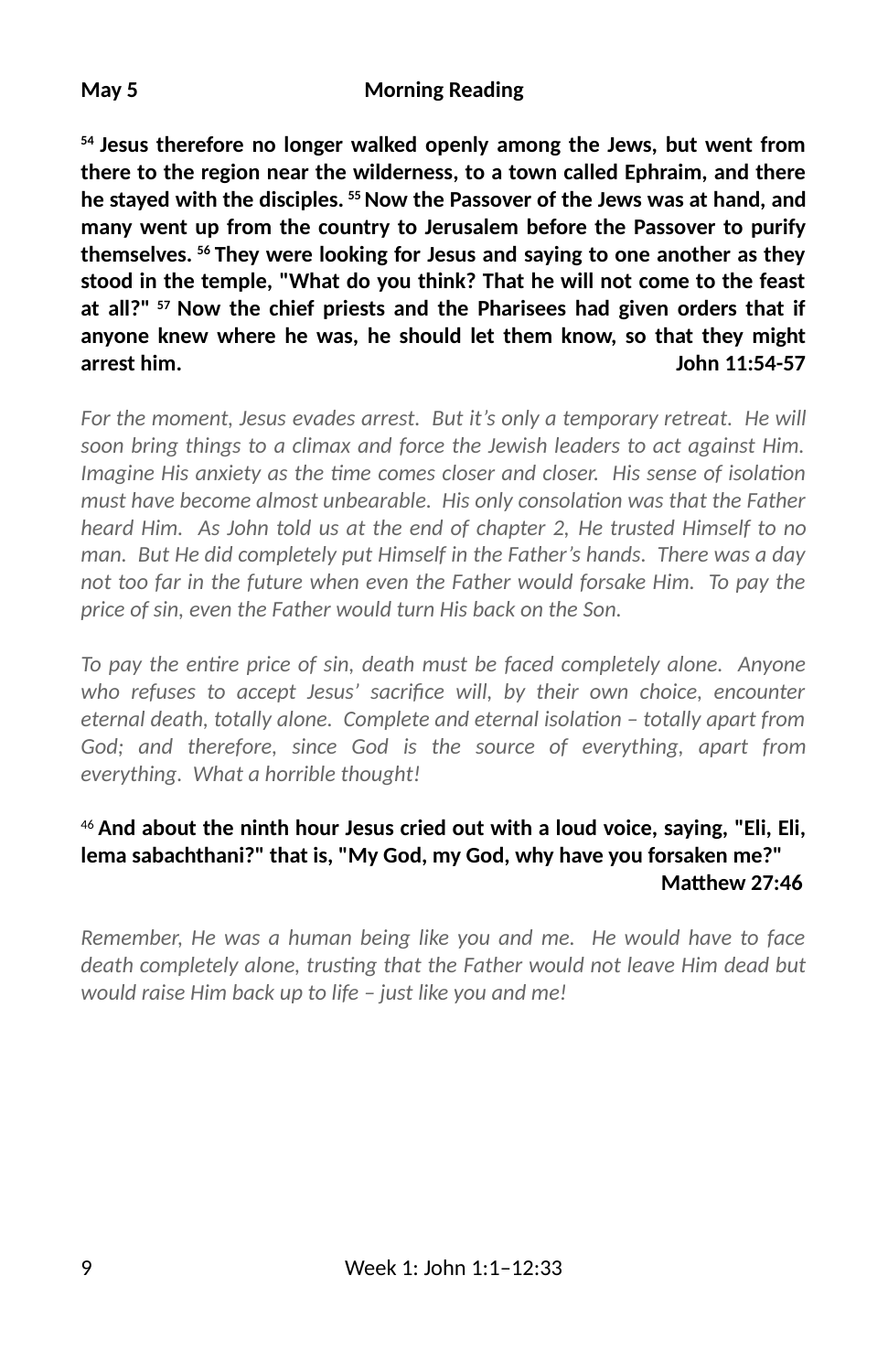**54 Jesus therefore no longer walked openly among the Jews, but went from there to the region near the wilderness, to a town called Ephraim, and there he stayed with the disciples. 55 Now the Passover of the Jews was at hand, and many went up from the country to Jerusalem before the Passover to purify themselves. 56 They were looking for Jesus and saying to one another as they stood in the temple, "What do you think? That he will not come to the feast at all?" 57 Now the chief priests and the Pharisees had given orders that if anyone knew where he was, he should let them know, so that they might arrest him. John 11:54-57**

*For the moment, Jesus evades arrest. But it's only a temporary retreat. He will soon bring things to a climax and force the Jewish leaders to act against Him. Imagine His anxiety as the time comes closer and closer. His sense of isolation must have become almost unbearable. His only consolation was that the Father heard Him. As John told us at the end of chapter 2, He trusted Himself to no man. But He did completely put Himself in the Father's hands. There was a day not too far in the future when even the Father would forsake Him. To pay the price of sin, even the Father would turn His back on the Son.* 

*To pay the entire price of sin, death must be faced completely alone. Anyone* who refuses to accept Jesus' sacrifice will, by their own choice, encounter *eternal death, totally alone. Complete and eternal isolation – totally apart from God; and therefore, since God is the source of everything, apart from everything. What a horrible thought!*

### <sup>46</sup>**And about the ninth hour Jesus cried out with a loud voice, saying, "Eli, Eli, lema sabachthani?" that is, "My God, my God, why have you forsaken me?" Matthew 27:46**

*Remember, He was a human being like you and me. He would have to face death completely alone, trusting that the Father would not leave Him dead but would raise Him back up to life – just like you and me!*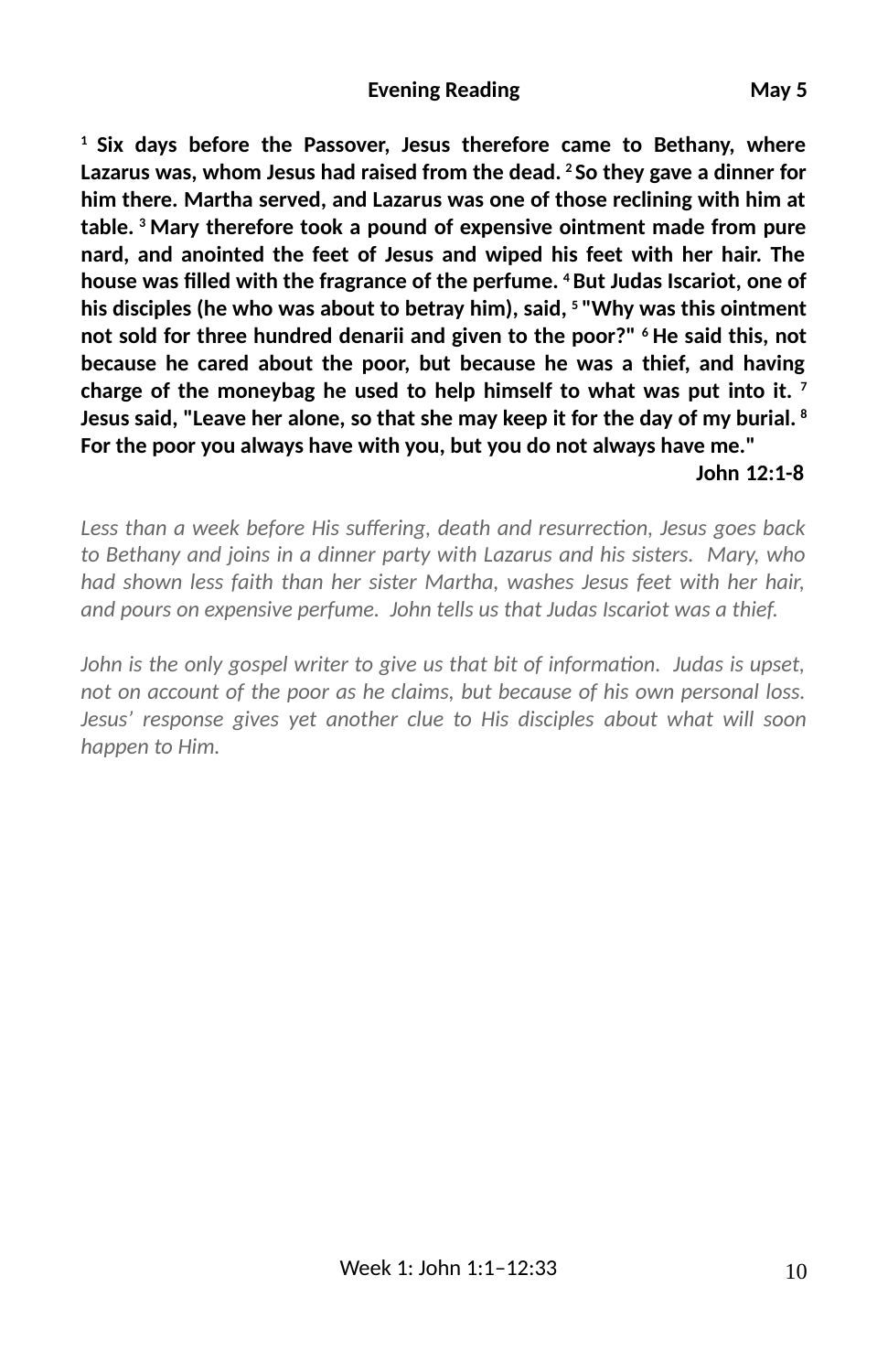**1 Six days before the Passover, Jesus therefore came to Bethany, where Lazarus was, whom Jesus had raised from the dead. 2 So they gave a dinner for him there. Martha served, and Lazarus was one of those reclining with him at table. 3 Mary therefore took a pound of expensive ointment made from pure nard, and anointed the feet of Jesus and wiped his feet with her hair. The house was 2lled with the fragrance of the perfume. 4 But Judas Iscariot, one of his disciples (he who was about to betray him), said, 5 "Why was this ointment not sold for three hundred denarii and given to the poor?" 6 He said this, not because he cared about the poor, but because he was a thief, and having charge of the moneybag he used to help himself to what was put into it. 7 Jesus said, "Leave her alone, so that she may keep it for the day of my burial. 8 For the poor you always have with you, but you do not always have me."** 

#### **John 12:1-8**

Less than a week before His suffering, death and resurrection, Jesus goes back *to Bethany and joins in a dinner party with Lazarus and his sisters. Mary, who had shown less faith than her sister Martha, washes Jesus feet with her hair, and pours on expensive perfume. John tells us that Judas Iscariot was a thief.* 

*John is the only gospel writer to give us that bit of information. Judas is upset, not on account of the poor as he claims, but because of his own personal loss. Jesus' response gives yet another clue to His disciples about what will soon happen to Him.*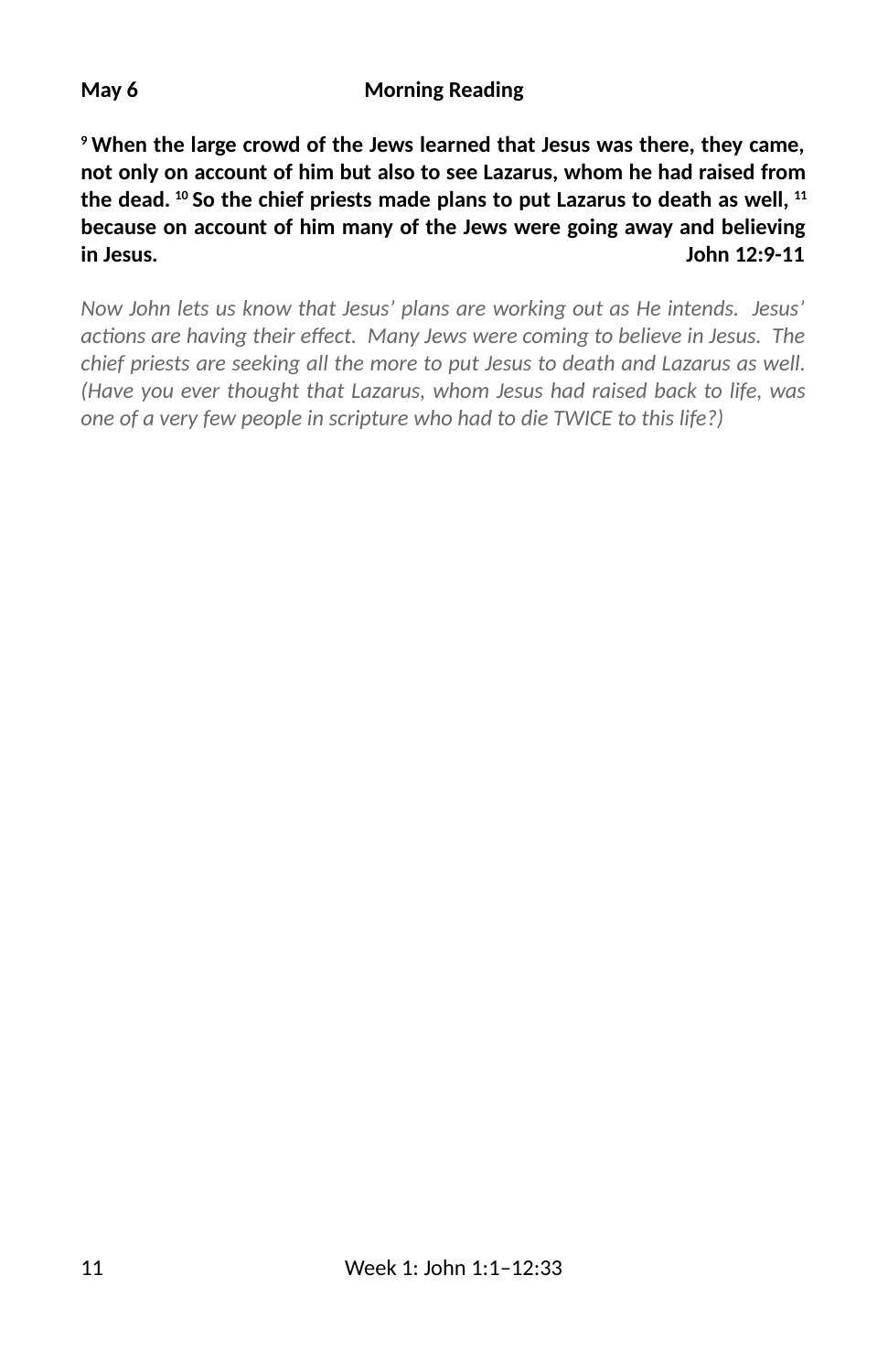**9 When the large crowd of the Jews learned that Jesus was there, they came, not only on account of him but also to see Lazarus, whom he had raised from the dead. 10 So the chief priests made plans to put Lazarus to death as well, 11 because on account of him many of the Jews were going away and believing in Jesus. John 12:9-11**

*Now John lets us know that Jesus' plans are working out as He intends. Jesus'* actions are having their effect. Many Jews were coming to believe in Jesus. The *chief priests are seeking all the more to put Jesus to death and Lazarus as well. (Have you ever thought that Lazarus, whom Jesus had raised back to life, was one of a very few people in scripture who had to die TWICE to this life?)*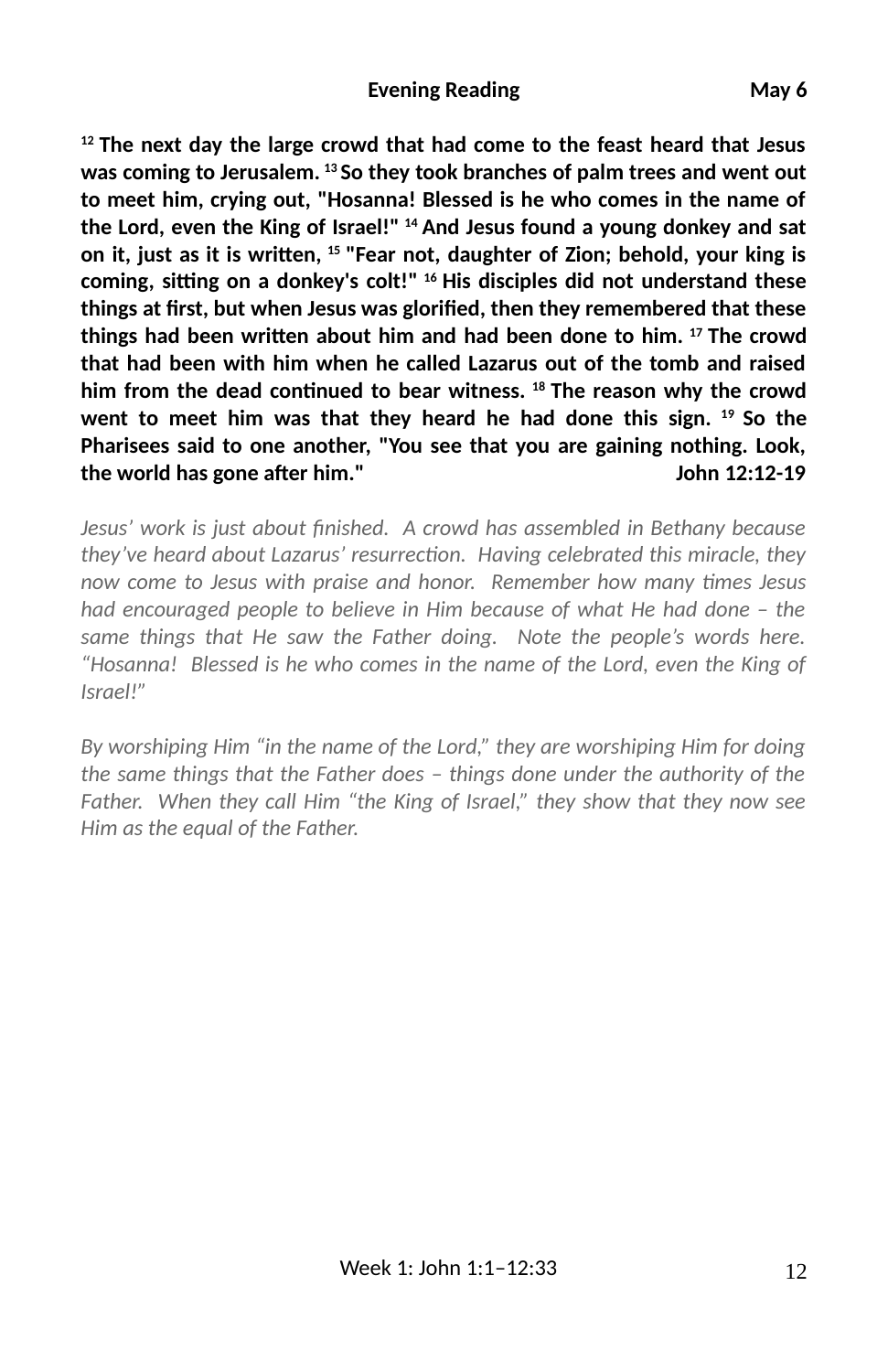#### **Evening Reading**  May 6

**12 The next day the large crowd that had come to the feast heard that Jesus was coming to Jerusalem. 13 So they took branches of palm trees and went out to meet him, crying out, "Hosanna! Blessed is he who comes in the name of the Lord, even the King of Israel!" 14 And Jesus found a young donkey and sat** on it, just as it is written, <sup>15</sup> "Fear not, daughter of Zion; behold, your king is coming, sitting on a donkey's colt!" <sup>16</sup> His disciples did not understand these things at first, but when Jesus was glorified, then they remembered that these things had been written about him and had been done to him. <sup>17</sup> The crowd **that had been with him when he called Lazarus out of the tomb and raised** him from the dead continued to bear witness. <sup>18</sup> The reason why the crowd **went to meet him was that they heard he had done this sign. 19 So the Pharisees said to one another, "You see that you are gaining nothing. Look, the world has gone a6er him." John 12:12-19**

*Jesus' work is just about 3nished. A crowd has assembled in Bethany because they've heard about Lazarus' resurrection. Having celebrated this miracle, they now come to Jesus with praise and honor. Remember how many times Jesus had encouraged people to believe in Him because of what He had done – the same things that He saw the Father doing. Note the people's words here. "Hosanna! Blessed is he who comes in the name of the Lord, even the King of Israel!"* 

*By worshiping Him "in the name of the Lord," they are worshiping Him for doing the same things that the Father does – things done under the authority of the Father. When they call Him "the King of Israel," they show that they now see Him as the equal of the Father.*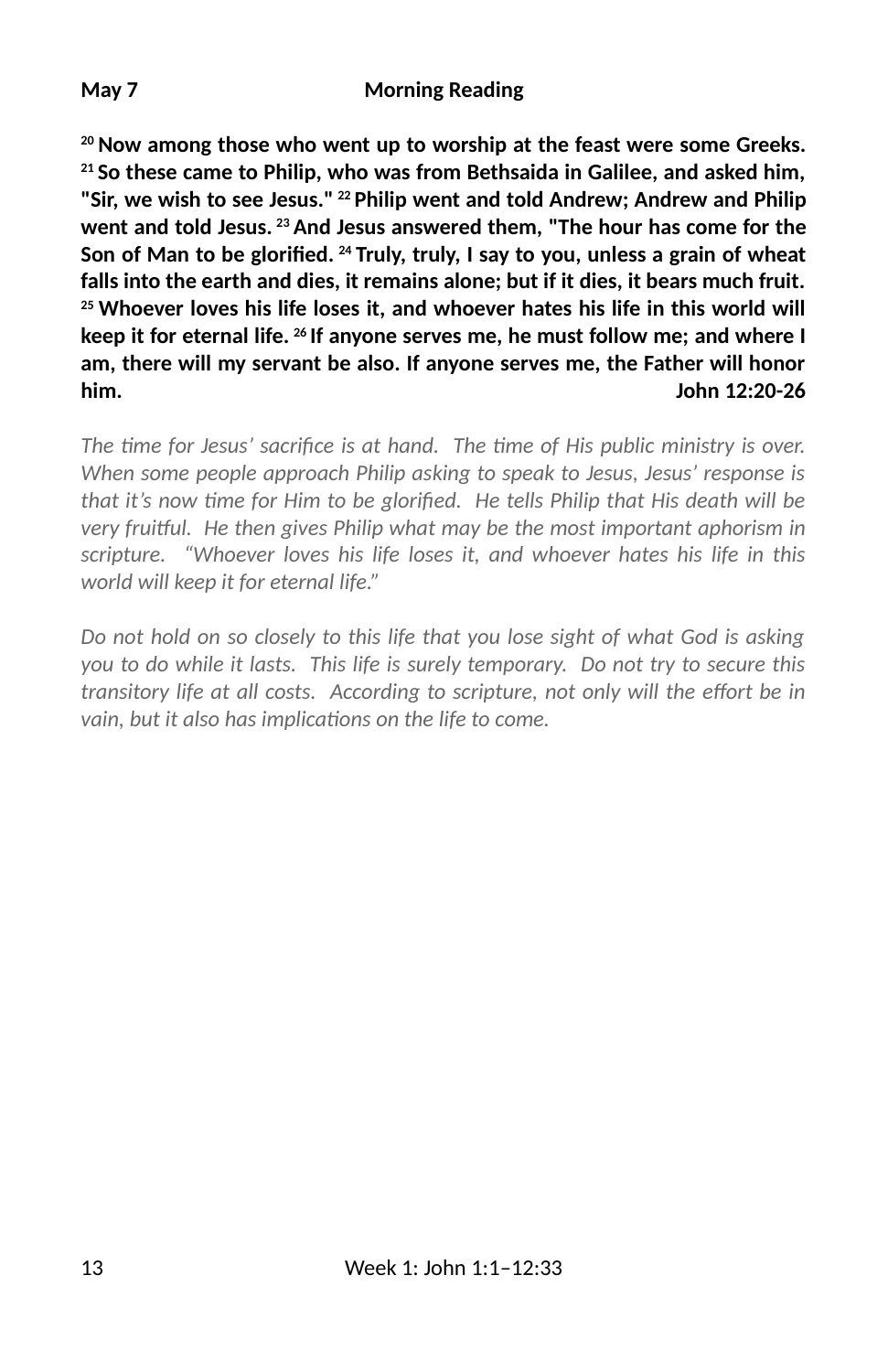**20 Now among those who went up to worship at the feast were some Greeks. 21 So these came to Philip, who was from Bethsaida in Galilee, and asked him, "Sir, we wish to see Jesus." 22 Philip went and told Andrew; Andrew and Philip went and told Jesus. 23 And Jesus answered them, "The hour has come for the** Son of Man to be glorified. <sup>24</sup> Truly, truly, I say to you, unless a grain of wheat **falls into the earth and dies, it remains alone; but if it dies, it bears much fruit. 25 Whoever loves his life loses it, and whoever hates his life in this world will keep it for eternal life. 26 If anyone serves me, he must follow me; and where I am, there will my servant be also. If anyone serves me, the Father will honor him. John 12:20-26**

The time for Jesus' sacrifice is at hand. The time of His public ministry is over. *When some people approach Philip asking to speak to Jesus, Jesus' response is that it's now time for Him to be glorified. He tells Philip that His death will be very fruiKul. He then gives Philip what may be the most important aphorism in scripture. "Whoever loves his life loses it, and whoever hates his life in this world will keep it for eternal life."*

*Do not hold on so closely to this life that you lose sight of what God is asking you to do while it lasts. This life is surely temporary. Do not try to secure this transitory life at all costs. According to scripture, not only will the effort be in vain, but it also has implications on the life to come.*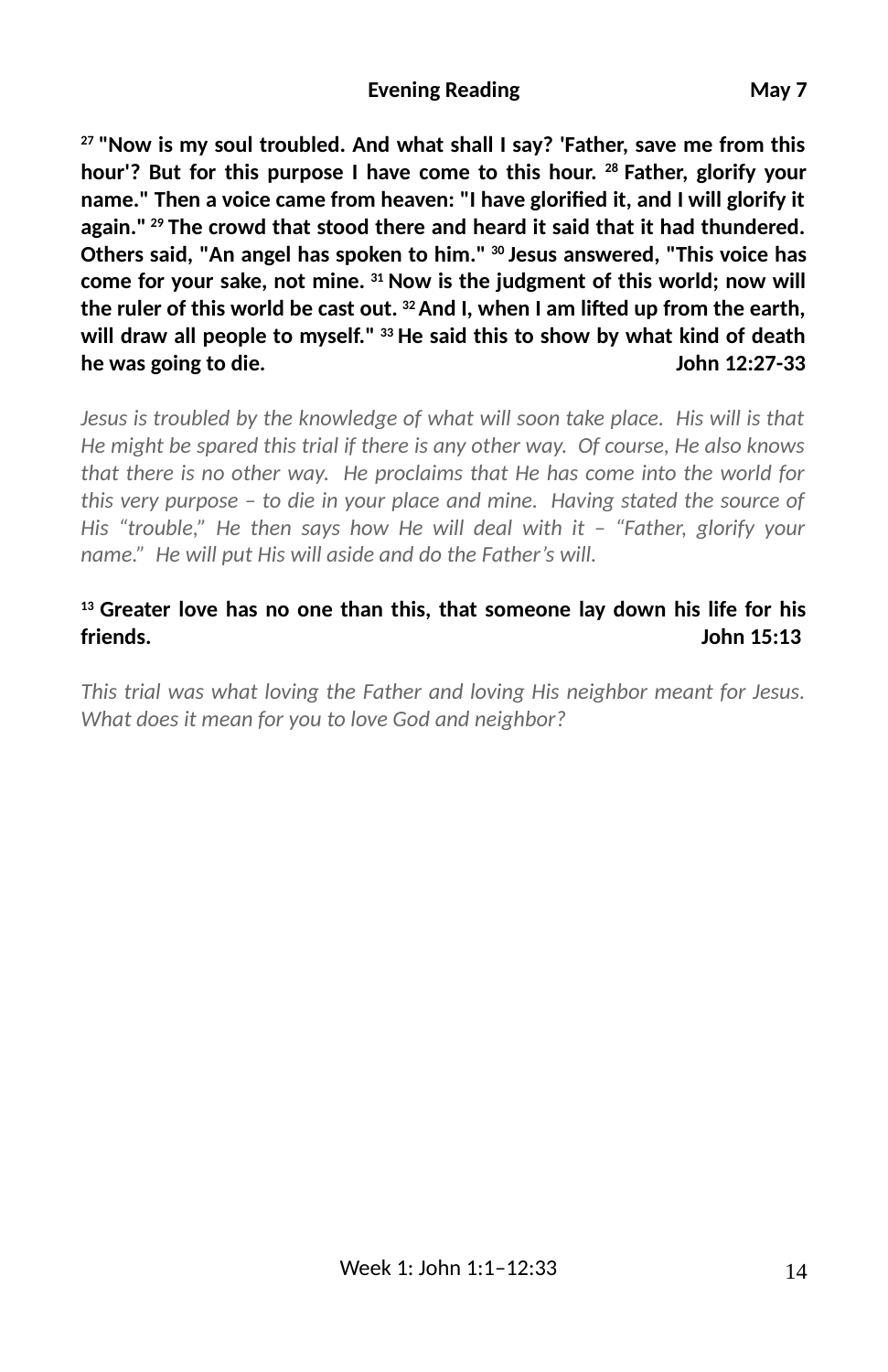#### **Evening Reading**  May 7

**27 "Now is my soul troubled. And what shall I say? 'Father, save me from this hour'? But for this purpose I have come to this hour. 28 Father, glorify your** name." Then a voice came from heaven: "I have glorified it, and I will glorify it **again." 29 The crowd that stood there and heard it said that it had thundered. Others said, "An angel has spoken to him." 30 Jesus answered, "This voice has come for your sake, not mine. 31 Now is the judgment of this world; now will** the ruler of this world be cast out. <sup>32</sup> And I, when I am lifted up from the earth, **will draw all people to myself." 33 He said this to show by what kind of death he was going to die. John 12:27-33**

*Jesus is troubled by the knowledge of what will soon take place. His will is that He might be spared this trial if there is any other way. Of course, He also knows that there is no other way. He proclaims that He has come into the world for this very purpose – to die in your place and mine. Having stated the source of His "trouble," He then says how He will deal with it – "Father, glorify your name." He will put His will aside and do the Father's will.*

#### **13 Greater love has no one than this, that someone lay down his life for his friends. John 15:13**

*This trial was what loving the Father and loving His neighbor meant for Jesus. What does it mean for you to love God and neighbor?*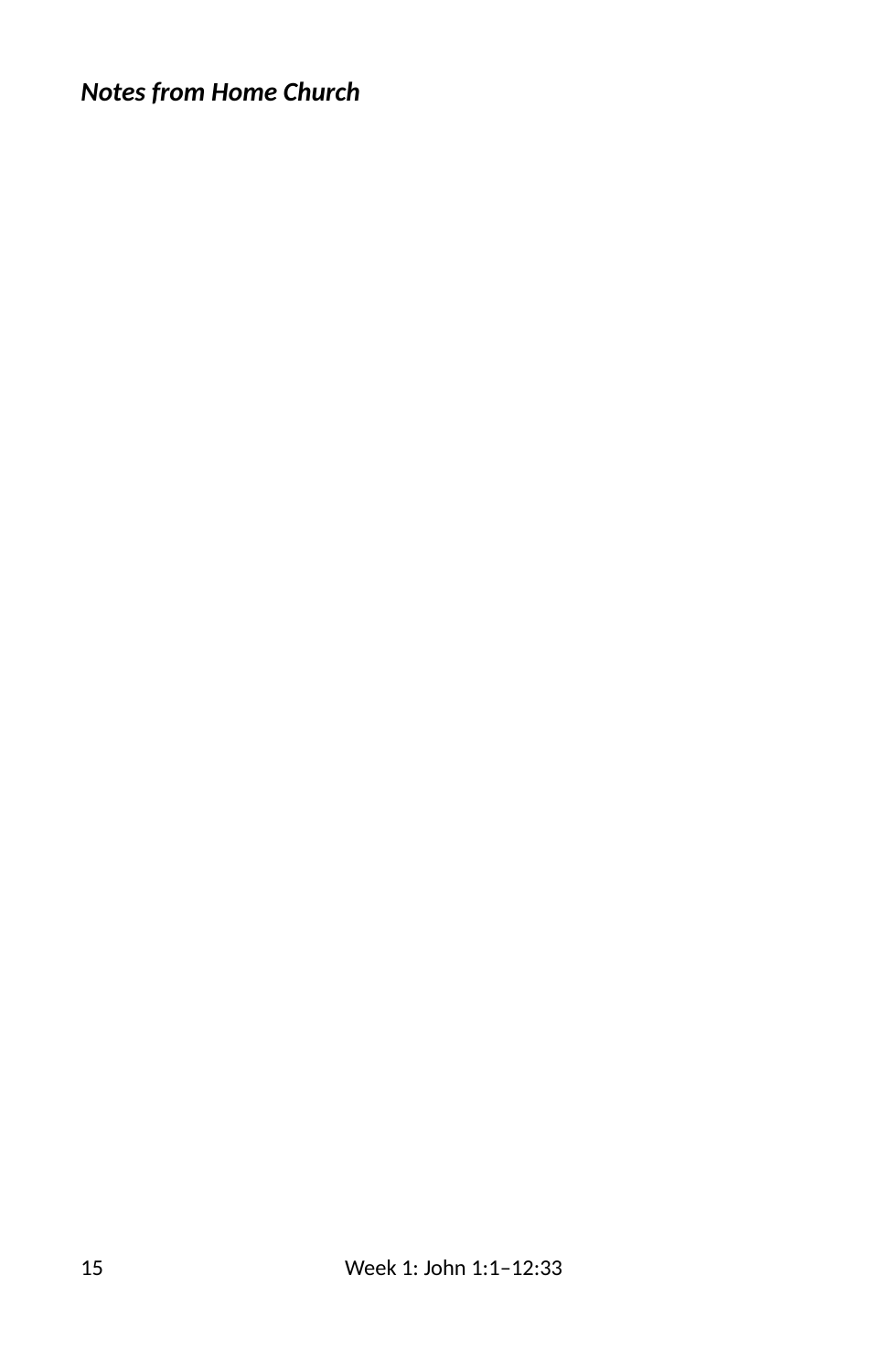# *Notes from Home Church*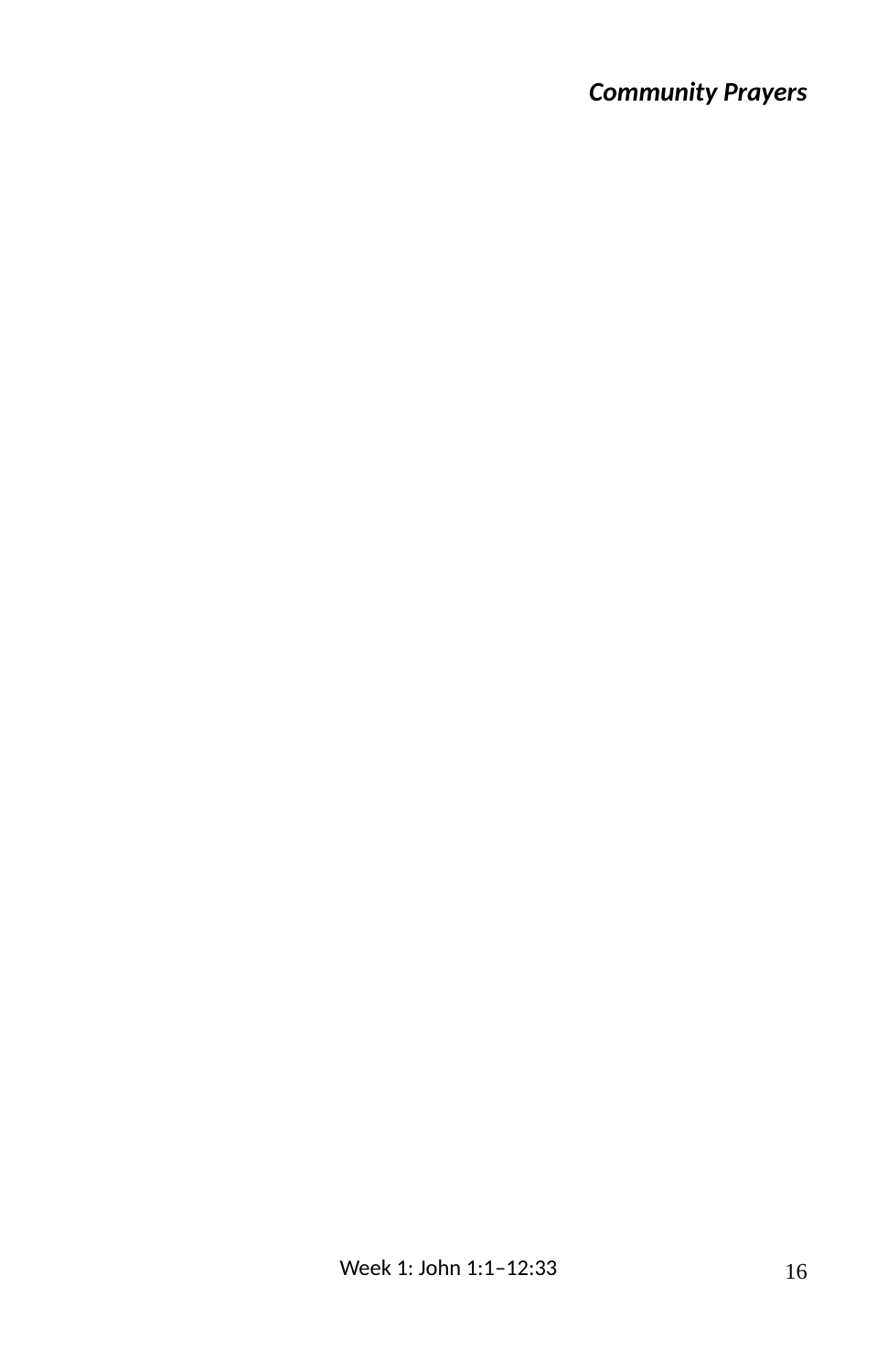# *Community Prayers*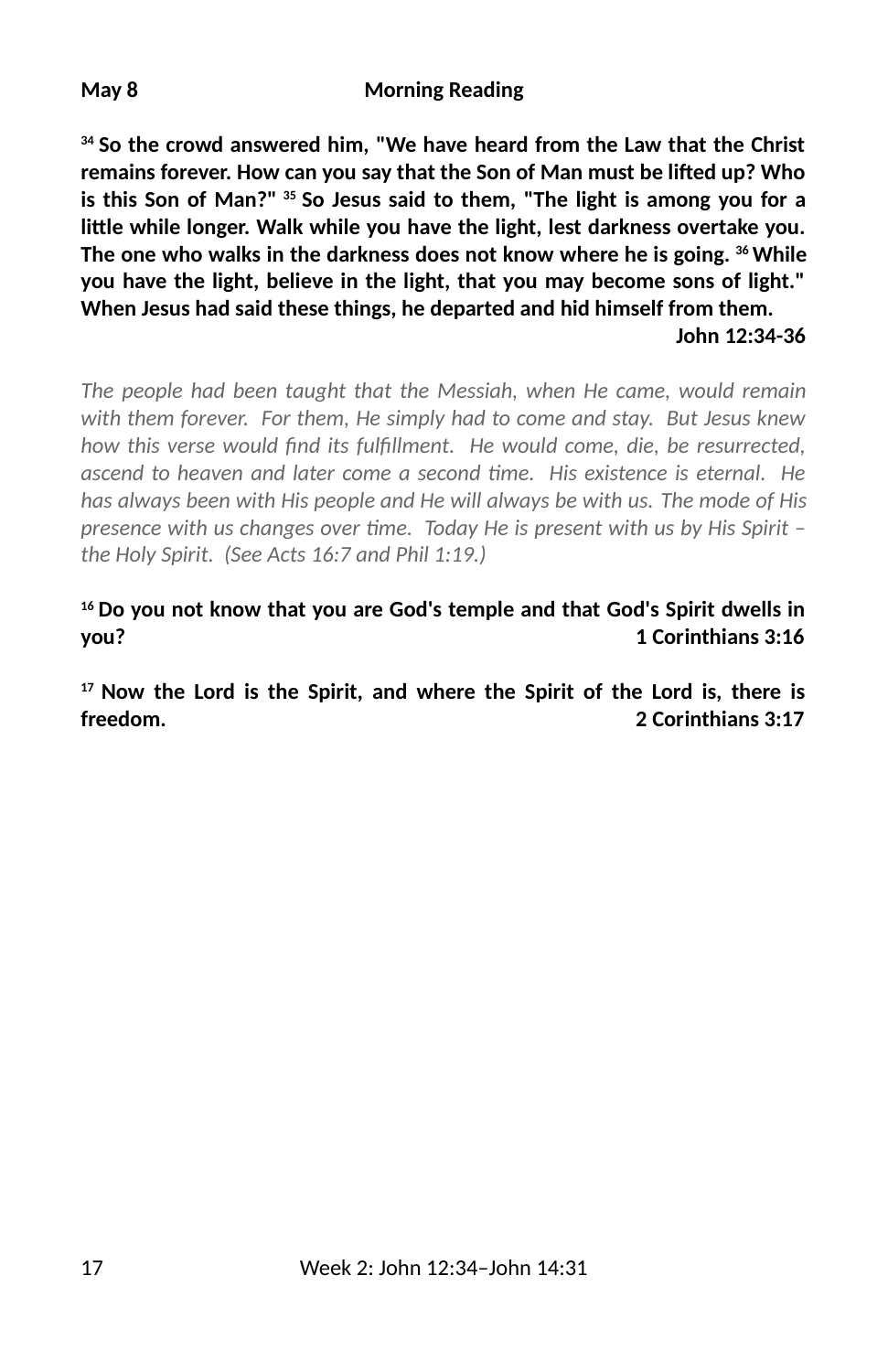#### **May 8 Morning Reading**

**34 So the crowd answered him, "We have heard from the Law that the Christ** remains forever. How can you say that the Son of Man must be lifted up? Who **is this Son of Man?" 35 So Jesus said to them, "The light is among you for a** little while longer. Walk while you have the light, lest darkness overtake you. **The one who walks in the darkness does not know where he is going. 36 While you have the light, believe in the light, that you may become sons of light." When Jesus had said these things, he departed and hid himself from them. John 12:34-36**

*The people had been taught that the Messiah, when He came, would remain with them forever. For them, He simply had to come and stay. But Jesus knew* how this verse would find its fulfillment. He would come, die, be resurrected, *ascend to heaven and later come a second time. His existence is eternal. He has always been with His people and He will always be with us. The mode of His presence with us changes over me. Today He is present with us by His Spirit – the Holy Spirit. (See Acts 16:7 and Phil 1:19.)*

**16 Do you not know that you are God's temple and that God's Spirit dwells in you? 1 Corinthians 3:16**

**17 Now the Lord is the Spirit, and where the Spirit of the Lord is, there is freedom. 2 Corinthians 3:17**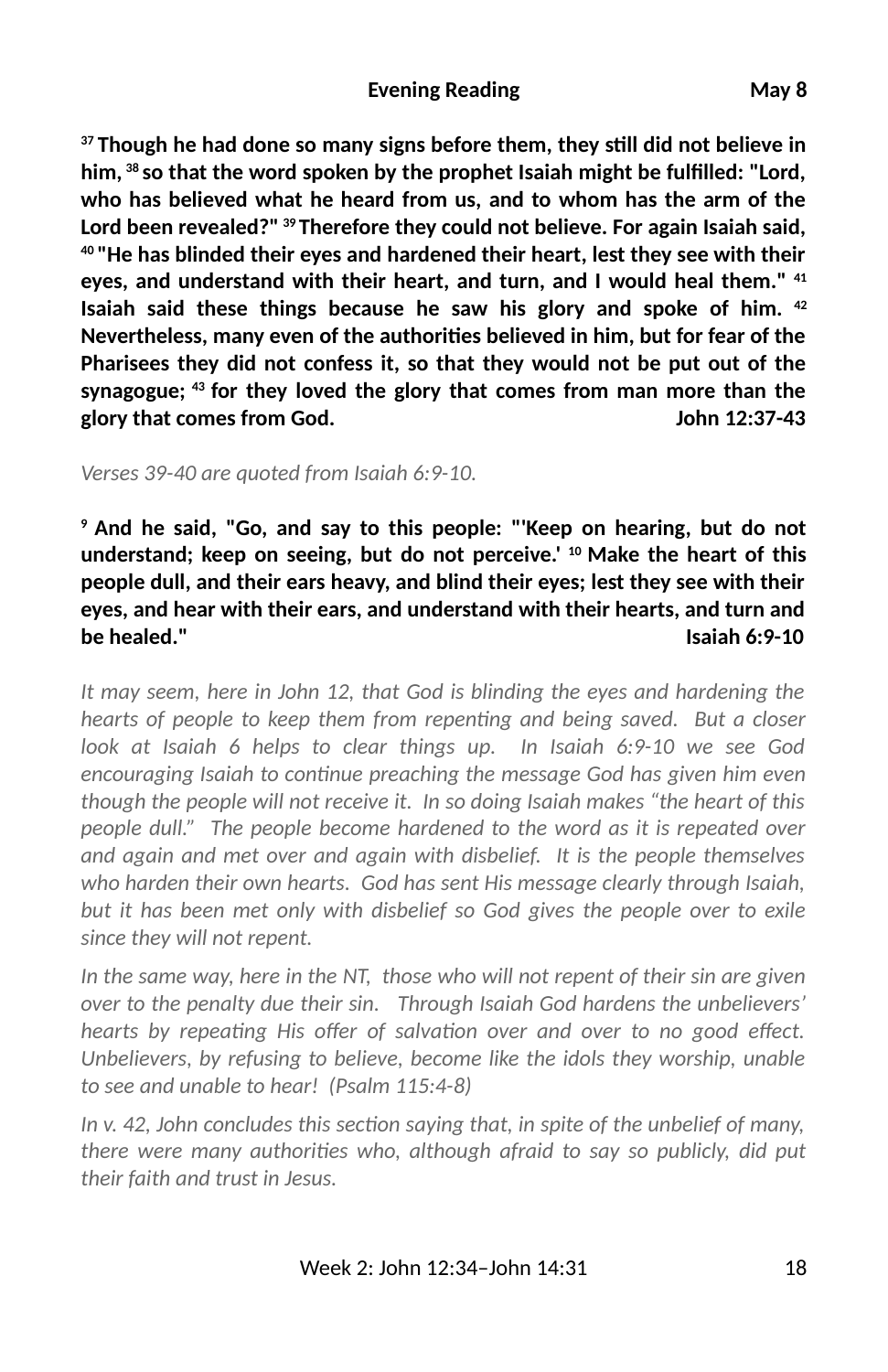#### **Evening Reading**  May 8

**37 Though he had done so many signs before them, they sll did not believe in him, 38 so that the word spoken by the prophet Isaiah might be ful2lled: "Lord, who has believed what he heard from us, and to whom has the arm of the Lord been revealed?" 39 Therefore they could not believe. For again Isaiah said, 40 "He has blinded their eyes and hardened their heart, lest they see with their eyes, and understand with their heart, and turn, and I would heal them." 41 Isaiah said these things because he saw his glory and spoke of him. 42 Nevertheless, many even of the authories believed in him, but for fear of the Pharisees they did not confess it, so that they would not be put out of the synagogue; 43 for they loved the glory that comes from man more than the glory that comes from God. John 12:37-43**

*Verses 39-40 are quoted from Isaiah 6:9-10.* 

**9 And he said, "Go, and say to this people: "'Keep on hearing, but do not understand; keep on seeing, but do not perceive.' 10 Make the heart of this people dull, and their ears heavy, and blind their eyes; lest they see with their eyes, and hear with their ears, and understand with their hearts, and turn and be healed." Isaiah 6:9-10**

*It may seem, here in John 12, that God is blinding the eyes and hardening the hearts of people to keep them from repenting and being saved. But a closer look at Isaiah 6 helps to clear things up. In Isaiah 6:9-10 we see God* encouraging Isaiah to continue preaching the message God has given him even *though the people will not receive it. In so doing Isaiah makes "the heart of this people dull." The people become hardened to the word as it is repeated over and again and met over and again with disbelief. It is the people themselves who harden their own hearts. God has sent His message clearly through Isaiah, but it has been met only with disbelief so God gives the people over to exile since they will not repent.* 

*In the same way, here in the NT, those who will not repent of their sin are given over to the penalty due their sin. Through Isaiah God hardens the unbelievers'* hearts by repeating His offer of salvation over and over to no good effect. *Unbelievers, by refusing to believe, become like the idols they worship, unable to see and unable to hear! (Psalm 115:4-8)*

In v. 42, John concludes this section saying that, in spite of the unbelief of many, *there were many authorities who, although afraid to say so publicly, did put their faith and trust in Jesus.*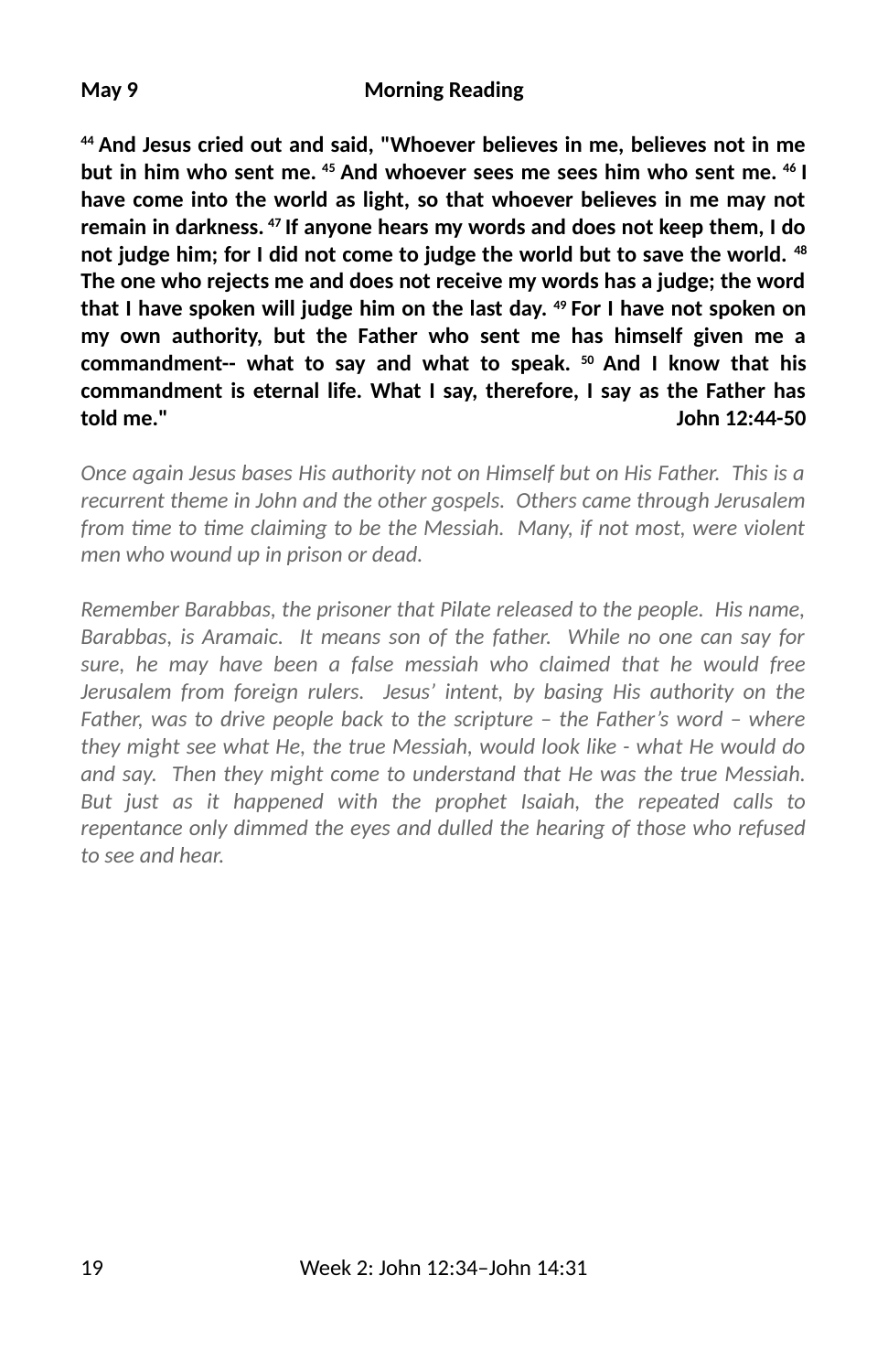**44 And Jesus cried out and said, "Whoever believes in me, believes not in me but in him who sent me. 45 And whoever sees me sees him who sent me. 46 I have come into the world as light, so that whoever believes in me may not remain in darkness. 47 If anyone hears my words and does not keep them, I do not judge him; for I did not come to judge the world but to save the world. 48 The one who rejects me and does not receive my words has a judge; the word that I have spoken will judge him on the last day. 49 For I have not spoken on my own authority, but the Father who sent me has himself given me a commandment-- what to say and what to speak. 50 And I know that his commandment is eternal life. What I say, therefore, I say as the Father has told me." John 12:44-50**

*Once again Jesus bases His authority not on Himself but on His Father. This is a recurrent theme in John and the other gospels. Others came through Jerusalem* from time to time claiming to be the Messiah. Many, if not most, were violent *men who wound up in prison or dead.* 

*Remember Barabbas, the prisoner that Pilate released to the people. His name, Barabbas, is Aramaic. It means son of the father. While no one can say for sure, he may have been a false messiah who claimed that he would free Jerusalem from foreign rulers. Jesus' intent, by basing His authority on the Father, was to drive people back to the scripture – the Father's word – where they might see what He, the true Messiah, would look like - what He would do and say. Then they might come to understand that He was the true Messiah. But just as it happened with the prophet Isaiah, the repeated calls to repentance only dimmed the eyes and dulled the hearing of those who refused to see and hear.*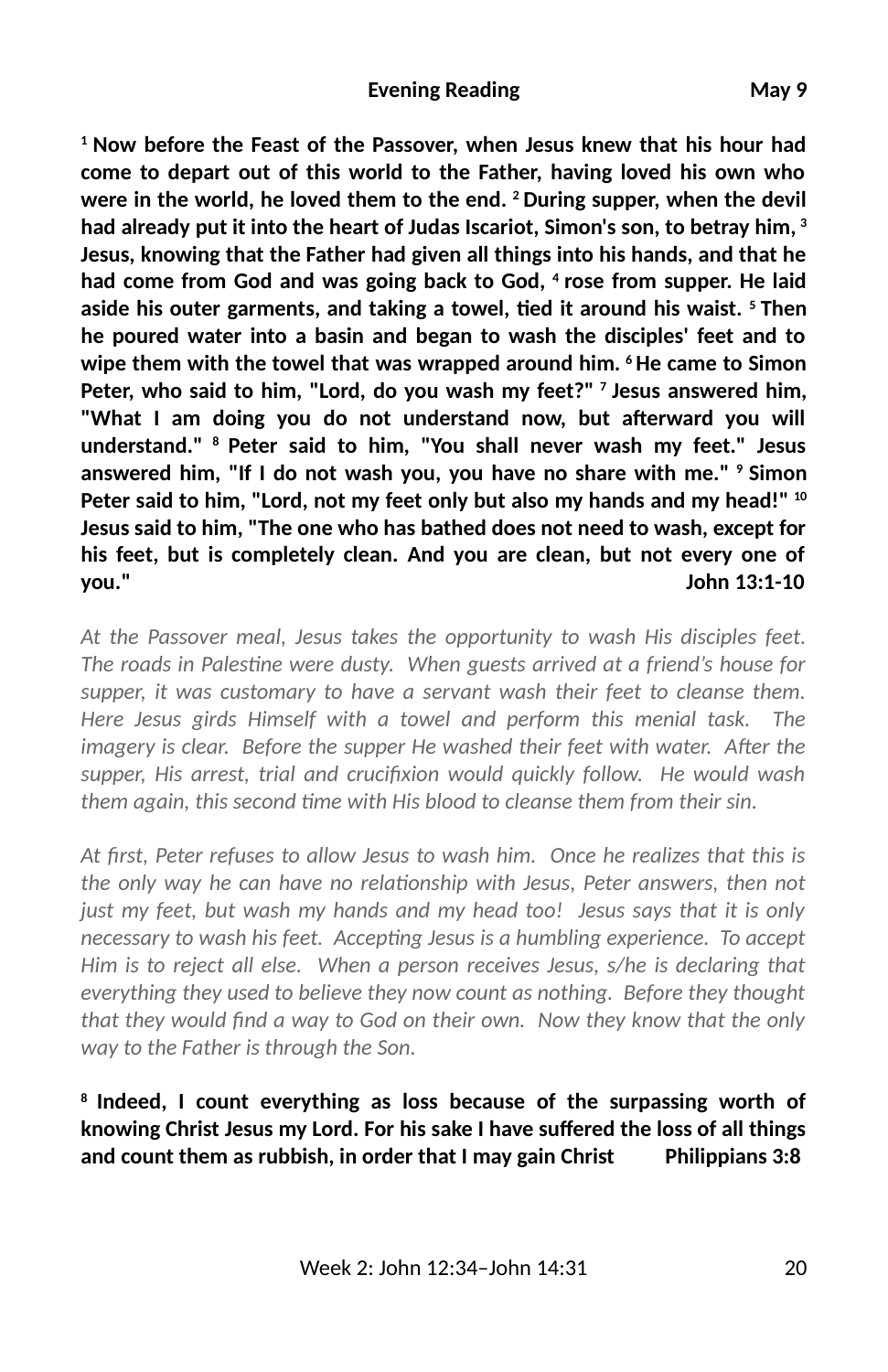**1 Now before the Feast of the Passover, when Jesus knew that his hour had come to depart out of this world to the Father, having loved his own who were in the world, he loved them to the end. 2 During supper, when the devil had already put it into the heart of Judas Iscariot, Simon's son, to betray him, 3 Jesus, knowing that the Father had given all things into his hands, and that he had come from God and was going back to God, 4 rose from supper. He laid** aside his outer garments, and taking a towel, tied it around his waist. <sup>5</sup> Then **he poured water into a basin and began to wash the disciples' feet and to wipe them with the towel that was wrapped around him. 6 He came to Simon Peter, who said to him, "Lord, do you wash my feet?" 7 Jesus answered him,** "What I am doing you do not understand now, but afterward you will **understand." 8 Peter said to him, "You shall never wash my feet." Jesus answered him, "If I do not wash you, you have no share with me." 9 Simon Peter said to him, "Lord, not my feet only but also my hands and my head!" 10 Jesus said to him, "The one who has bathed does not need to wash, except for his feet, but is completely clean. And you are clean, but not every one of you." John 13:1-10**

*At the Passover meal, Jesus takes the opportunity to wash His disciples feet.* The roads in Palestine were dusty. When guests arrived at a friend's house for *supper, it was customary to have a servant wash their feet to cleanse them. Here Jesus girds Himself with a towel and perform this menial task. The imagery is clear. Before the supper He washed their feet with water. After the* supper, His arrest, trial and crucifixion would quickly follow. He would wash them again, this second time with His blood to cleanse them from their sin.

*At 3rst, Peter refuses to allow Jesus to wash him. Once he realizes that this is the only way he can have no relationship with Jesus, Peter answers, then not just my feet, but wash my hands and my head too! Jesus says that it is only necessary to wash his feet. Accepting Jesus is a humbling experience. To accept Him is to reject all else. When a person receives Jesus, s/he is declaring that everything they used to believe they now count as nothing. Before they thought* that they would find a way to God on their own. Now they know that the only *way to the Father is through the Son.*

**8 Indeed, I count everything as loss because of the surpassing worth of knowing Christ Jesus my Lord. For his sake I have suffered the loss of all things and count them as rubbish, in order that I may gain Christ Philippians 3:8**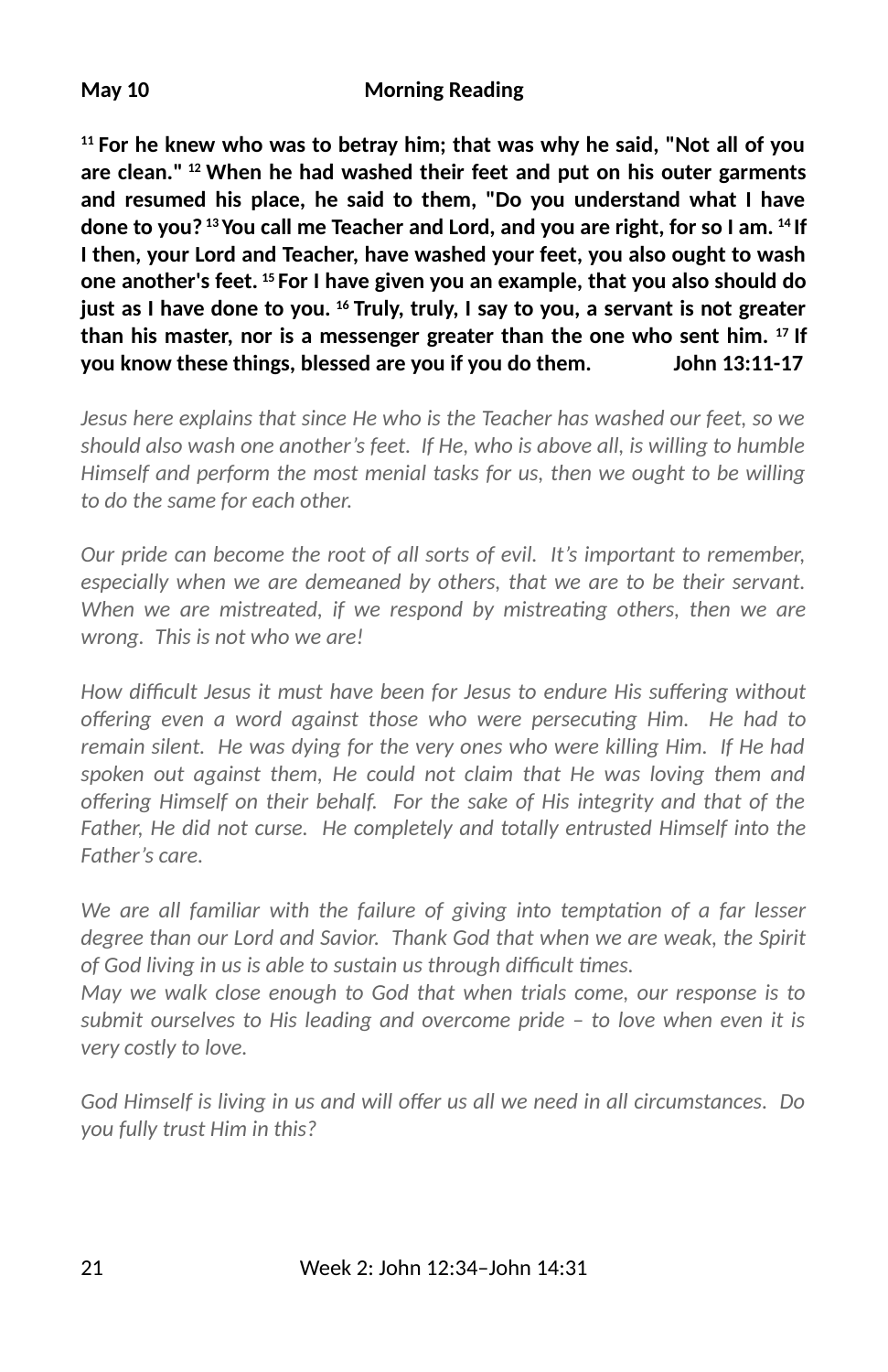#### **May 10 Morning Reading**

**11 For he knew who was to betray him; that was why he said, "Not all of you are clean." 12 When he had washed their feet and put on his outer garments and resumed his place, he said to them, "Do you understand what I have done to you? 13 You call me Teacher and Lord, and you are right, for so I am. 14 If I then, your Lord and Teacher, have washed your feet, you also ought to wash one another's feet. 15 For I have given you an example, that you also should do just as I have done to you. 16 Truly, truly, I say to you, a servant is not greater than his master, nor is a messenger greater than the one who sent him. 17 If you know these things, blessed are you if you do them. John 13:11-17**

*Jesus here explains that since He who is the Teacher has washed our feet, so we should also wash one another's feet. If He, who is above all, is willing to humble Himself and perform the most menial tasks for us, then we ought to be willing to do the same for each other.* 

*Our pride can become the root of all sorts of evil. It's important to remember, especially when we are demeaned by others, that we are to be their servant. When we are mistreated, if we respond by mistreating others, then we are wrong. This is not who we are!* 

How difficult Jesus it must have been for Jesus to endure His suffering without offering even a word against those who were persecuting Him. He had to *remain silent. He was dying for the very ones who were killing Him. If He had spoken out against them, He could not claim that He was loving them and* offering Himself on their behalf. For the sake of His integrity and that of the *Father, He did not curse. He completely and totally entrusted Himself into the Father's care.* 

*We are all familiar with the failure of giving into temptation of a far lesser degree than our Lord and Savior. Thank God that when we are weak, the Spirit* of God living in us is able to sustain us through difficult times.

*May we walk close enough to God that when trials come, our response is to submit ourselves to His leading and overcome pride – to love when even it is very costly to love.*

God Himself is living in us and will offer us all we need in all circumstances. Do *you fully trust Him in this?*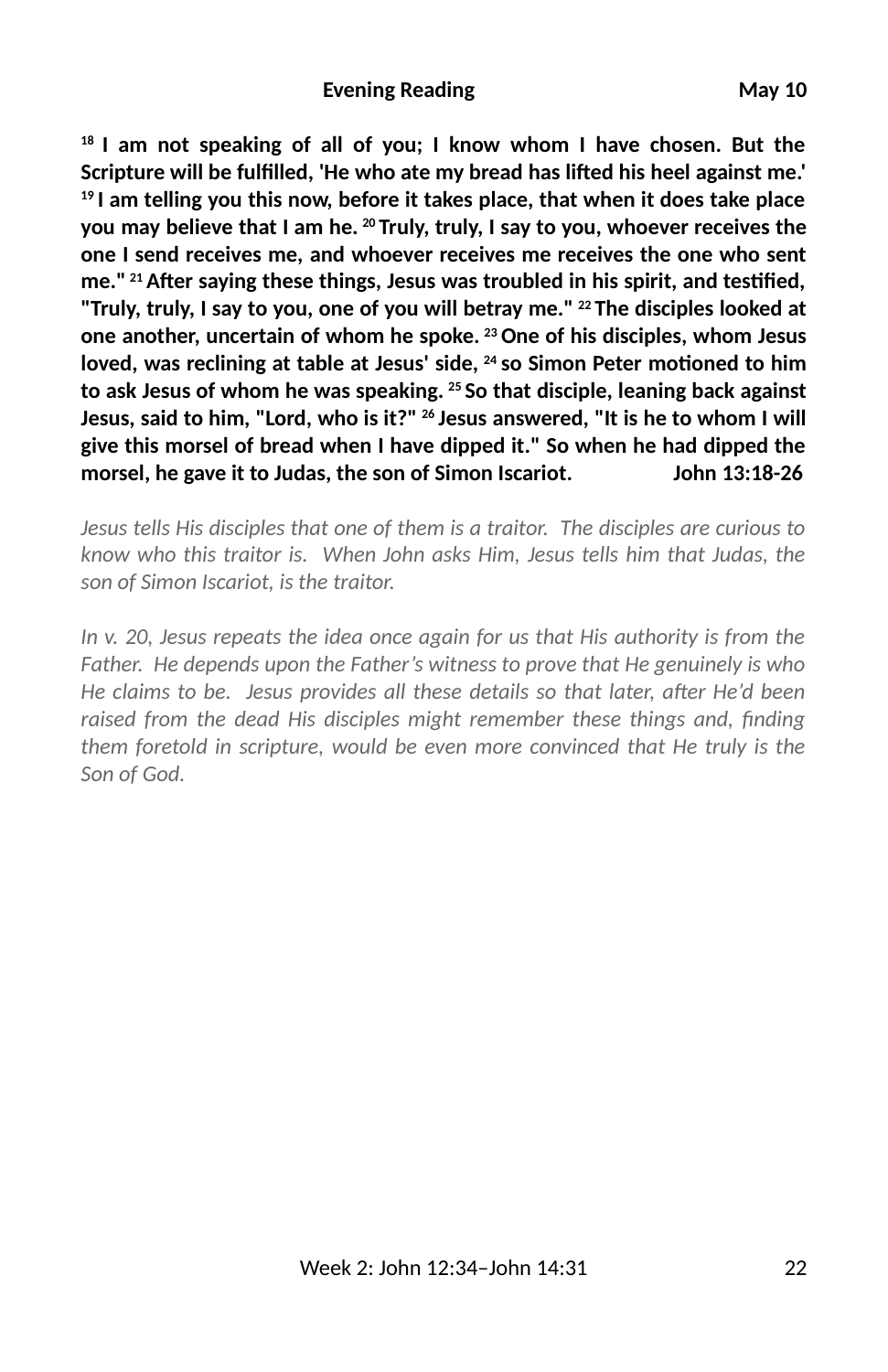#### **Evening Reading**  May 10

**18 I am not speaking of all of you; I know whom I have chosen. But the** Scripture will be fulfilled, 'He who ate my bread has lifted his heel against me.' **19 I am telling you this now, before it takes place, that when it does take place you may believe that I am he. 20 Truly, truly, I say to you, whoever receives the one I send receives me, and whoever receives me receives the one who sent** me."<sup>21</sup> After saying these things, Jesus was troubled in his spirit, and testified, **"Truly, truly, I say to you, one of you will betray me." 22 The disciples looked at one another, uncertain of whom he spoke. 23 One of his disciples, whom Jesus** loved, was reclining at table at Jesus' side, <sup>24</sup> so Simon Peter motioned to him **to ask Jesus of whom he was speaking. 25 So that disciple, leaning back against Jesus, said to him, "Lord, who is it?" 26 Jesus answered, "It is he to whom I will give this morsel of bread when I have dipped it." So when he had dipped the morsel, he gave it to Judas, the son of Simon Iscariot. John 13:18-26**

*Jesus tells His disciples that one of them is a traitor. The disciples are curious to know who this traitor is. When John asks Him, Jesus tells him that Judas, the son of Simon Iscariot, is the traitor.*

*In v. 20, Jesus repeats the idea once again for us that His authority is from the Father. He depends upon the Father's witness to prove that He genuinely is who He claims to be. Jesus provides all these details so that later, after He'd been* raised from the dead His disciples might remember these things and, finding *them foretold in scripture, would be even more convinced that He truly is the Son of God.*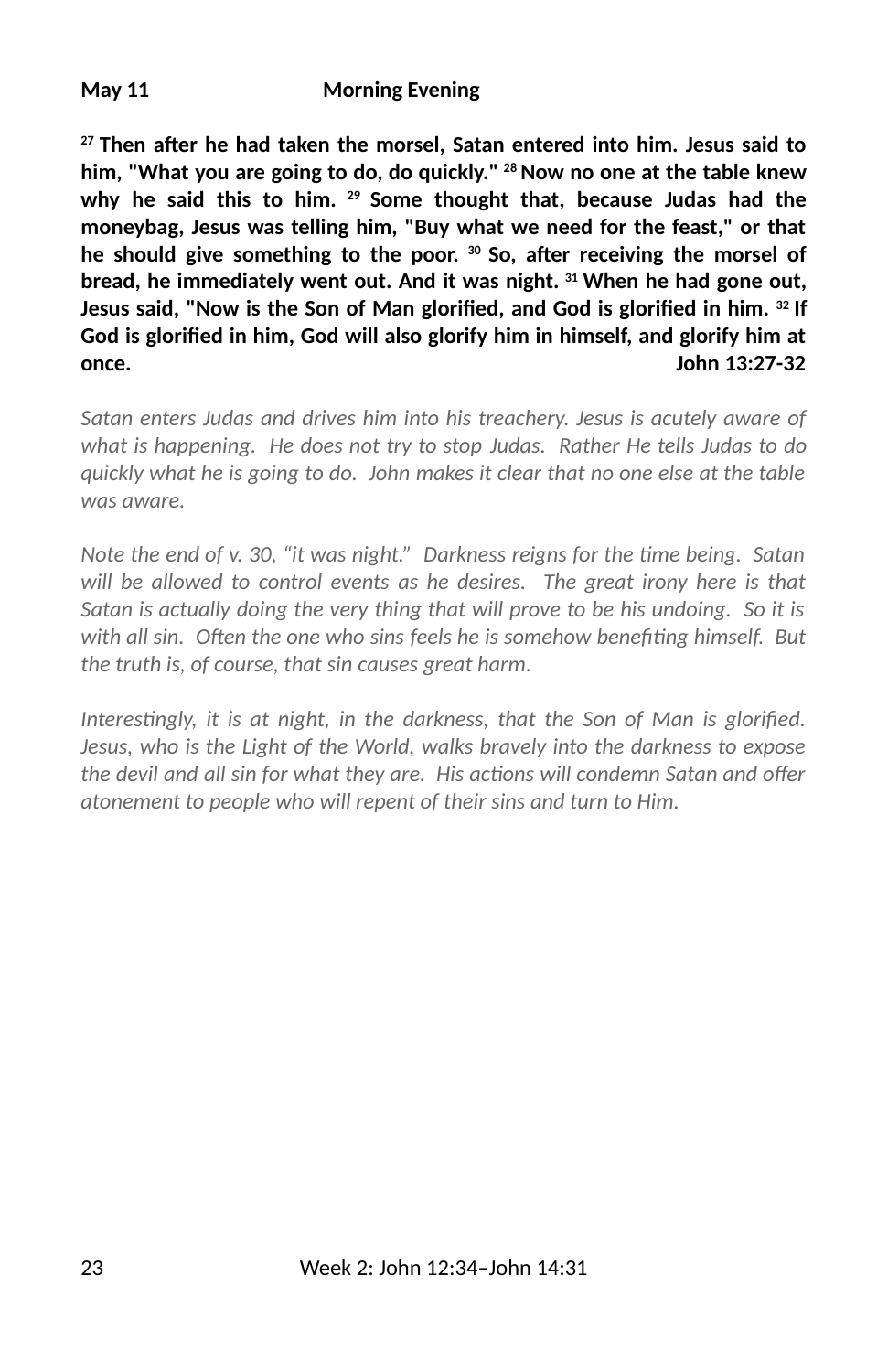#### **May 11 Morning Evening**

<sup>27</sup> Then after he had taken the morsel, Satan entered into him. Jesus said to **him, "What you are going to do, do quickly." 28 Now no one at the table knew why he said this to him. 29 Some thought that, because Judas had the moneybag, Jesus was telling him, "Buy what we need for the feast," or that** he should give something to the poor. <sup>30</sup> So, after receiving the morsel of **bread, he immediately went out. And it was night. 31 When he had gone out,** Jesus said, "Now is the Son of Man glorified, and God is glorified in him. <sup>32</sup> If God is glorified in him, God will also glorify him in himself, and glorify him at **once. John 13:27-32**

*Satan enters Judas and drives him into his treachery. Jesus is acutely aware of what is happening. He does not try to stop Judas. Rather He tells Judas to do quickly what he is going to do. John makes it clear that no one else at the table was aware.* 

*Note the end of v. 30, "it was night." Darkness reigns for the time being. Satan will be allowed to control events as he desires. The great irony here is that Satan is actually doing the very thing that will prove to be his undoing. So it is* with all sin. Often the one who sins feels he is somehow benefiting himself. But *the truth is, of course, that sin causes great harm.* 

*Interestingly, it is at night, in the darkness, that the Son of Man is glorified. Jesus, who is the Light of the World, walks bravely into the darkness to expose the devil and all sin for what they are. His actions will condemn Satan and offer atonement to people who will repent of their sins and turn to Him.*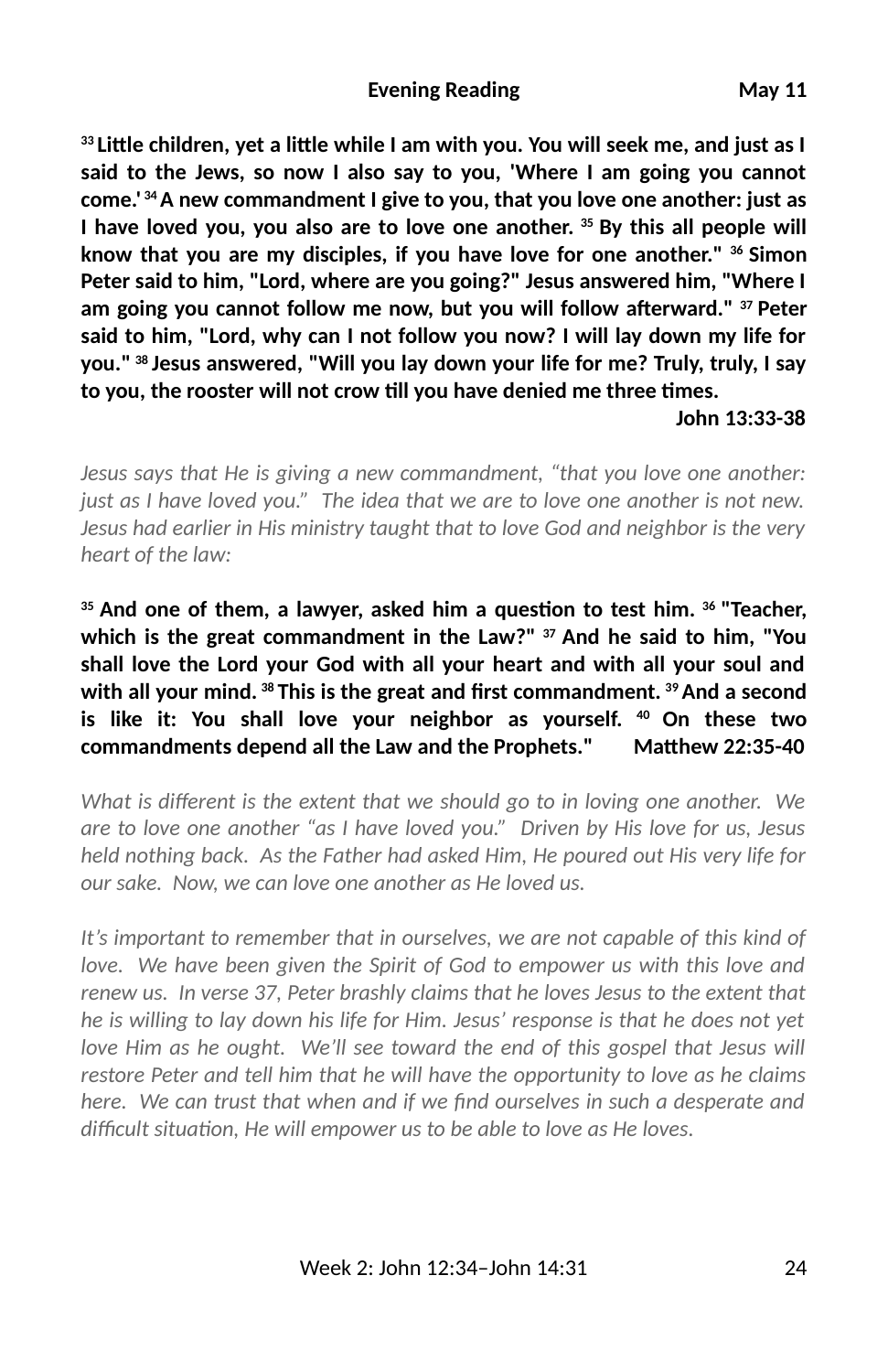<sup>33</sup> Little children, yet a little while I am with you. You will seek me, and just as I **said to the Jews, so now I also say to you, 'Where I am going you cannot come.' 34 A new commandment I give to you, that you love one another: just as I have loved you, you also are to love one another. 35 By this all people will know that you are my disciples, if you have love for one another." 36 Simon Peter said to him, "Lord, where are you going?" Jesus answered him, "Where I** am going you cannot follow me now, but you will follow afterward." <sup>37</sup> Peter **said to him, "Lord, why can I not follow you now? I will lay down my life for you." 38 Jesus answered, "Will you lay down your life for me? Truly, truly, I say** to you, the rooster will not crow till you have denied me three times.

#### **John 13:33-38**

*Jesus says that He is giving a new commandment, "that you love one another: just as I have loved you." The idea that we are to love one another is not new. Jesus had earlier in His ministry taught that to love God and neighbor is the very heart of the law:*

<sup>35</sup> And one of them, a lawyer, asked him a question to test him, <sup>36</sup> "Teacher, **which is the great commandment in the Law?" 37 And he said to him, "You shall love the Lord your God with all your heart and with all your soul and with all your mind. 38 This is the great and 2rst commandment. 39 And a second is like it: You shall love your neighbor as yourself. 40 On these two** commandments depend all the Law and the Prophets." Matthew 22:35-40

*What is different is the extent that we should go to in loving one another. We are to love one another "as I have loved you." Driven by His love for us, Jesus held nothing back. As the Father had asked Him, He poured out His very life for our sake. Now, we can love one another as He loved us.* 

*It's important to remember that in ourselves, we are not capable of this kind of love. We have been given the Spirit of God to empower us with this love and renew us. In verse 37, Peter brashly claims that he loves Jesus to the extent that he is willing to lay down his life for Him. Jesus' response is that he does not yet love Him as he ought. We'll see toward the end of this gospel that Jesus will restore Peter and tell him that he will have the opportunity to love as he claims here. We can trust that when and if we find ourselves in such a desperate and* difficult situation, He will empower us to be able to love as He loves.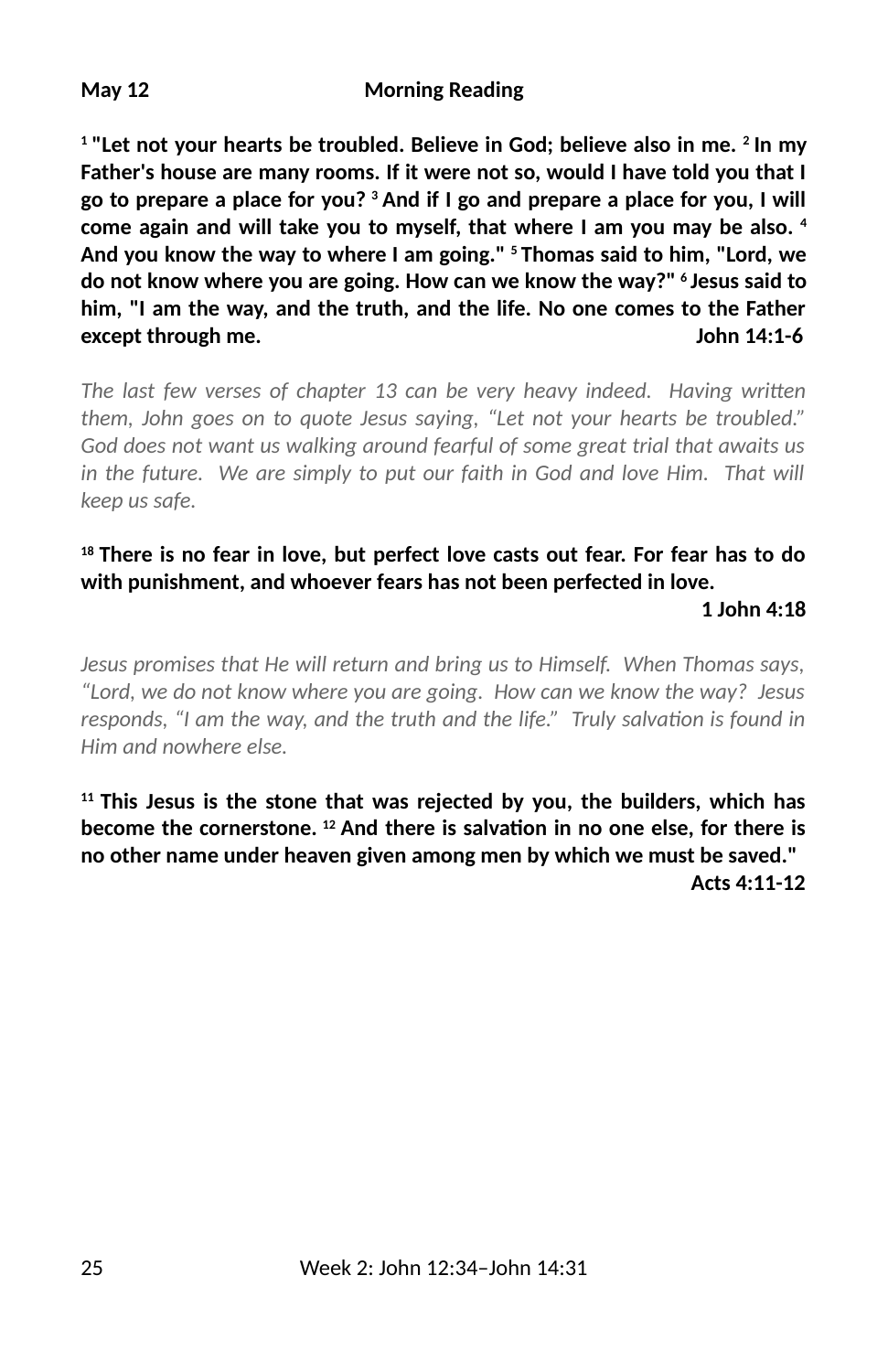**1 "Let not your hearts be troubled. Believe in God; believe also in me. 2 In my Father's house are many rooms. If it were not so, would I have told you that I go to prepare a place for you? 3 And if I go and prepare a place for you, I will come again and will take you to myself, that where I am you may be also. 4 And you know the way to where I am going." 5 Thomas said to him, "Lord, we do not know where you are going. How can we know the way?" 6 Jesus said to him, "I am the way, and the truth, and the life. No one comes to the Father except through me. John 14:1-6**

*The last few verses of chapter 13 can be very heavy indeed. Having written them, John goes on to quote Jesus saying, "Let not your hearts be troubled." God does not want us walking around fearful of some great trial that awaits us in the future. We are simply to put our faith in God and love Him. That will keep us safe.*

#### **18 There is no fear in love, but perfect love casts out fear. For fear has to do with punishment, and whoever fears has not been perfected in love.**

 **1 John 4:18**

*Jesus promises that He will return and bring us to Himself. When Thomas says, "Lord, we do not know where you are going. How can we know the way? Jesus responds, "I am the way, and the truth and the life." Truly salvation is found in Him and nowhere else.*

**11 This Jesus is the stone that was rejected by you, the builders, which has** become the cornerstone. <sup>12</sup> And there is salvation in no one else, for there is **no other name under heaven given among men by which we must be saved." Acts 4:11-12**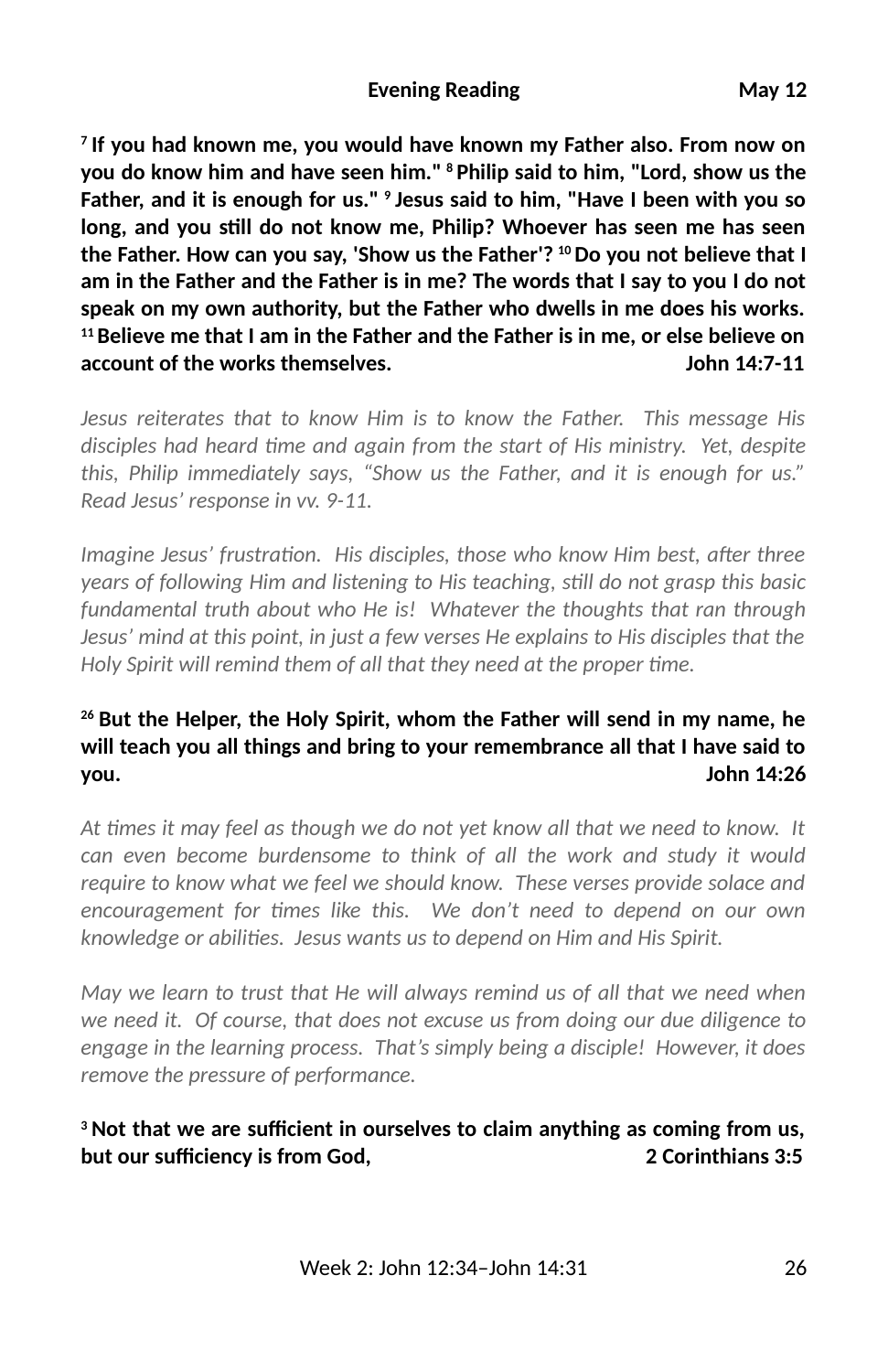**7 If you had known me, you would have known my Father also. From now on you do know him and have seen him." 8 Philip said to him, "Lord, show us the Father, and it is enough for us." 9 Jesus said to him, "Have I been with you so long, and you sll do not know me, Philip? Whoever has seen me has seen the Father. How can you say, 'Show us the Father'? 10 Do you not believe that I am in the Father and the Father is in me? The words that I say to you I do not speak on my own authority, but the Father who dwells in me does his works. 11 Believe me that I am in the Father and the Father is in me, or else believe on account of the works themselves. John 14:7-11**

*Jesus reiterates that to know Him is to know the Father. This message His* disciples had heard time and again from the start of His ministry. Yet, despite *this, Philip immediately says, "Show us the Father, and it is enough for us." Read Jesus' response in vv. 9-11.* 

*Imagine Jesus' frustration. His disciples, those who know Him best, after three years of following Him and listening to His teaching, sll do not grasp this basic fundamental truth about who He is! Whatever the thoughts that ran through Jesus' mind at this point, in just a few verses He explains to His disciples that the Holy Spirit will remind them of all that they need at the proper time.* 

#### **26 But the Helper, the Holy Spirit, whom the Father will send in my name, he will teach you all things and bring to your remembrance all that I have said to you. John 14:26**

*At mes it may feel as though we do not yet know all that we need to know. It can even become burdensome to think of all the work and study it would require to know what we feel we should know. These verses provide solace and* encouragement for times like this. We don't need to depend on our own knowledge or abilities. Jesus wants us to depend on Him and His Spirit.

*May we learn to trust that He will always remind us of all that we need when we need it. Of course, that does not excuse us from doing our due diligence to engage in the learning process. That's simply being a disciple! However, it does remove the pressure of performance.* 

#### <sup>3</sup> Not that we are sufficient in ourselves to claim anything as coming from us, **but our sufficiency is from God.** And the control of the corinthians 3:5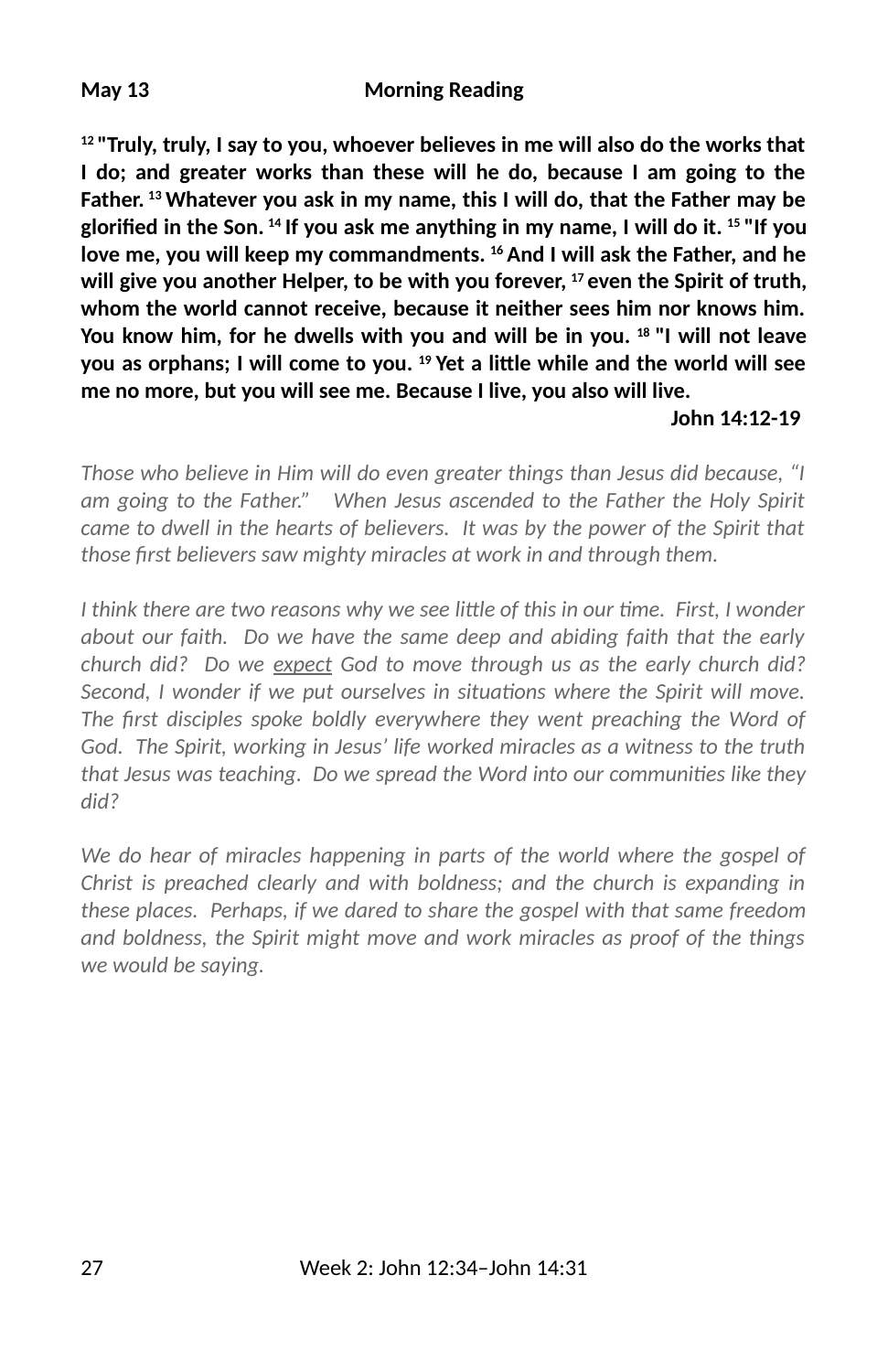#### **May 13 Morning Reading**

**12 "Truly, truly, I say to you, whoever believes in me will also do the works that I do; and greater works than these will he do, because I am going to the Father. 13 Whatever you ask in my name, this I will do, that the Father may be** glorified in the Son. <sup>14</sup> If you ask me anything in my name, I will do it. <sup>15</sup> "If you **love me, you will keep my commandments. 16 And I will ask the Father, and he will give you another Helper, to be with you forever, 17 even the Spirit of truth, whom the world cannot receive, because it neither sees him nor knows him. You know him, for he dwells with you and will be in you. 18 "I will not leave you as orphans; I will come to you. 19 Yet a li\$le while and the world will see me no more, but you will see me. Because I live, you also will live.** 

#### **John 14:12-19**

*Those who believe in Him will do even greater things than Jesus did because, "I am going to the Father." When Jesus ascended to the Father the Holy Spirit came to dwell in the hearts of believers. It was by the power of the Spirit that those first believers saw mighty miracles at work in and through them.* 

*I think there are two reasons why we see little of this in our time. First, I wonder about our faith. Do we have the same deep and abiding faith that the early church did? Do we expect God to move through us as the early church did? Second, I wonder if we put ourselves in situations where the Spirit will move.* The first disciples spoke boldly everywhere they went preaching the Word of *God. The Spirit, working in Jesus' life worked miracles as a witness to the truth that Jesus was teaching. Do we spread the Word into our communities like they did?* 

*We do hear of miracles happening in parts of the world where the gospel of Christ is preached clearly and with boldness; and the church is expanding in these places. Perhaps, if we dared to share the gospel with that same freedom and boldness, the Spirit might move and work miracles as proof of the things we would be saying.*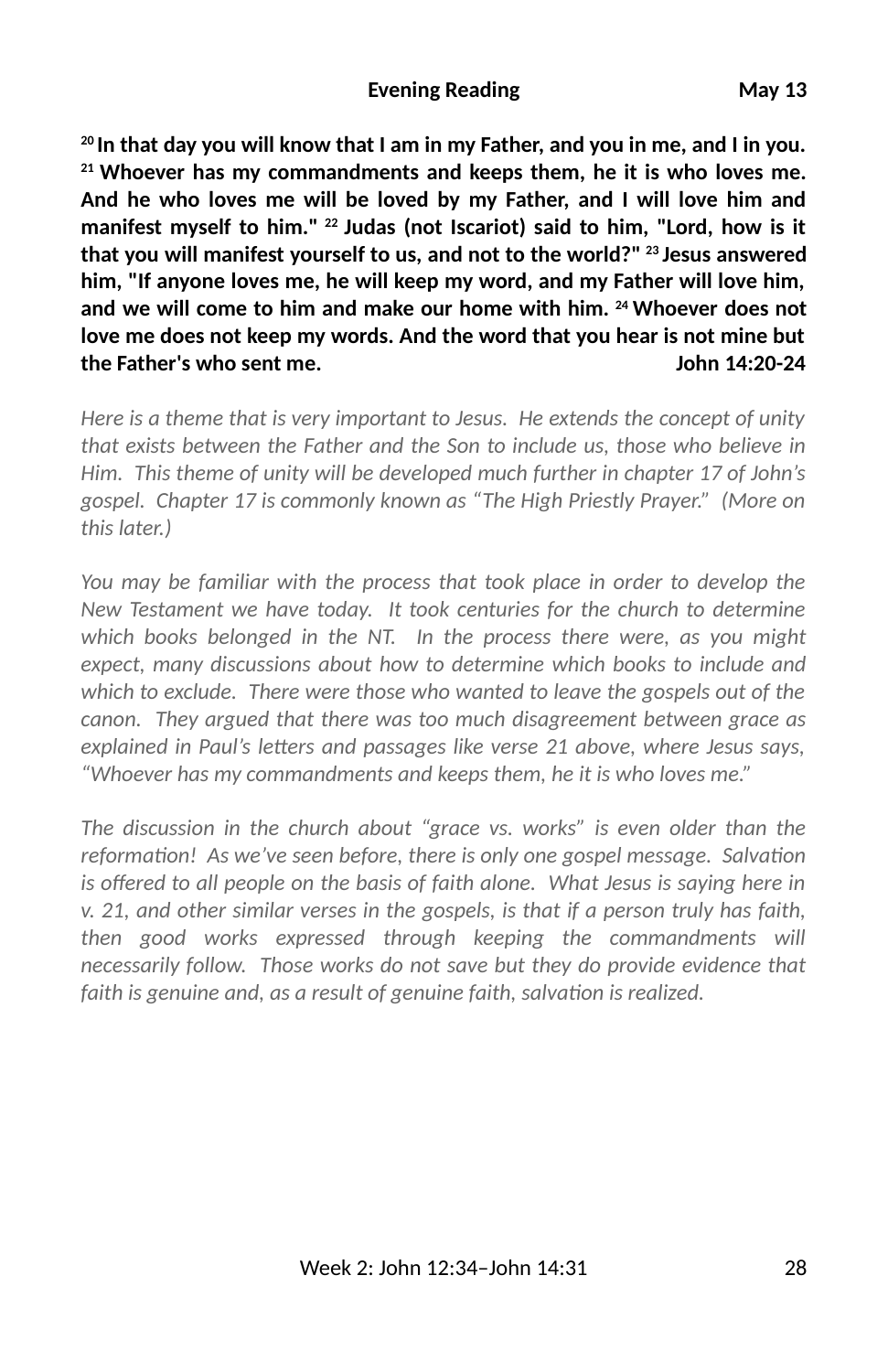#### **Evening Reading May 13**

**20 In that day you will know that I am in my Father, and you in me, and I in you. 21 Whoever has my commandments and keeps them, he it is who loves me. And he who loves me will be loved by my Father, and I will love him and manifest myself to him." 22 Judas (not Iscariot) said to him, "Lord, how is it that you will manifest yourself to us, and not to the world?" 23 Jesus answered him, "If anyone loves me, he will keep my word, and my Father will love him, and we will come to him and make our home with him. 24 Whoever does not love me does not keep my words. And the word that you hear is not mine but the Father's who sent me. John 14:20-24**

*Here is a theme that is very important to Jesus. He extends the concept of unity that exists between the Father and the Son to include us, those who believe in Him. This theme of unity will be developed much further in chapter 17 of John's gospel. Chapter 17 is commonly known as "The High Priestly Prayer." (More on this later.)*

*You may be familiar with the process that took place in order to develop the New Testament we have today. It took centuries for the church to determine which books belonged in the NT. In the process there were, as you might expect, many discussions about how to determine which books to include and which to exclude. There were those who wanted to leave the gospels out of the canon. They argued that there was too much disagreement between grace as* explained in Paul's letters and passages like verse 21 above, where Jesus says, *"Whoever has my commandments and keeps them, he it is who loves me."* 

*The discussion in the church about "grace vs. works" is even older than the reformation! As we've seen before, there is only one gospel message. Salvation is offered to all people on the basis of faith alone. What Jesus is saying here in v. 21, and other similar verses in the gospels, is that if a person truly has faith, then good works expressed through keeping the commandments will necessarily follow. Those works do not save but they do provide evidence that* faith is genuine and, as a result of genuine faith, salvation is realized.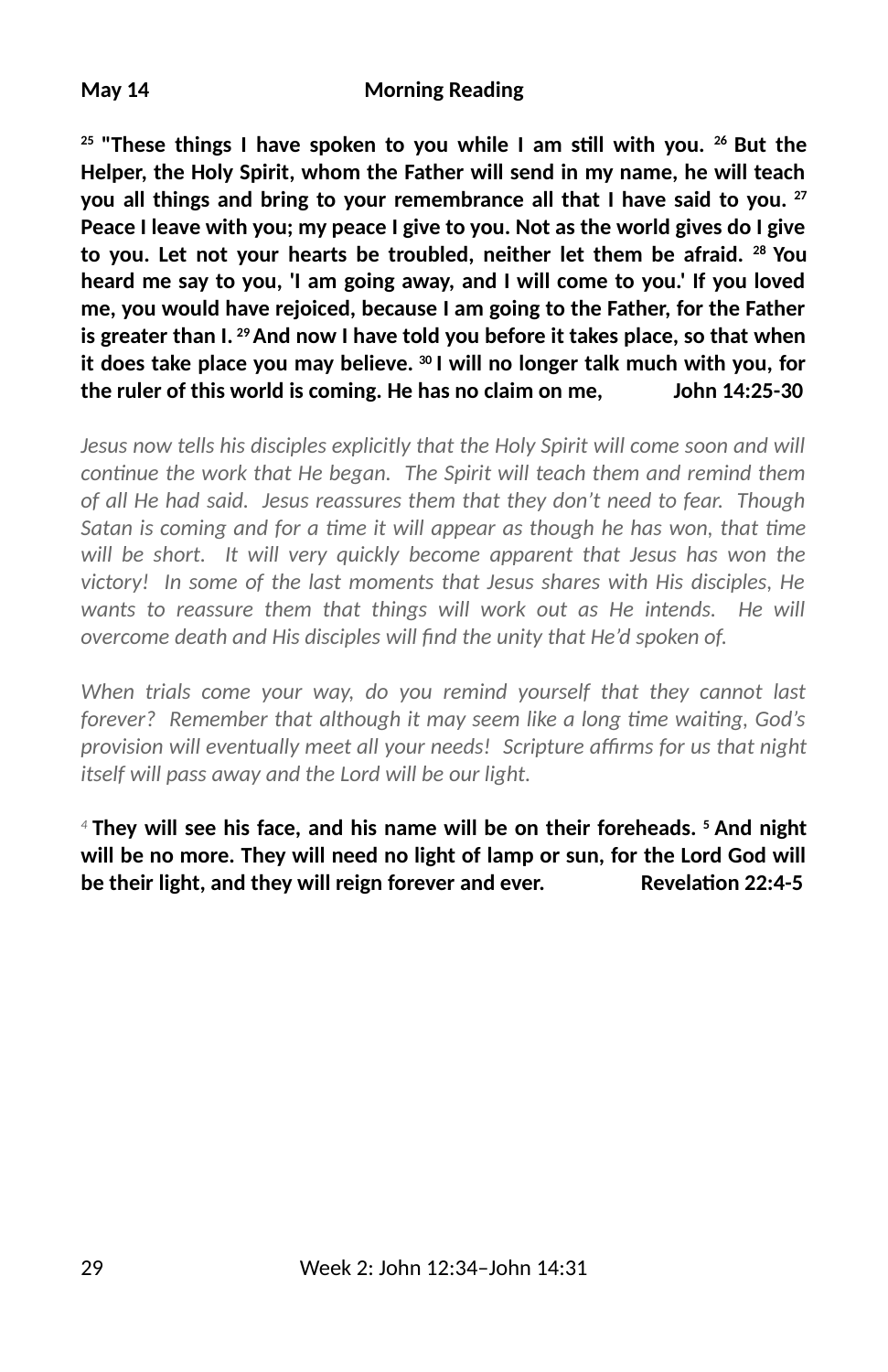#### **May 14 Morning Reading**

<sup>25</sup> "These things I have spoken to you while I am still with you. <sup>26</sup> But the **Helper, the Holy Spirit, whom the Father will send in my name, he will teach you all things and bring to your remembrance all that I have said to you. 27 Peace I leave with you; my peace I give to you. Not as the world gives do I give to you. Let not your hearts be troubled, neither let them be afraid. 28 You heard me say to you, 'I am going away, and I will come to you.' If you loved me, you would have rejoiced, because I am going to the Father, for the Father is greater than I. 29 And now I have told you before it takes place, so that when it does take place you may believe. 30 I will no longer talk much with you, for the ruler of this world is coming. He has no claim on me, John 14:25-30**

*Jesus now tells his disciples explicitly that the Holy Spirit will come soon and will continue the work that He began. The Spirit will teach them and remind them of all He had said. Jesus reassures them that they don't need to fear. Though Satan is coming and for a time it will appear as though he has won, that time will be short. It will very quickly become apparent that Jesus has won the victory! In some of the last moments that Jesus shares with His disciples, He wants to reassure them that things will work out as He intends. He will overcome death and His disciples will find the unity that He'd spoken of.* 

*When trials come your way, do you remind yourself that they cannot last forever?* Remember that although it may seem like a long time waiting, God's *provision will eventually meet all your needs! Scripture affirms for us that night itself will pass away and the Lord will be our light.*

*<sup>4</sup>***They will see his face, and his name will be on their foreheads. 5 And night will be no more. They will need no light of lamp or sun, for the Lord God will be their light, and they will reign forever and ever. Revelation 22:4-5**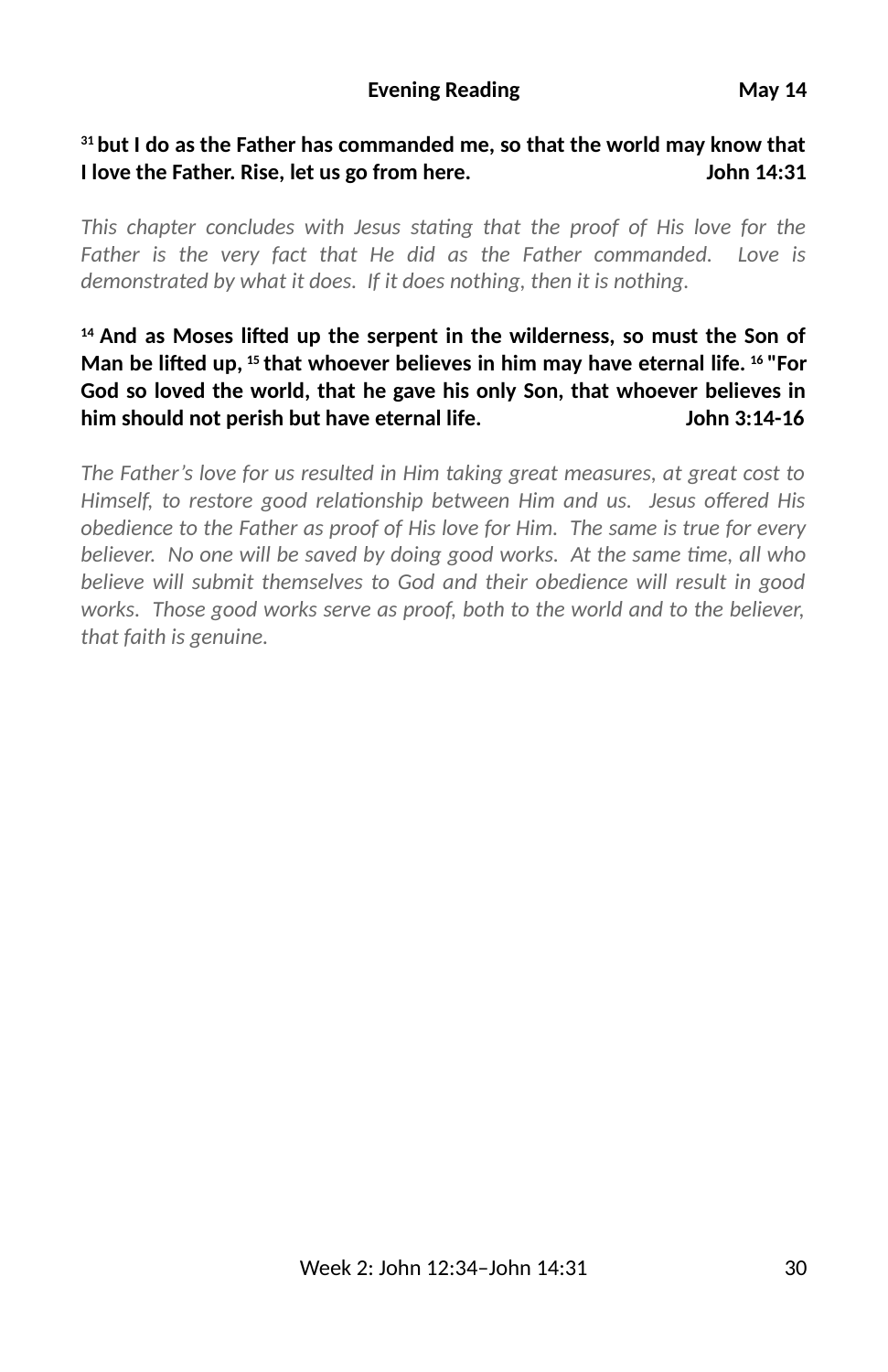#### **31 but I do as the Father has commanded me, so that the world may know that I love the Father. Rise, let us go from here. John 14:31**

This chapter concludes with Jesus stating that the proof of His love for the *Father is the very fact that He did as the Father commanded. Love is demonstrated by what it does. If it does nothing, then it is nothing.* 

#### <sup>14</sup> And as Moses lifted up the serpent in the wilderness, so must the Son of **Man be li6ed up, 15 that whoever believes in him may have eternal life. 16 "For God so loved the world, that he gave his only Son, that whoever believes in him should not perish but have eternal life. John 3:14-16**

*The Father's love for us resulted in Him taking great measures, at great cost to* Himself, to restore good relationship between Him and us. Jesus offered His *obedience to the Father as proof of His love for Him. The same is true for every believer.* No one will be saved by doing good works. At the same time, all who *believe will submit themselves to God and their obedience will result in good works. Those good works serve as proof, both to the world and to the believer, that faith is genuine.*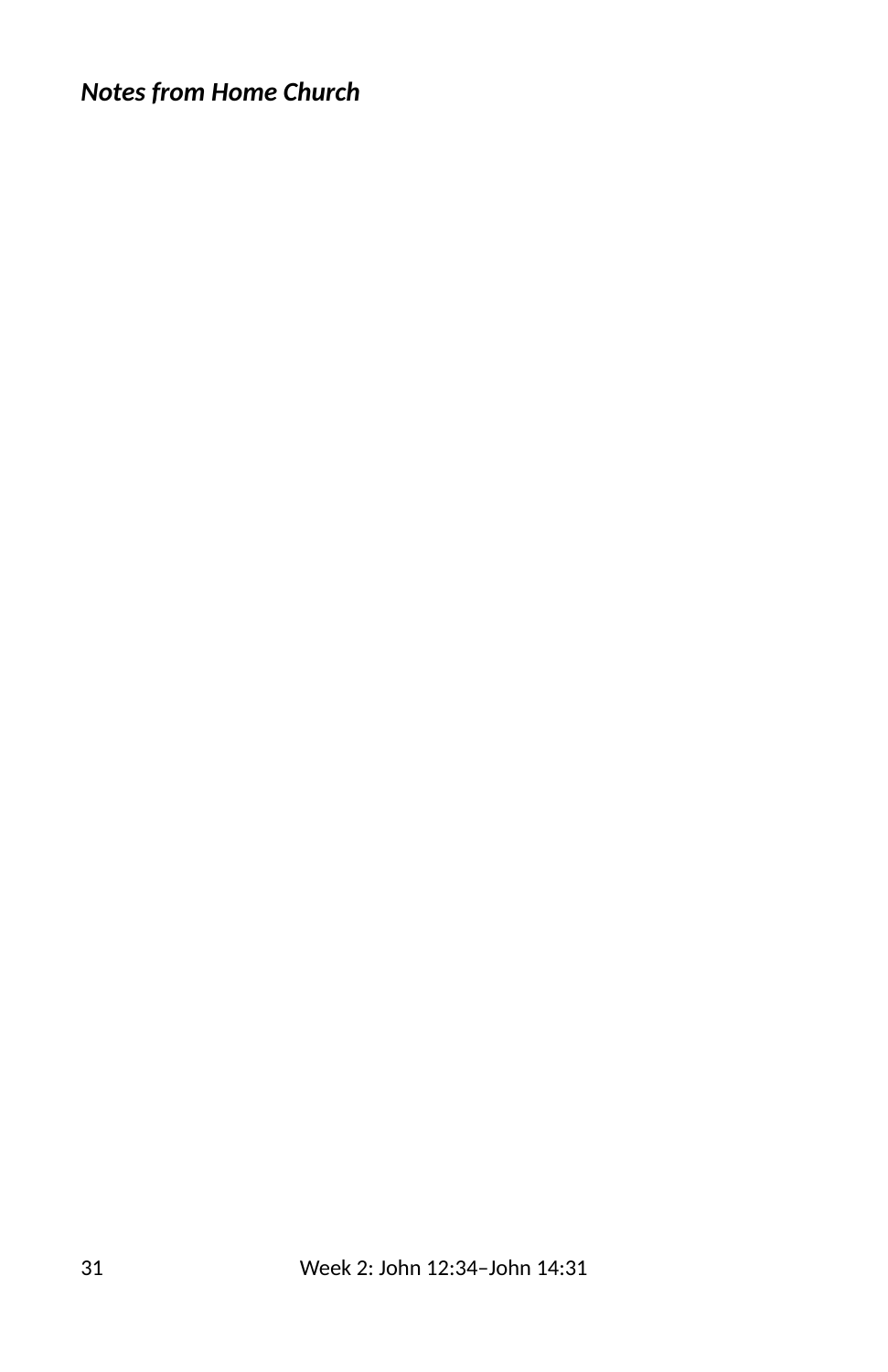# *Notes from Home Church*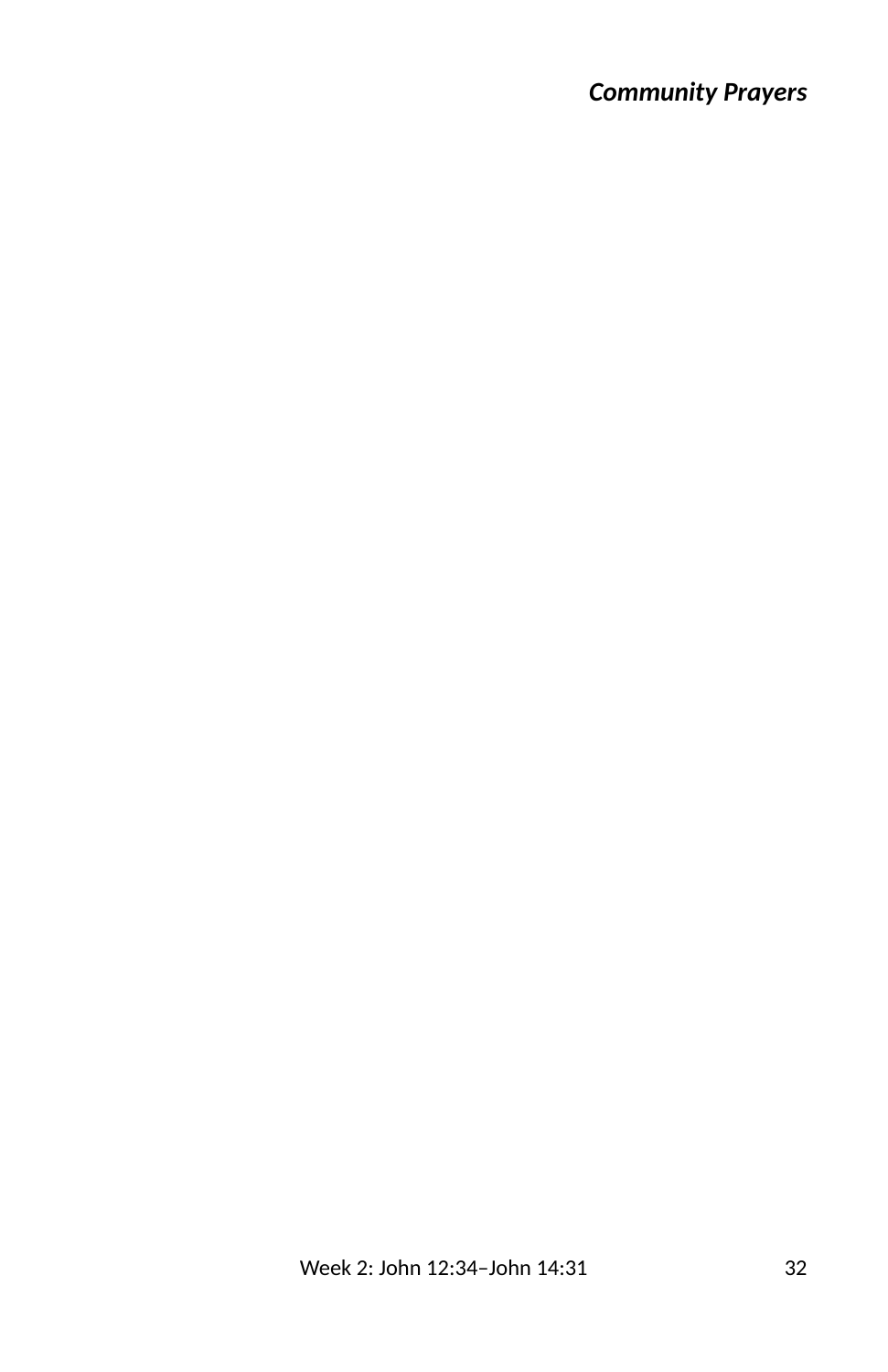# *Community Prayers*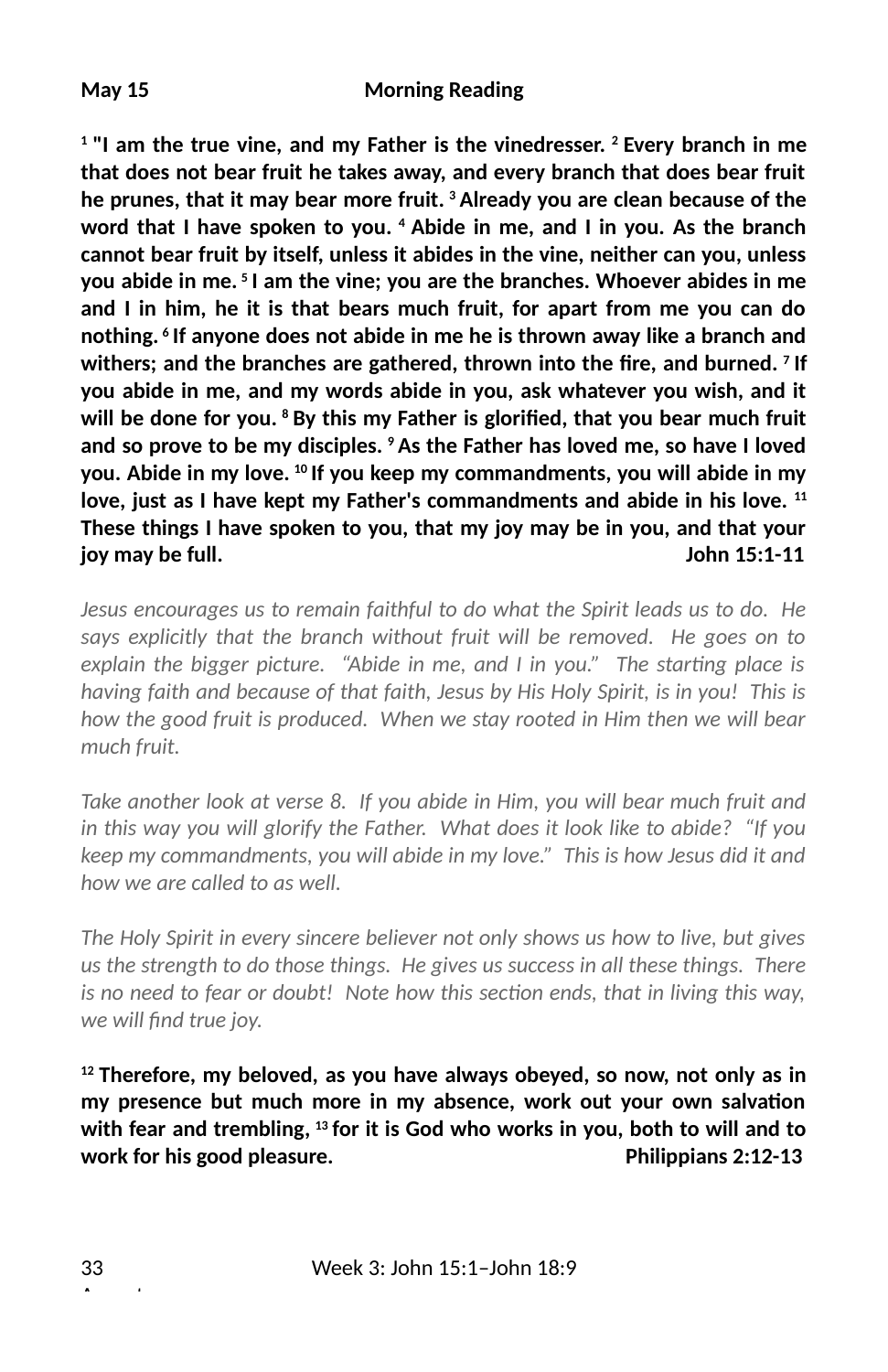**1 "I am the true vine, and my Father is the vinedresser. 2 Every branch in me that does not bear fruit he takes away, and every branch that does bear fruit he prunes, that it may bear more fruit. 3 Already you are clean because of the word that I have spoken to you. 4 Abide in me, and I in you. As the branch cannot bear fruit by itself, unless it abides in the vine, neither can you, unless you abide in me. 5 I am the vine; you are the branches. Whoever abides in me and I in him, he it is that bears much fruit, for apart from me you can do nothing. 6 If anyone does not abide in me he is thrown away like a branch and** withers; and the branches are gathered, thrown into the fire, and burned. <sup>7</sup> If **you abide in me, and my words abide in you, ask whatever you wish, and it** will be done for you. <sup>8</sup> By this my Father is glorified, that you bear much fruit **and so prove to be my disciples. 9 As the Father has loved me, so have I loved you. Abide in my love. 10 If you keep my commandments, you will abide in my love, just as I have kept my Father's commandments and abide in his love. 11 These things I have spoken to you, that my joy may be in you, and that your joy may be full. John 15:1-11**

*Jesus encourages us to remain faithful to do what the Spirit leads us to do. He says explicitly that the branch without fruit will be removed. He goes on to explain the bigger picture. "Abide in me, and I in you." The starting place is having faith and because of that faith, Jesus by His Holy Spirit, is in you! This is how the good fruit is produced. When we stay rooted in Him then we will bear much fruit.* 

*Take another look at verse 8. If you abide in Him, you will bear much fruit and in this way you will glorify the Father. What does it look like to abide? "If you keep my commandments, you will abide in my love." This is how Jesus did it and how we are called to as well.* 

*The Holy Spirit in every sincere believer not only shows us how to live, but gives us the strength to do those things. He gives us success in all these things. There is no need to fear or doubt! Note how this section ends, that in living this way, we will 3nd true joy.*

**12 Therefore, my beloved, as you have always obeyed, so now, not only as in** my presence but much more in my absence, work out your own salvation **with fear and trembling, 13 for it is God who works in you, both to will and to work for his good pleasure. Philippians 2:12-13**

August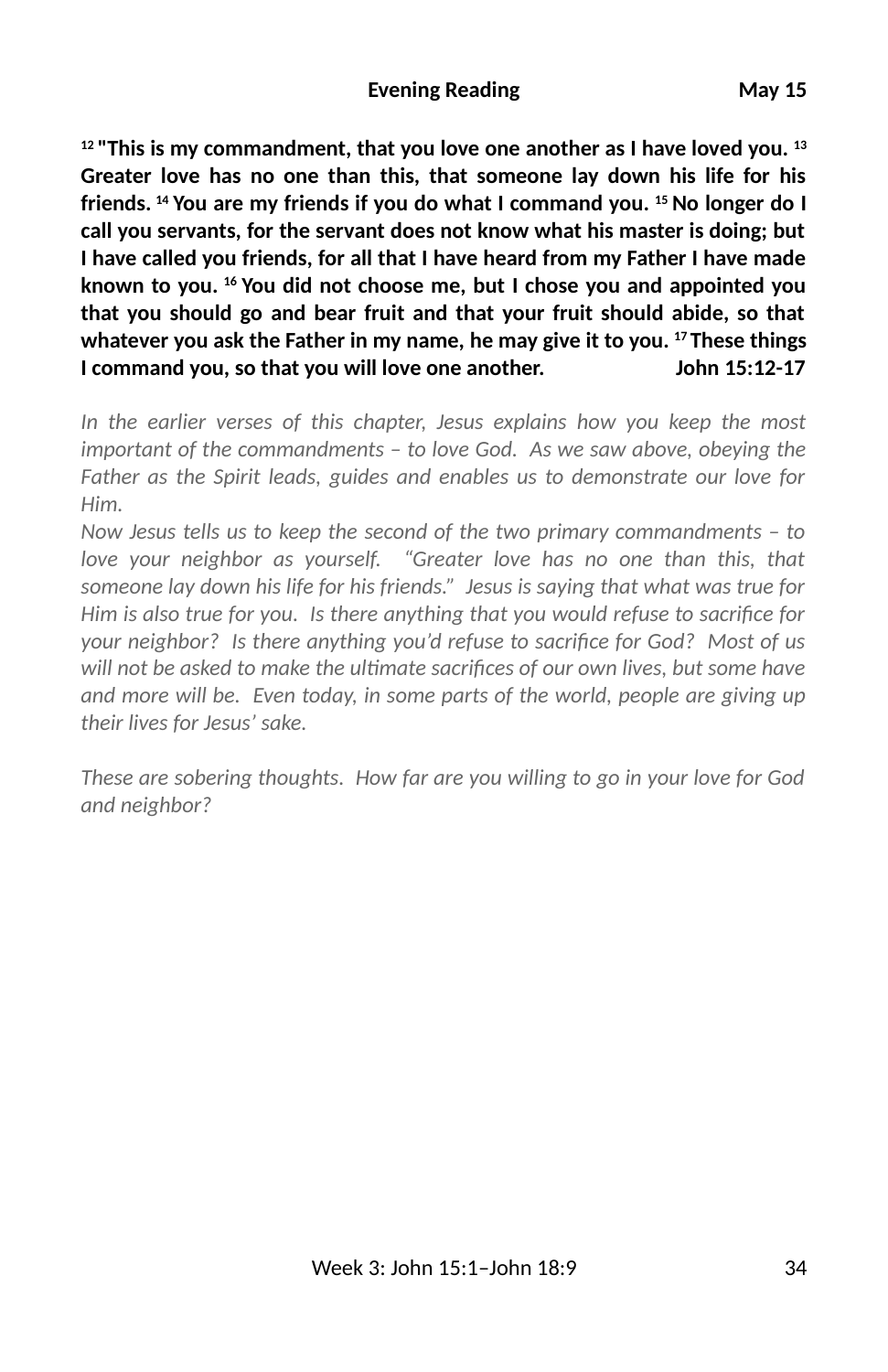**12 "This is my commandment, that you love one another as I have loved you. 13 Greater love has no one than this, that someone lay down his life for his friends. 14 You are my friends if you do what I command you. 15 No longer do I call you servants, for the servant does not know what his master is doing; but I have called you friends, for all that I have heard from my Father I have made known to you. 16 You did not choose me, but I chose you and appointed you that you should go and bear fruit and that your fruit should abide, so that whatever you ask the Father in my name, he may give it to you. 17 These things I command you, so that you will love one another. John 15:12-17**

*In the earlier verses of this chapter, Jesus explains how you keep the most important of the commandments – to love God. As we saw above, obeying the Father as the Spirit leads, guides and enables us to demonstrate our love for Him.* 

*Now Jesus tells us to keep the second of the two primary commandments – to love your neighbor as yourself. "Greater love has no one than this, that someone lay down his life for his friends." Jesus is saying that what was true for Him is also true for you. Is there anything that you would refuse to sacrifice for your neighbor? Is there anything you'd refuse to sacrifice for God? Most of us will not be asked to make the ultimate sacrifices of our own lives, but some have and more will be. Even today, in some parts of the world, people are giving up their lives for Jesus' sake.*

*These are sobering thoughts. How far are you willing to go in your love for God and neighbor?*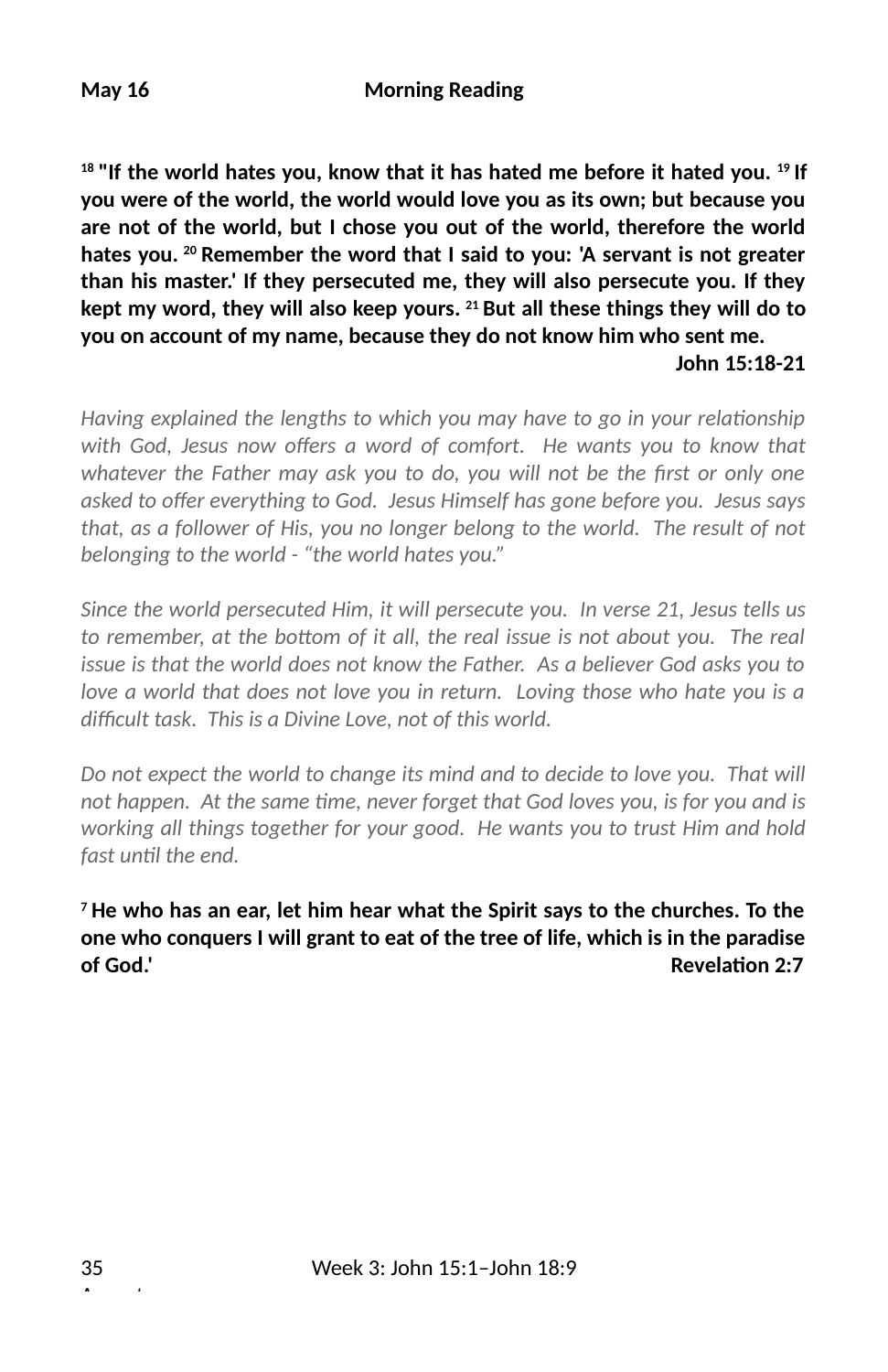**18 "If the world hates you, know that it has hated me before it hated you. 19 If you were of the world, the world would love you as its own; but because you are not of the world, but I chose you out of the world, therefore the world hates you. 20 Remember the word that I said to you: 'A servant is not greater than his master.' If they persecuted me, they will also persecute you. If they kept my word, they will also keep yours. 21 But all these things they will do to you on account of my name, because they do not know him who sent me. John 15:18-21**

*Having explained the lengths to which you may have to go in your relationship* with God, Jesus now offers a word of comfort. He wants you to know that whatever the Father may ask you to do, you will not be the first or only one asked to offer everything to God. Jesus Himself has gone before you. Jesus says *that, as a follower of His, you no longer belong to the world. The result of not belonging to the world - "the world hates you."* 

*Since the world persecuted Him, it will persecute you. In verse 21, Jesus tells us* to remember, at the bottom of it all, the real issue is not about you. The real *issue is that the world does not know the Father. As a believer God asks you to love a world that does not love you in return. Loving those who hate you is a* difficult task. This is a Divine Love, not of this world.

*Do not expect the world to change its mind and to decide to love you. That will not happen. At the same time, never forget that God loves you, is for you and is working all things together for your good. He wants you to trust Him and hold* fast until the end.

**7 He who has an ear, let him hear what the Spirit says to the churches. To the one who conquers I will grant to eat of the tree of life, which is in the paradise of God.' Contract Contract Contract Contract Contract Contract Contract Contract Contract Contract Contract Contract Contract Contract Contract Contract Contract Contract Contract Contract Contract Contract Contract Con** 

August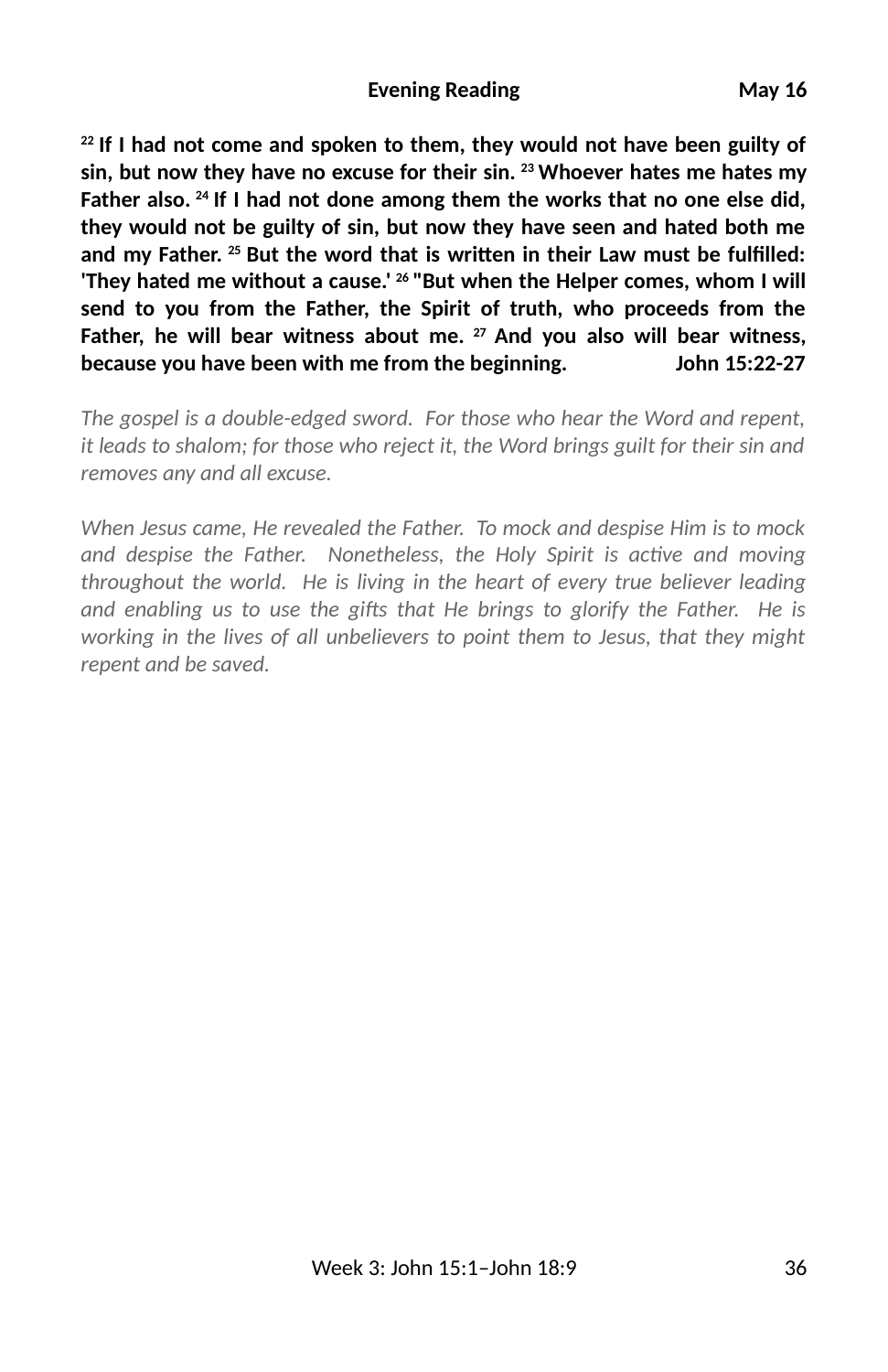**22 If I had not come and spoken to them, they would not have been guilty of sin, but now they have no excuse for their sin. 23 Whoever hates me hates my Father also. 24 If I had not done among them the works that no one else did, they would not be guilty of sin, but now they have seen and hated both me** and my Father. <sup>25</sup> But the word that is written in their Law must be fulfilled: **'They hated me without a cause.' 26 "But when the Helper comes, whom I will send to you from the Father, the Spirit of truth, who proceeds from the Father, he will bear witness about me. 27 And you also will bear witness, because you have been with me from the beginning. John 15:22-27**

*The gospel is a double-edged sword. For those who hear the Word and repent, it leads to shalom; for those who reject it, the Word brings guilt for their sin and removes any and all excuse.* 

*When Jesus came, He revealed the Father. To mock and despise Him is to mock* and despise the Father. Nonetheless, the Holy Spirit is active and moving *throughout the world. He is living in the heart of every true believer leading* and enabling us to use the gifts that He brings to glorify the Father. He is *working in the lives of all unbelievers to point them to Jesus, that they might repent and be saved.*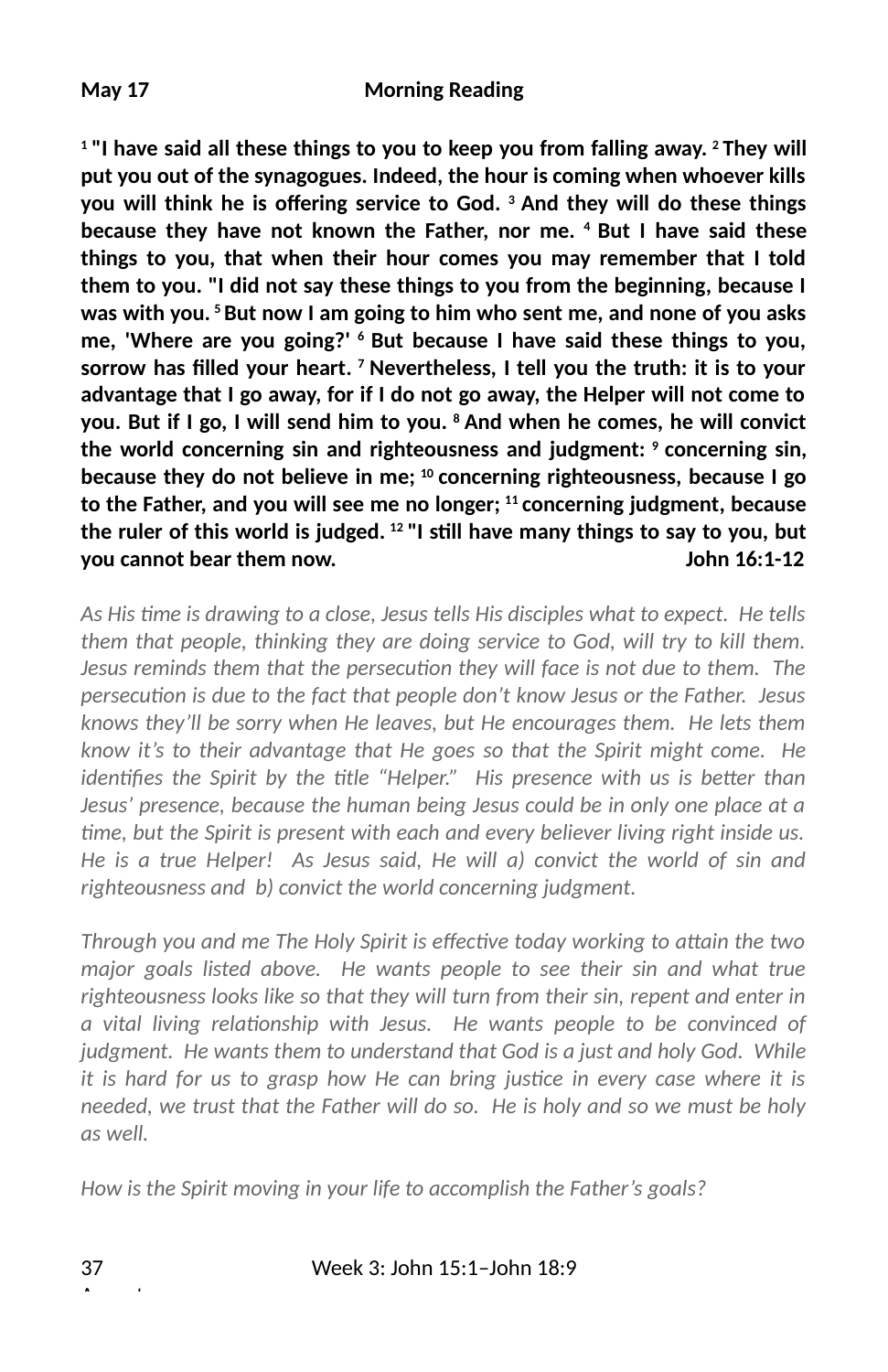**1 "I have said all these things to you to keep you from falling away. 2 They will put you out of the synagogues. Indeed, the hour is coming when whoever kills** you will think he is offering service to God. <sup>3</sup> And they will do these things **because they have not known the Father, nor me. 4 But I have said these things to you, that when their hour comes you may remember that I told them to you. "I did not say these things to you from the beginning, because I was with you. 5 But now I am going to him who sent me, and none of you asks me, 'Where are you going?' 6 But because I have said these things to you, sorrow has 2lled your heart. 7 Nevertheless, I tell you the truth: it is to your advantage that I go away, for if I do not go away, the Helper will not come to you. But if I go, I will send him to you. 8 And when he comes, he will convict the world concerning sin and righteousness and judgment: 9 concerning sin, because they do not believe in me; 10 concerning righteousness, because I go to the Father, and you will see me no longer; 11 concerning judgment, because** the ruler of this world is judged. <sup>12</sup> "I still have many things to say to you, but **you cannot bear them now. John 16:1-12**

*As His me is drawing to a close, Jesus tells His disciples what to expect. He tells them that people, thinking they are doing service to God, will try to kill them. Jesus reminds them that the persecution they will face is not due to them. The persecution is due to the fact that people don't know Jesus or the Father. Jesus knows they'll be sorry when He leaves, but He encourages them. He lets them know it's to their advantage that He goes so that the Spirit might come. He identifies the Spirit by the title "Helper."* His presence with us is better than *Jesus' presence, because the human being Jesus could be in only one place at a me, but the Spirit is present with each and every believer living right inside us. He is a true Helper! As Jesus said, He will a) convict the world of sin and righteousness and b) convict the world concerning judgment.*

*Through you and me The Holy Spirit is effective today working to attain the two major goals listed above. He wants people to see their sin and what true righteousness looks like so that they will turn from their sin, repent and enter in* a vital living relationship with Jesus. He wants people to be convinced of *judgment. He wants them to understand that God is a just and holy God. While it is hard for us to grasp how He can bring justice in every case where it is needed, we trust that the Father will do so. He is holy and so we must be holy as well.*

*How is the Spirit moving in your life to accomplish the Father's goals?*

August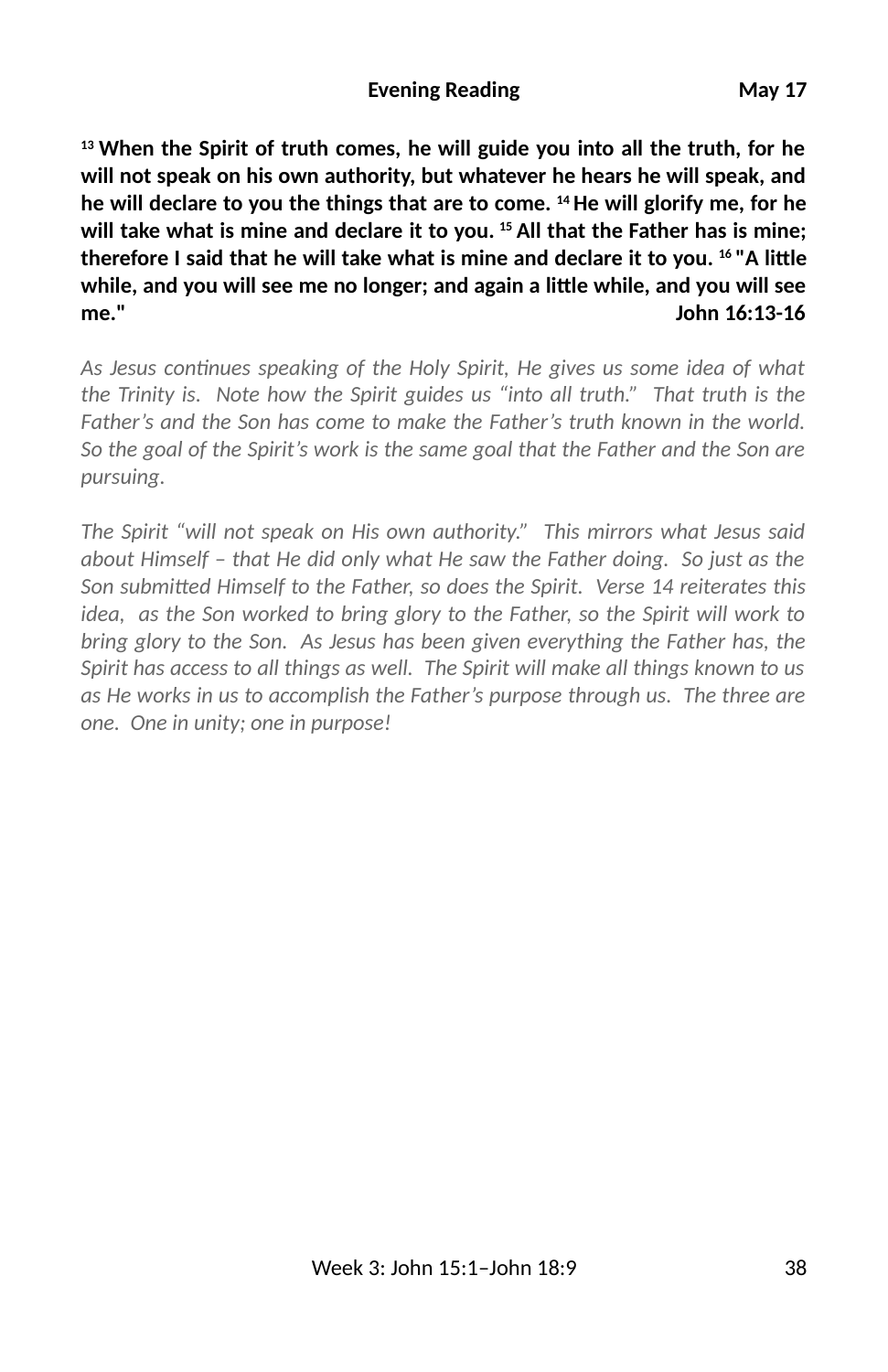**13 When the Spirit of truth comes, he will guide you into all the truth, for he will not speak on his own authority, but whatever he hears he will speak, and he will declare to you the things that are to come. 14 He will glorify me, for he will take what is mine and declare it to you. 15 All that the Father has is mine;** therefore I said that he will take what is mine and declare it to you. <sup>16</sup> "A little **while, and you will see me no longer; and again a li\$le while, and you will see me." John 16:13-16**

As Jesus continues speaking of the Holy Spirit, He gives us some idea of what *the Trinity is. Note how the Spirit guides us "into all truth." That truth is the Father's and the Son has come to make the Father's truth known in the world. So the goal of the Spirit's work is the same goal that the Father and the Son are pursuing.* 

*The Spirit "will not speak on His own authority." This mirrors what Jesus said about Himself – that He did only what He saw the Father doing. So just as the* Son submitted Himself to the Father, so does the Spirit. Verse 14 reiterates this *idea, as the Son worked to bring glory to the Father, so the Spirit will work to bring glory to the Son. As Jesus has been given everything the Father has, the Spirit has access to all things as well. The Spirit will make all things known to us as He works in us to accomplish the Father's purpose through us. The three are one. One in unity; one in purpose!*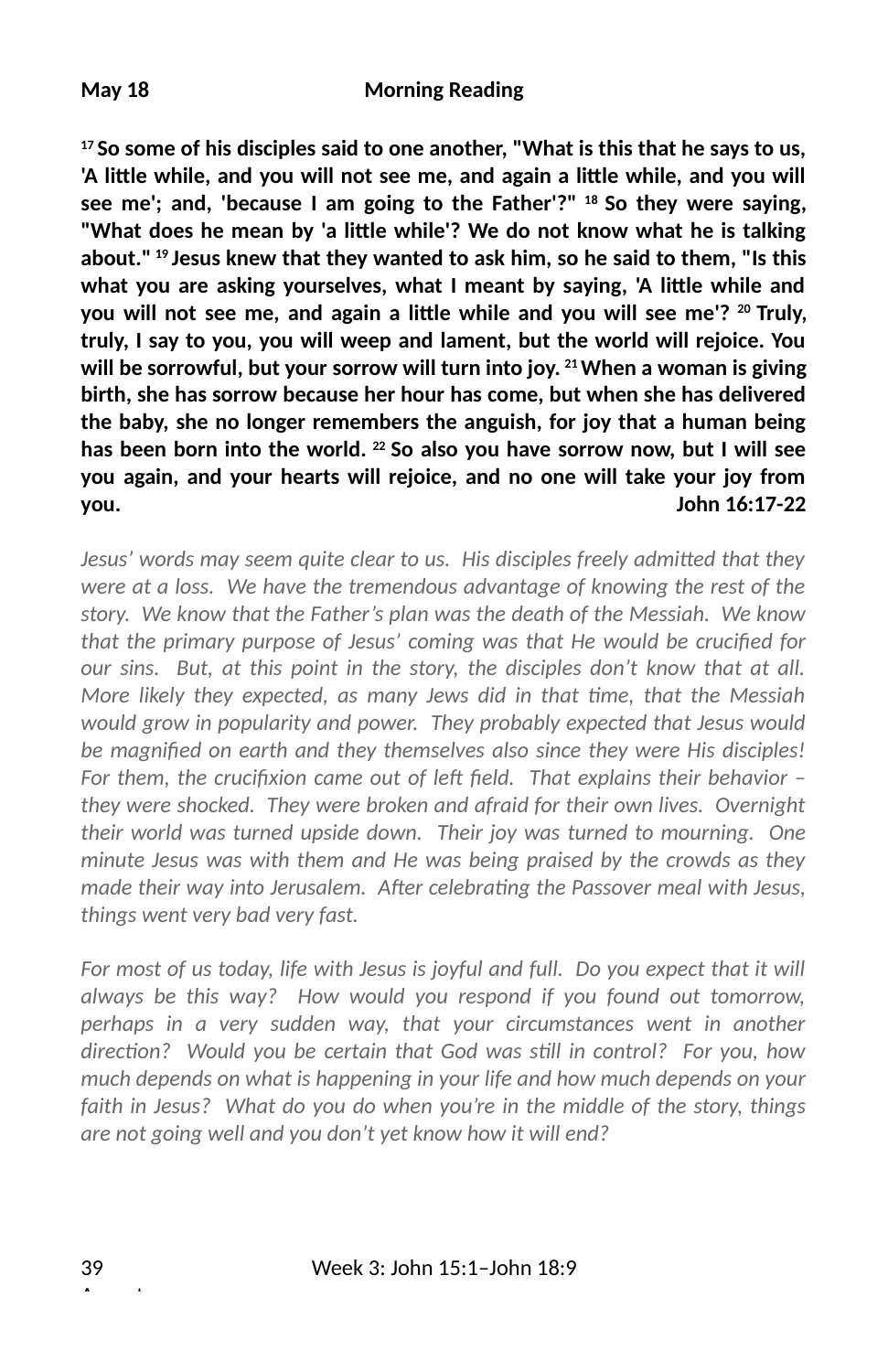**17 So some of his disciples said to one another, "What is this that he says to us,** 'A little while, and you will not see me, and again a little while, and you will **see me'; and, 'because I am going to the Father'?" 18 So they were saying,** "What does he mean by 'a little while'? We do not know what he is talking **about." 19 Jesus knew that they wanted to ask him, so he said to them, "Is this** what you are asking yourselves, what I meant by saying, 'A little while and you will not see me, and again a little while and you will see me'? <sup>20</sup> Truly, **truly, I say to you, you will weep and lament, but the world will rejoice. You will be sorrowful, but your sorrow will turn into joy. 21 When a woman is giving birth, she has sorrow because her hour has come, but when she has delivered the baby, she no longer remembers the anguish, for joy that a human being has been born into the world. 22 So also you have sorrow now, but I will see you again, and your hearts will rejoice, and no one will take your joy from you. John 16:17-22**

*Jesus' words may seem quite clear to us. His disciples freely admitted that they were at a loss. We have the tremendous advantage of knowing the rest of the story. We know that the Father's plan was the death of the Messiah. We know* that the primary purpose of Jesus' coming was that He would be crucified for *our sins. But, at this point in the story, the disciples don't know that at all. More likely they expected, as many Jews did in that me, that the Messiah would grow in popularity and power. They probably expected that Jesus would* be magnified on earth and they themselves also since they were His disciples! For them, the crucifixion came out of left field. That explains their behavior – *they were shocked. They were broken and afraid for their own lives. Overnight their world was turned upside down. Their joy was turned to mourning. One minute Jesus was with them and He was being praised by the crowds as they* made their way into Jerusalem. After celebrating the Passover meal with Jesus, *things went very bad very fast.*

*For most of us today, life with Jesus is joyful and full. Do you expect that it will always be this way? How would you respond if you found out tomorrow, perhaps in a very sudden way, that your circumstances went in another* direction? Would you be certain that God was still in control? For you, how *much depends on what is happening in your life and how much depends on your faith in Jesus? What do you do when you're in the middle of the story, things are not going well and you don't yet know how it will end?*

August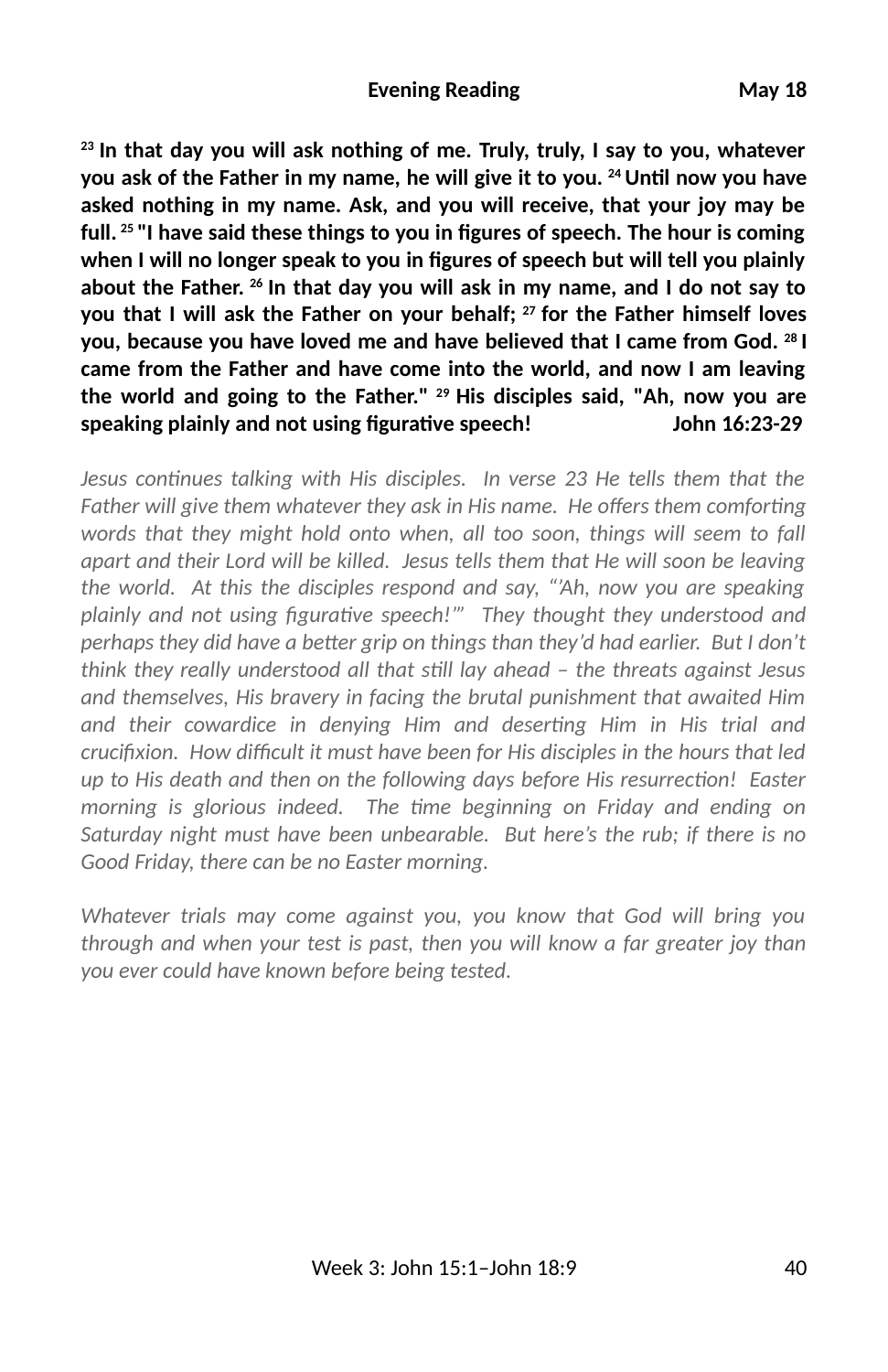**23 In that day you will ask nothing of me. Truly, truly, I say to you, whatever** you ask of the Father in my name, he will give it to you. <sup>24</sup> Until now you have **asked nothing in my name. Ask, and you will receive, that your joy may be** full.<sup>25 "</sup>I have said these things to you in figures of speech. The hour is coming **when I will no longer speak to you in 2gures of speech but will tell you plainly about the Father. 26 In that day you will ask in my name, and I do not say to you that I will ask the Father on your behalf; 27 for the Father himself loves you, because you have loved me and have believed that I came from God. 28 I came from the Father and have come into the world, and now I am leaving the world and going to the Father." 29 His disciples said, "Ah, now you are speaking plainly and not using 2gurave speech! John 16:23-29**

*Jesus continues talking with His disciples. In verse 23 He tells them that the* Father will give them whatever they ask in His name. He offers them comforting *words that they might hold onto when, all too soon, things will seem to fall apart and their Lord will be killed. Jesus tells them that He will soon be leaving the world. At this the disciples respond and say, "'Ah, now you are speaking* plainly and not using figurative speech!"" They thought they understood and *perhaps they did have a better grip on things than they'd had earlier. But I don't think they really understood all that sll lay ahead – the threats against Jesus and themselves, His bravery in facing the brutal punishment that awaited Him* and their cowardice in denying Him and deserting Him in His trial and *crucifixion. How difficult it must have been for His disciples in the hours that led* up to His death and then on the following days before His resurrection! Easter *morning is glorious indeed. The me beginning on Friday and ending on Saturday night must have been unbearable. But here's the rub; if there is no Good Friday, there can be no Easter morning.*

*Whatever trials may come against you, you know that God will bring you through and when your test is past, then you will know a far greater joy than you ever could have known before being tested.*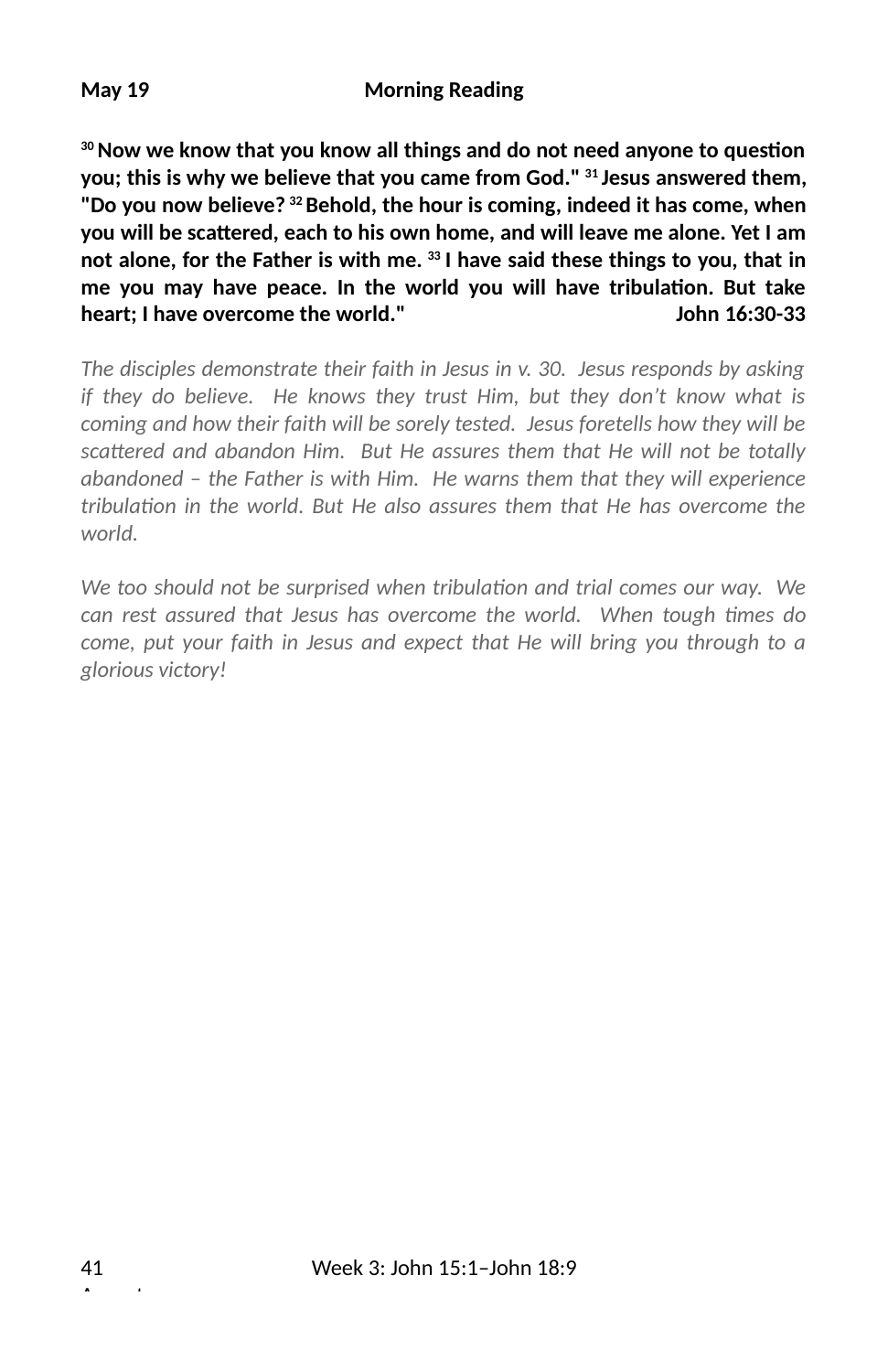**May 19 Morning Reading**

<sup>30</sup> Now we know that you know all things and do not need anyone to question **you; this is why we believe that you came from God." 31 Jesus answered them, "Do you now believe? 32 Behold, the hour is coming, indeed it has come, when you will be sca\$ered, each to his own home, and will leave me alone. Yet I am not alone, for the Father is with me. 33 I have said these things to you, that in** me you may have peace. In the world you will have tribulation. But take **heart; I have overcome the world." John 16:30-33**

*The disciples demonstrate their faith in Jesus in v. 30. Jesus responds by asking if they do believe. He knows they trust Him, but they don't know what is coming and how their faith will be sorely tested. Jesus foretells how they will be* scattered and abandon Him. But He assures them that He will not be totally *abandoned – the Father is with Him. He warns them that they will experience tribulation in the world. But He also assures them that He has overcome the world.*

We too should not be surprised when tribulation and trial comes our way. We can rest assured that Jesus has overcome the world. When tough times do *come, put your faith in Jesus and expect that He will bring you through to a glorious victory!*

August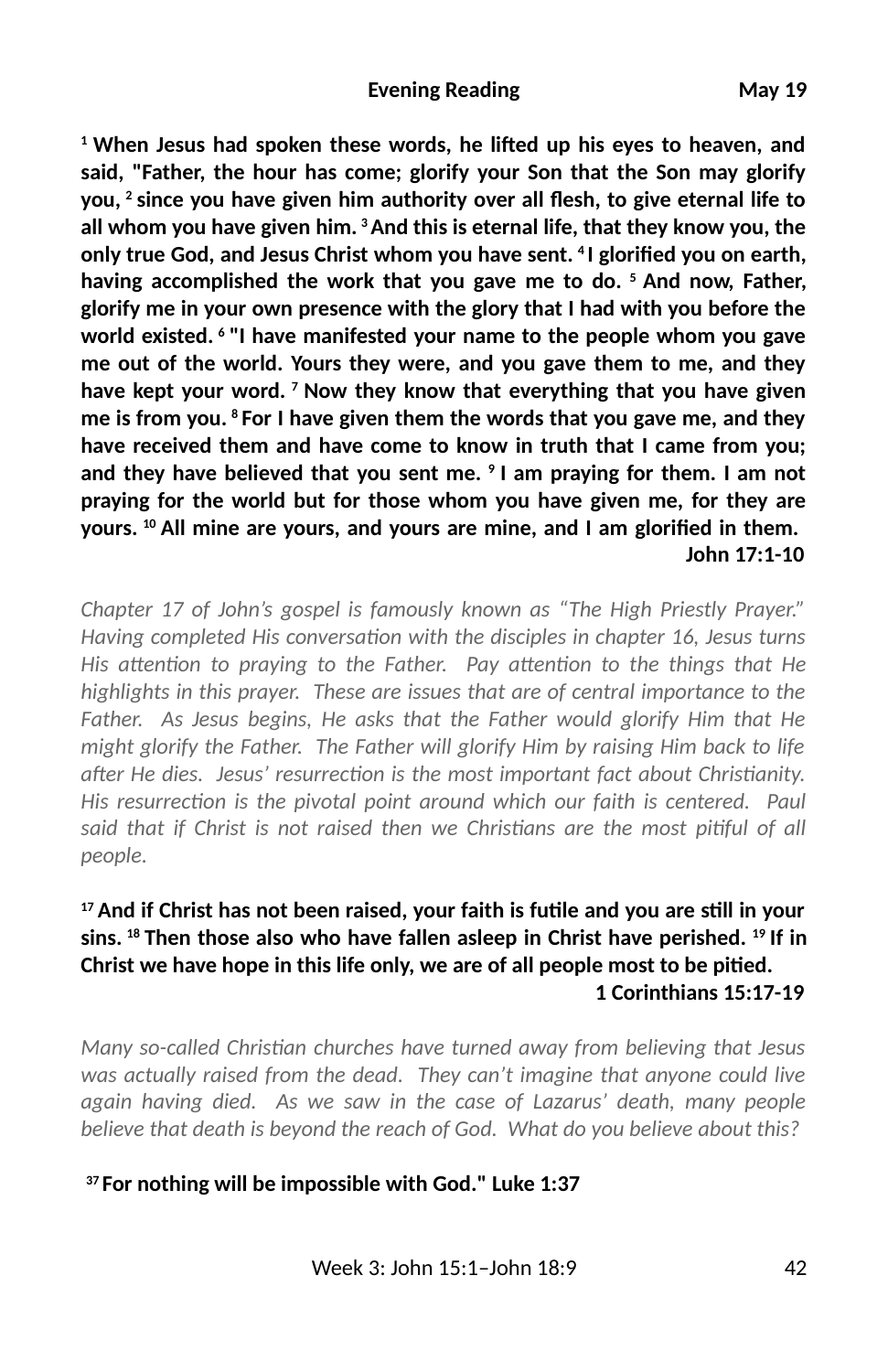<sup>1</sup> When Jesus had spoken these words, he lifted up his eyes to heaven, and **said, "Father, the hour has come; glorify your Son that the Son may glorify** you, <sup>2</sup> since you have given him authority over all flesh, to give eternal life to **all whom you have given him. 3 And this is eternal life, that they know you, the** only true God, and Jesus Christ whom you have sent. <sup>4</sup>I glorified you on earth, **having accomplished the work that you gave me to do. 5 And now, Father, glorify me in your own presence with the glory that I had with you before the world existed. 6 "I have manifested your name to the people whom you gave me out of the world. Yours they were, and you gave them to me, and they have kept your word. 7 Now they know that everything that you have given me is from you. 8 For I have given them the words that you gave me, and they have received them and have come to know in truth that I came from you; and they have believed that you sent me. 9 I am praying for them. I am not praying for the world but for those whom you have given me, for they are** yours. <sup>10</sup> All mine are yours, and yours are mine, and I am glorified in them.  **John 17:1-10**

*Chapter 17 of John's gospel is famously known as "The High Priestly Prayer." Having completed His conversation with the disciples in chapter 16, Jesus turns His attention to praying to the Father. Pay attention to the things that He highlights in this prayer. These are issues that are of central importance to the Father. As Jesus begins, He asks that the Father would glorify Him that He might glorify the Father. The Father will glorify Him by raising Him back to life after He dies. Jesus' resurrection is the most important fact about Christianity. His resurrection is the pivotal point around which our faith is centered. Paul* said that if Christ is not raised then we Christians are the most pitiful of all *people.*

## <sup>17</sup> And if Christ has not been raised, your faith is futile and you are still in your **sins. 18 Then those also who have fallen asleep in Christ have perished. 19 If in Christ we have hope in this life only, we are of all people most to be pitied. 1 Corinthians 15:17-19**

*Many so-called Christian churches have turned away from believing that Jesus was actually raised from the dead. They can't imagine that anyone could live again having died. As we saw in the case of Lazarus' death, many people believe that death is beyond the reach of God. What do you believe about this?*

## **37 For nothing will be impossible with God." Luke 1:37**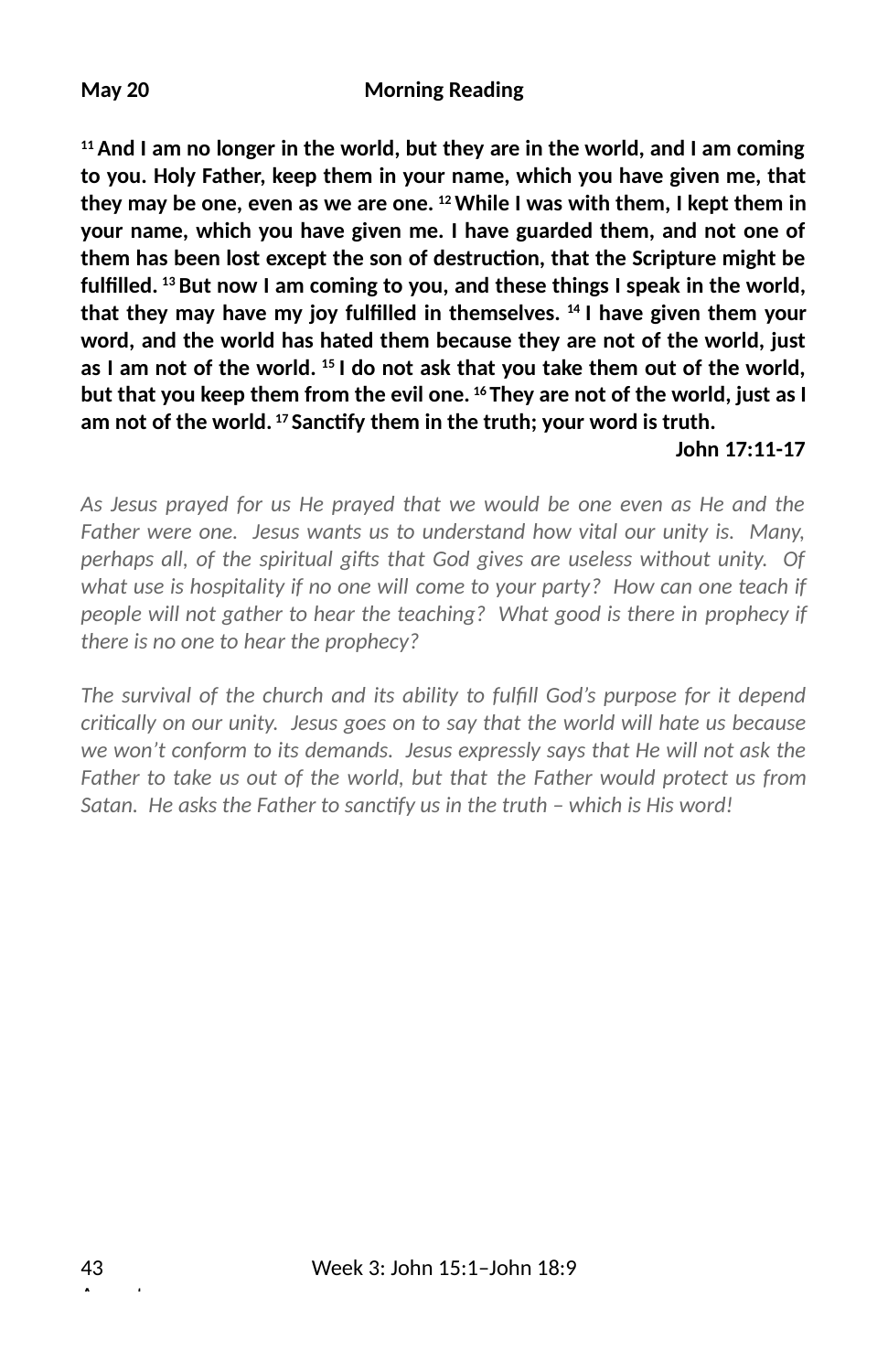**11 And I am no longer in the world, but they are in the world, and I am coming to you. Holy Father, keep them in your name, which you have given me, that they may be one, even as we are one. 12 While I was with them, I kept them in your name, which you have given me. I have guarded them, and not one of** them has been lost except the son of destruction, that the Scripture might be **ful2lled. 13 But now I am coming to you, and these things I speak in the world, that they may have my joy ful2lled in themselves. 14 I have given them your word, and the world has hated them because they are not of the world, just as I am not of the world. 15 I do not ask that you take them out of the world, but that you keep them from the evil one. 16 They are not of the world, just as I** am not of the world.<sup>17</sup> Sanctify them in the truth; your word is truth.

#### **John 17:11-17**

*As Jesus prayed for us He prayed that we would be one even as He and the Father were one. Jesus wants us to understand how vital our unity is. Many, perhaps all, of the spiritual gifts that God gives are useless without unity. Of what use is hospitality if no one will come to your party? How can one teach if people will not gather to hear the teaching? What good is there in prophecy if there is no one to hear the prophecy?* 

The survival of the church and its ability to fulfill God's purpose for it depend *crically on our unity. Jesus goes on to say that the world will hate us because we won't conform to its demands. Jesus expressly says that He will not ask the Father to take us out of the world, but that the Father would protect us from* Satan. He asks the Father to sanctify us in the truth - which is His word!

August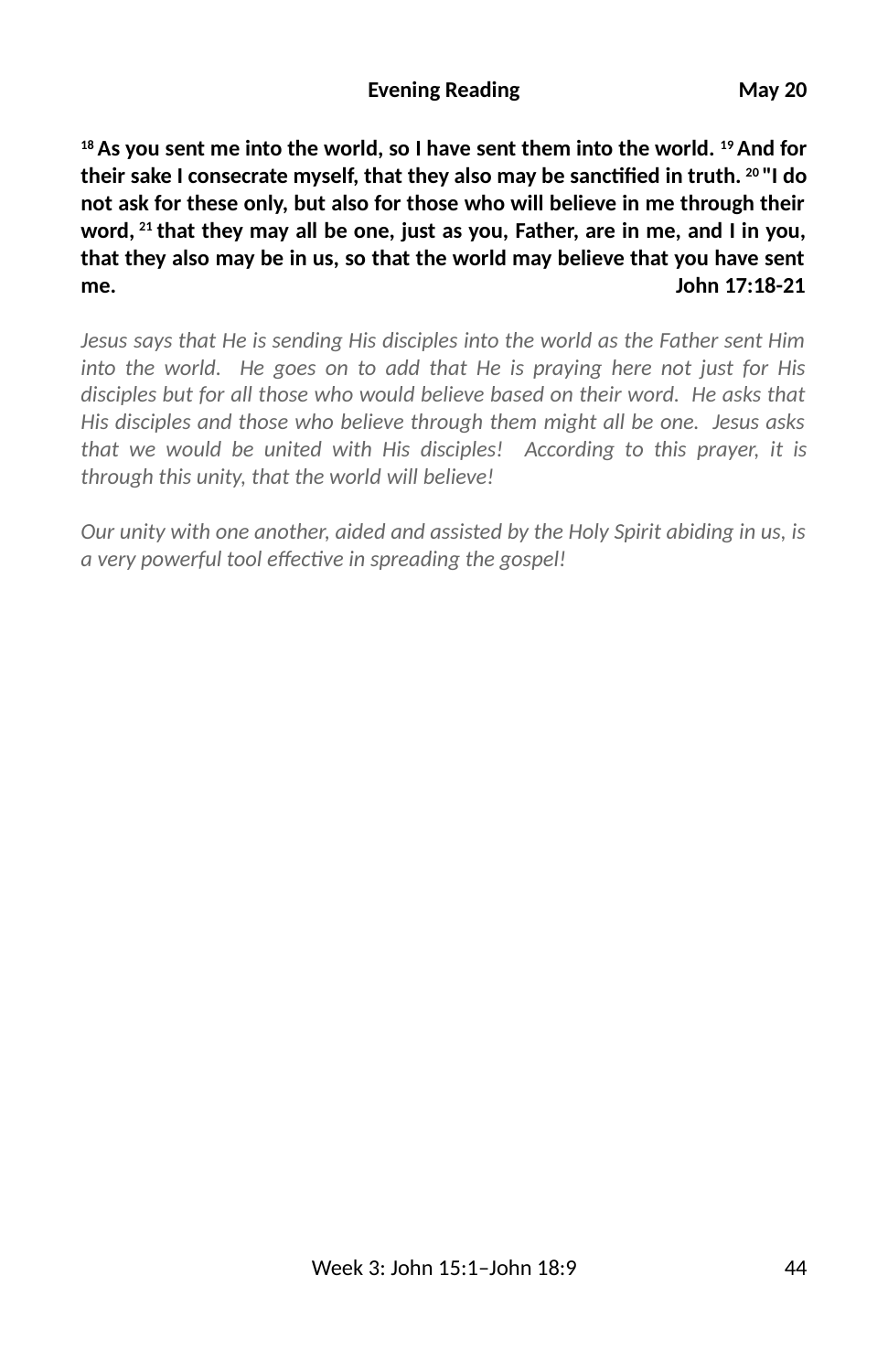**18 As you sent me into the world, so I have sent them into the world. 19 And for their sake I consecrate myself, that they also may be sanc2ed in truth. 20 "I do not ask for these only, but also for those who will believe in me through their word, 21 that they may all be one, just as you, Father, are in me, and I in you, that they also may be in us, so that the world may believe that you have sent me. John 17:18-21**

*Jesus says that He is sending His disciples into the world as the Father sent Him into the world. He goes on to add that He is praying here not just for His disciples but for all those who would believe based on their word. He asks that His disciples and those who believe through them might all be one. Jesus asks that we would be united with His disciples! According to this prayer, it is through this unity, that the world will believe!* 

*Our unity with one another, aided and assisted by the Holy Spirit abiding in us, is a very powerful tool effective in spreading the gospel!*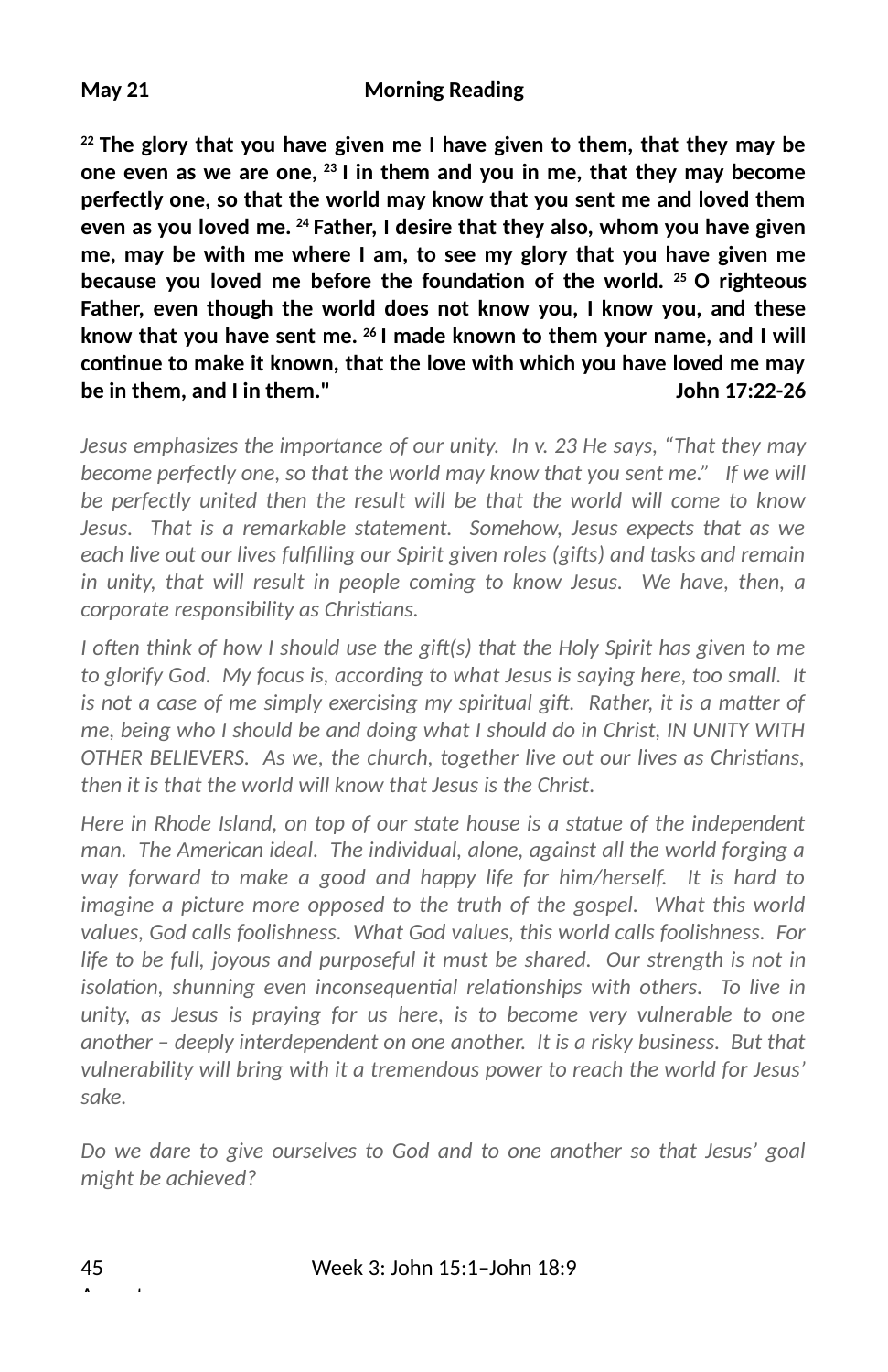**May 21 Morning Reading**

**22 The glory that you have given me I have given to them, that they may be one even as we are one, 23 I in them and you in me, that they may become perfectly one, so that the world may know that you sent me and loved them even as you loved me. 24 Father, I desire that they also, whom you have given me, may be with me where I am, to see my glory that you have given me** because you loved me before the foundation of the world. <sup>25</sup> O righteous **Father, even though the world does not know you, I know you, and these know that you have sent me. 26 I made known to them your name, and I will** continue to make it known, that the love with which you have loved me may **be in them, and I in them." John 17:22-26**

*Jesus emphasizes the importance of our unity. In v. 23 He says, "That they may become perfectly one, so that the world may know that you sent me." If we will be perfectly united then the result will be that the world will come to know Jesus. That is a remarkable statement. Somehow, Jesus expects that as we each live out our lives fulfilling our Spirit given roles (gifts) and tasks and remain in unity, that will result in people coming to know Jesus. We have, then, a*  $corporte$  responsibility as Christians.

*I* often think of how I should use the gift(s) that the Holy Spirit has given to me *to glorify God. My focus is, according to what Jesus is saying here, too small. It is not a case of me simply exercising my spiritual gift. Rather, it is a matter of me, being who I should be and doing what I should do in Christ, IN UNITY WITH OTHER BELIEVERS. As we, the church, together live out our lives as Christians, then it is that the world will know that Jesus is the Christ.* 

*Here in Rhode Island, on top of our state house is a statue of the independent man. The American ideal. The individual, alone, against all the world forging a way forward to make a good and happy life for him/herself. It is hard to imagine a picture more opposed to the truth of the gospel. What this world values, God calls foolishness. What God values, this world calls foolishness. For life to be full, joyous and purposeful it must be shared. Our strength is not in isolation, shunning even inconsequential relationships with others. To live in unity, as Jesus is praying for us here, is to become very vulnerable to one another – deeply interdependent on one another. It is a risky business. But that vulnerability will bring with it a tremendous power to reach the world for Jesus' sake.*

*Do we dare to give ourselves to God and to one another so that Jesus' goal might be achieved?*

August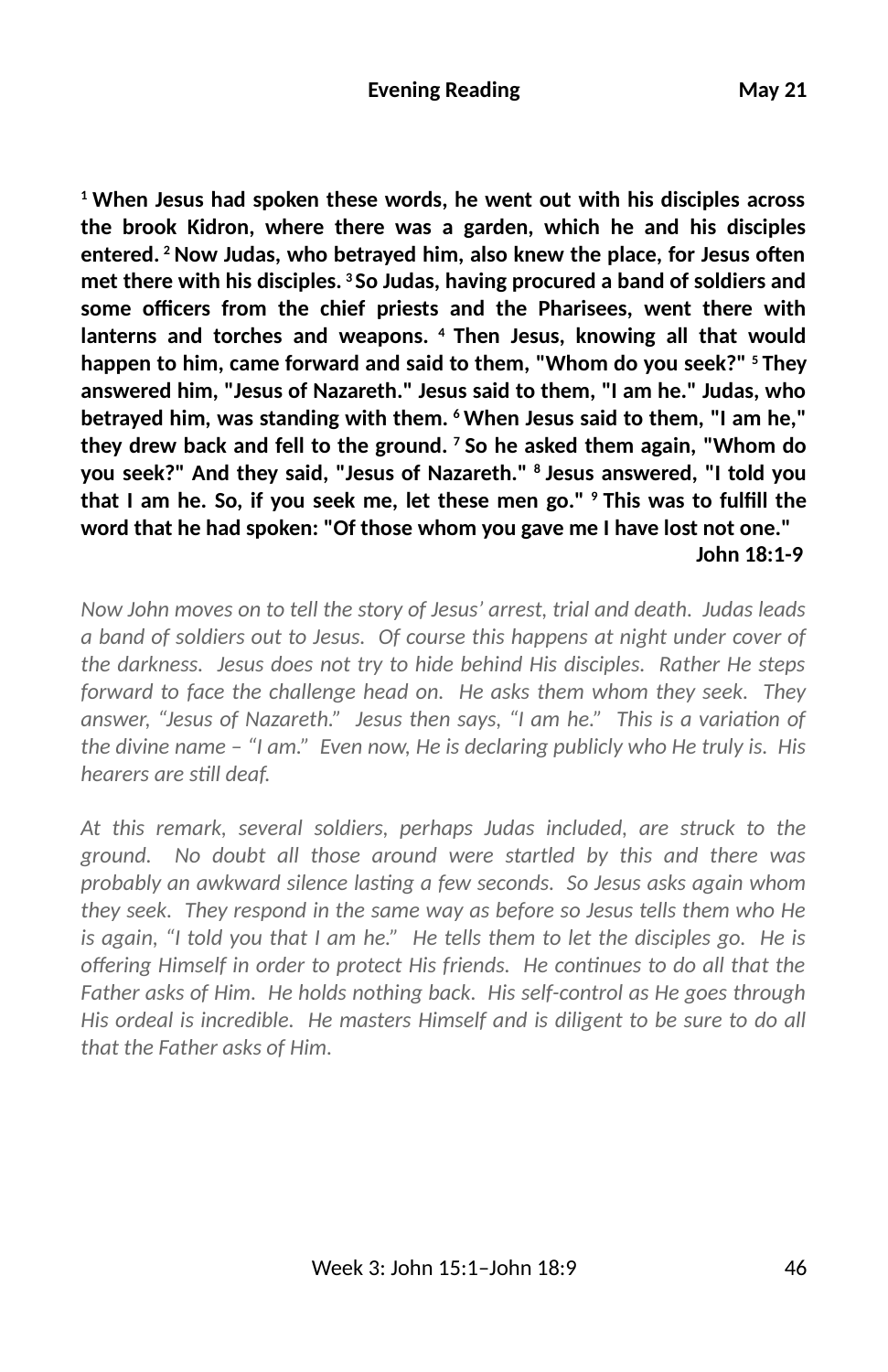**1 When Jesus had spoken these words, he went out with his disciples across the brook Kidron, where there was a garden, which he and his disciples** entered. <sup>2</sup> Now Judas, who betrayed him, also knew the place, for Jesus often **met there with his disciples. 3 So Judas, having procured a band of soldiers and** some officers from the chief priests and the Pharisees, went there with **lanterns and torches and weapons. 4 Then Jesus, knowing all that would happen to him, came forward and said to them, "Whom do you seek?" 5 They answered him, "Jesus of Nazareth." Jesus said to them, "I am he." Judas, who betrayed him, was standing with them. 6 When Jesus said to them, "I am he," they drew back and fell to the ground. 7 So he asked them again, "Whom do you seek?" And they said, "Jesus of Nazareth." 8 Jesus answered, "I told you** that I am he. So, if you seek me, let these men go." <sup>9</sup> This was to fulfill the **word that he had spoken: "Of those whom you gave me I have lost not one." John 18:1-9**

*Now John moves on to tell the story of Jesus' arrest, trial and death. Judas leads a band of soldiers out to Jesus. Of course this happens at night under cover of the darkness. Jesus does not try to hide behind His disciples. Rather He steps forward to face the challenge head on. He asks them whom they seek. They answer, "Jesus of Nazareth."* Jesus then says, "I am he." This is a variation of *the divine name – "I am." Even now, He is declaring publicly who He truly is. His hearers are sll deaf.* 

*At this remark, several soldiers, perhaps Judas included, are struck to the ground. No doubt all those around were startled by this and there was probably an awkward silence lasting a few seconds. So Jesus asks again whom they seek. They respond in the same way as before so Jesus tells them who He is again, "I told you that I am he." He tells them to let the disciples go. He is* offering Himself in order to protect His friends. He continues to do all that the *Father asks of Him. He holds nothing back. His self-control as He goes through His ordeal is incredible. He masters Himself and is diligent to be sure to do all that the Father asks of Him.*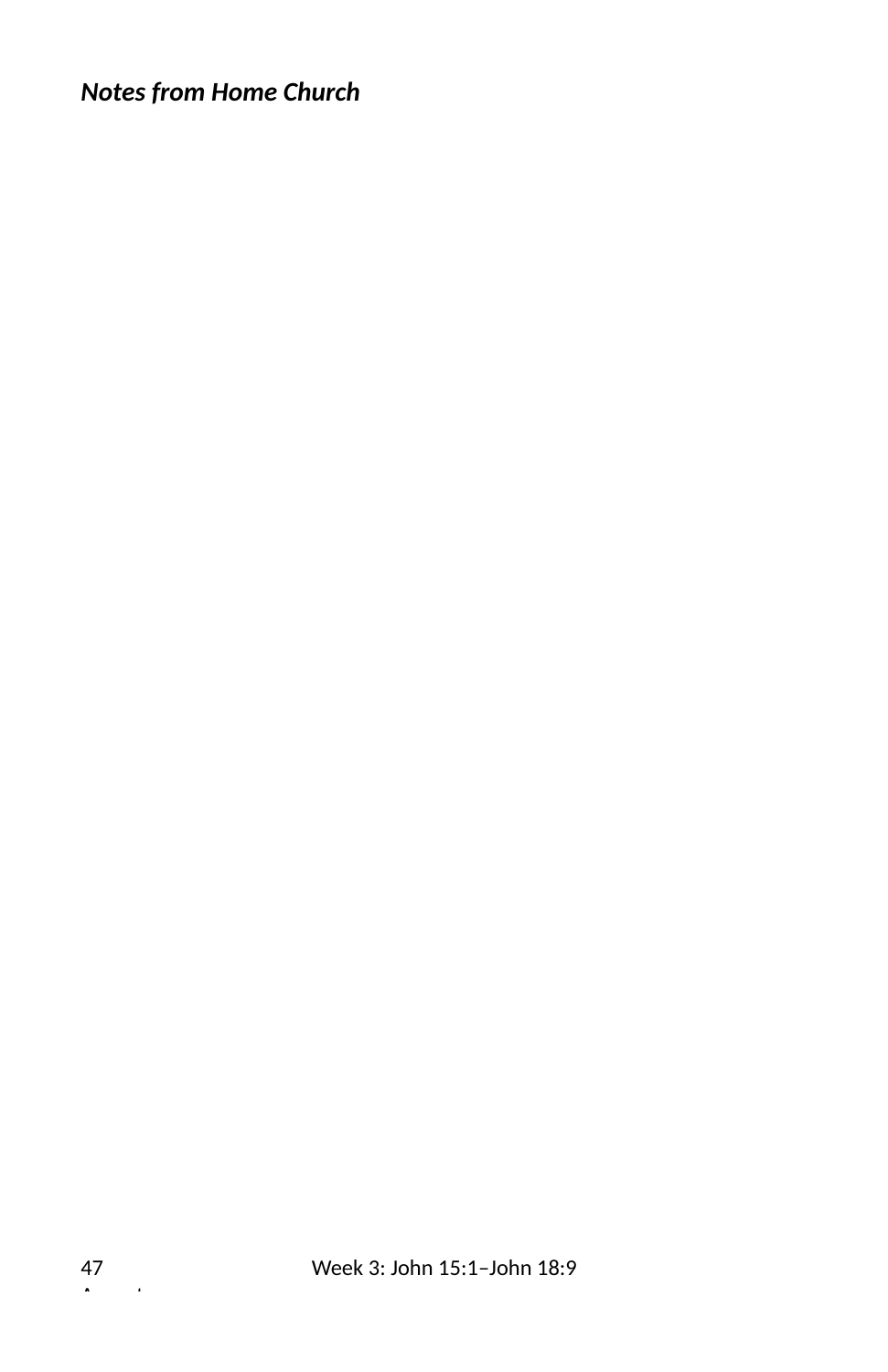# *Notes from Home Church*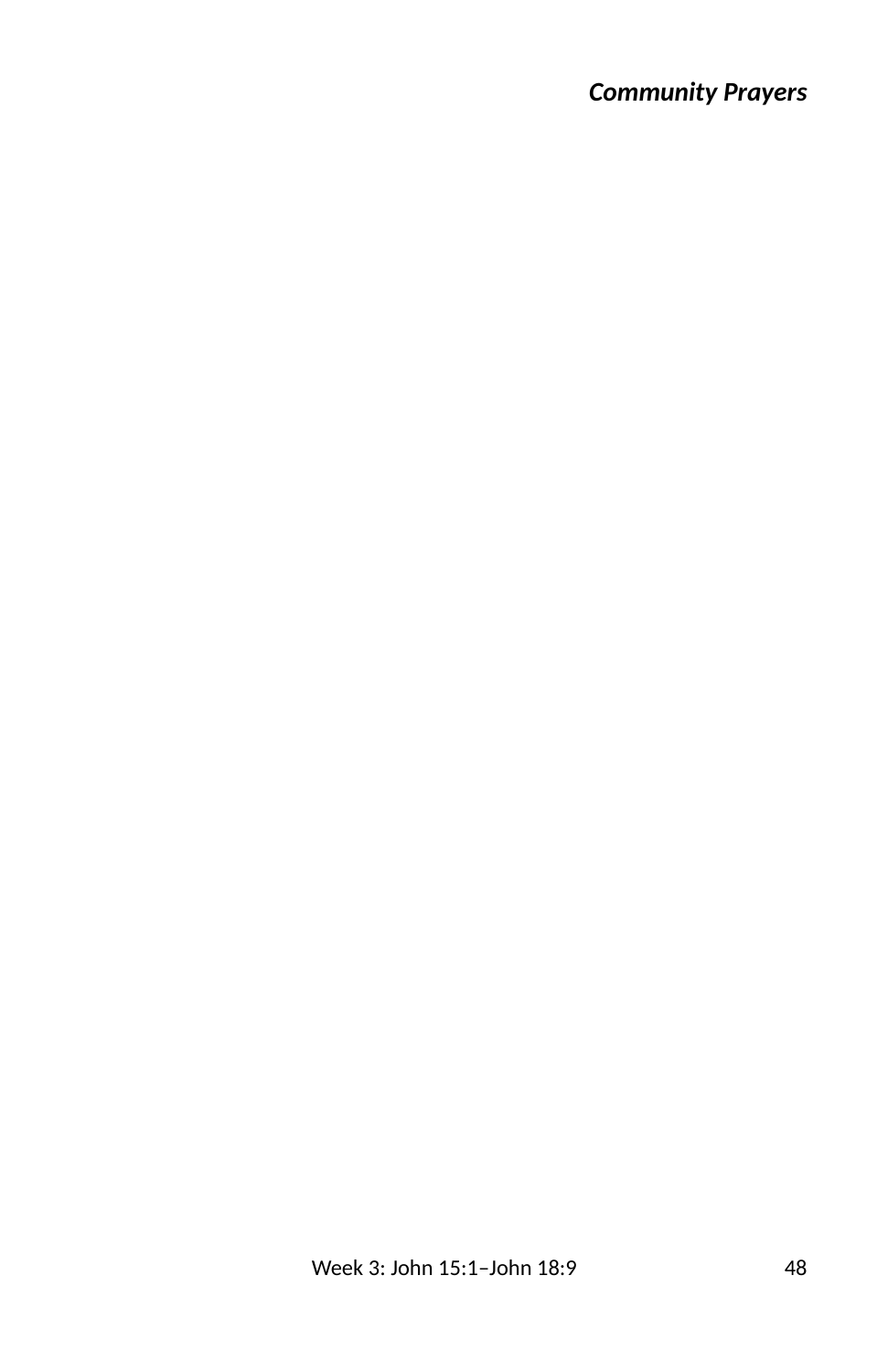## *Community Prayers*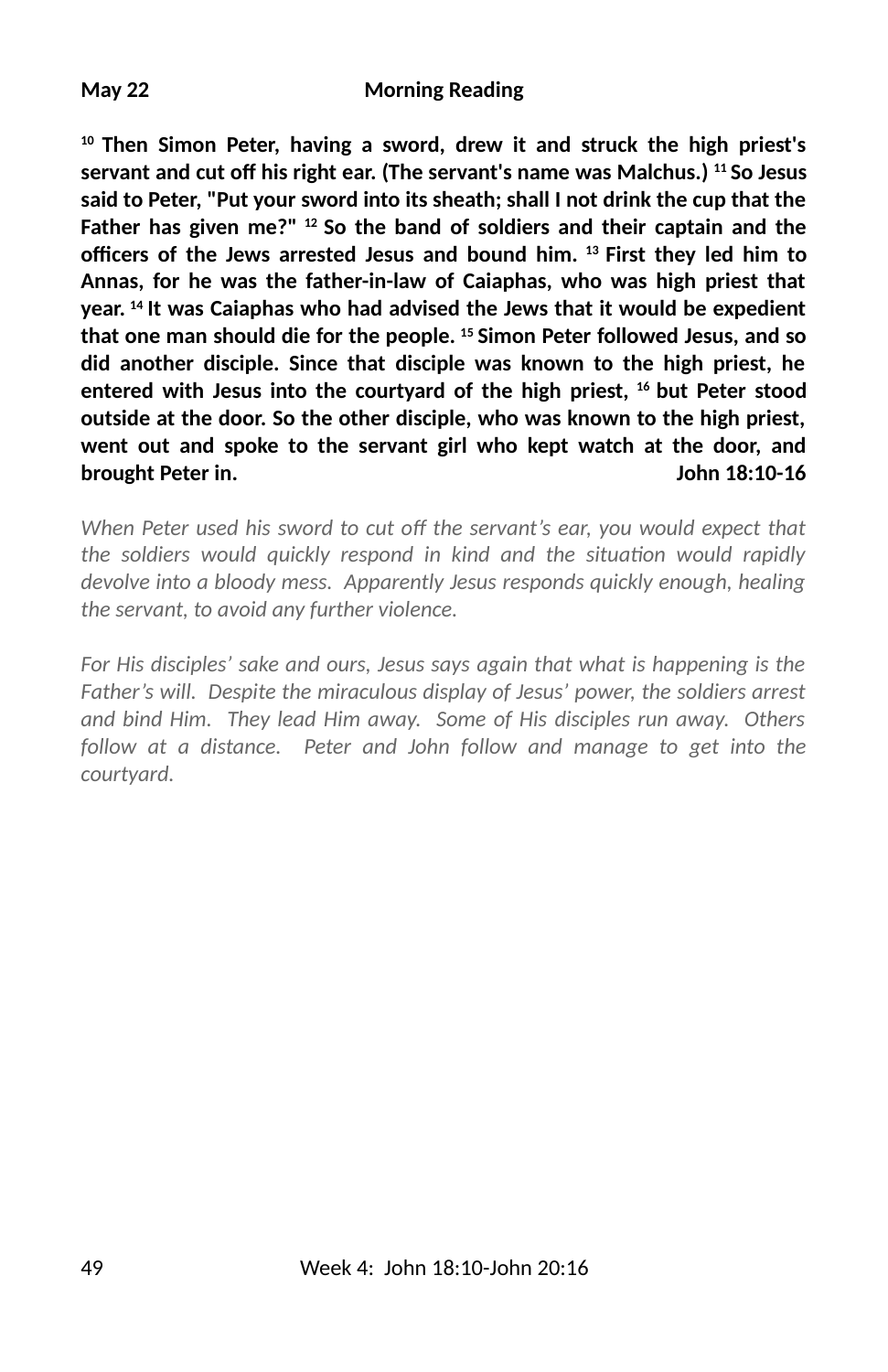#### **May 22 Morning Reading**

**10 Then Simon Peter, having a sword, drew it and struck the high priest's** servant and cut off his right ear. (The servant's name was Malchus.) <sup>11</sup> So Jesus **said to Peter, "Put your sword into its sheath; shall I not drink the cup that the Father has given me?" 12 So the band of soldiers and their captain and the** officers of the Jews arrested Jesus and bound him. <sup>13</sup> First they led him to **Annas, for he was the father-in-law of Caiaphas, who was high priest that year. 14 It was Caiaphas who had advised the Jews that it would be expedient that one man should die for the people. 15 Simon Peter followed Jesus, and so did another disciple. Since that disciple was known to the high priest, he entered with Jesus into the courtyard of the high priest, 16 but Peter stood outside at the door. So the other disciple, who was known to the high priest, went out and spoke to the servant girl who kept watch at the door, and brought Peter in. John 18:10-16**

*When Peter used his sword to cut off the servant's ear, you would expect that* the soldiers would quickly respond in kind and the situation would rapidly *devolve into a bloody mess. Apparently Jesus responds quickly enough, healing the servant, to avoid any further violence.* 

*For His disciples' sake and ours, Jesus says again that what is happening is the Father's will. Despite the miraculous display of Jesus' power, the soldiers arrest and bind Him. They lead Him away. Some of His disciples run away. Others follow at a distance. Peter and John follow and manage to get into the courtyard.*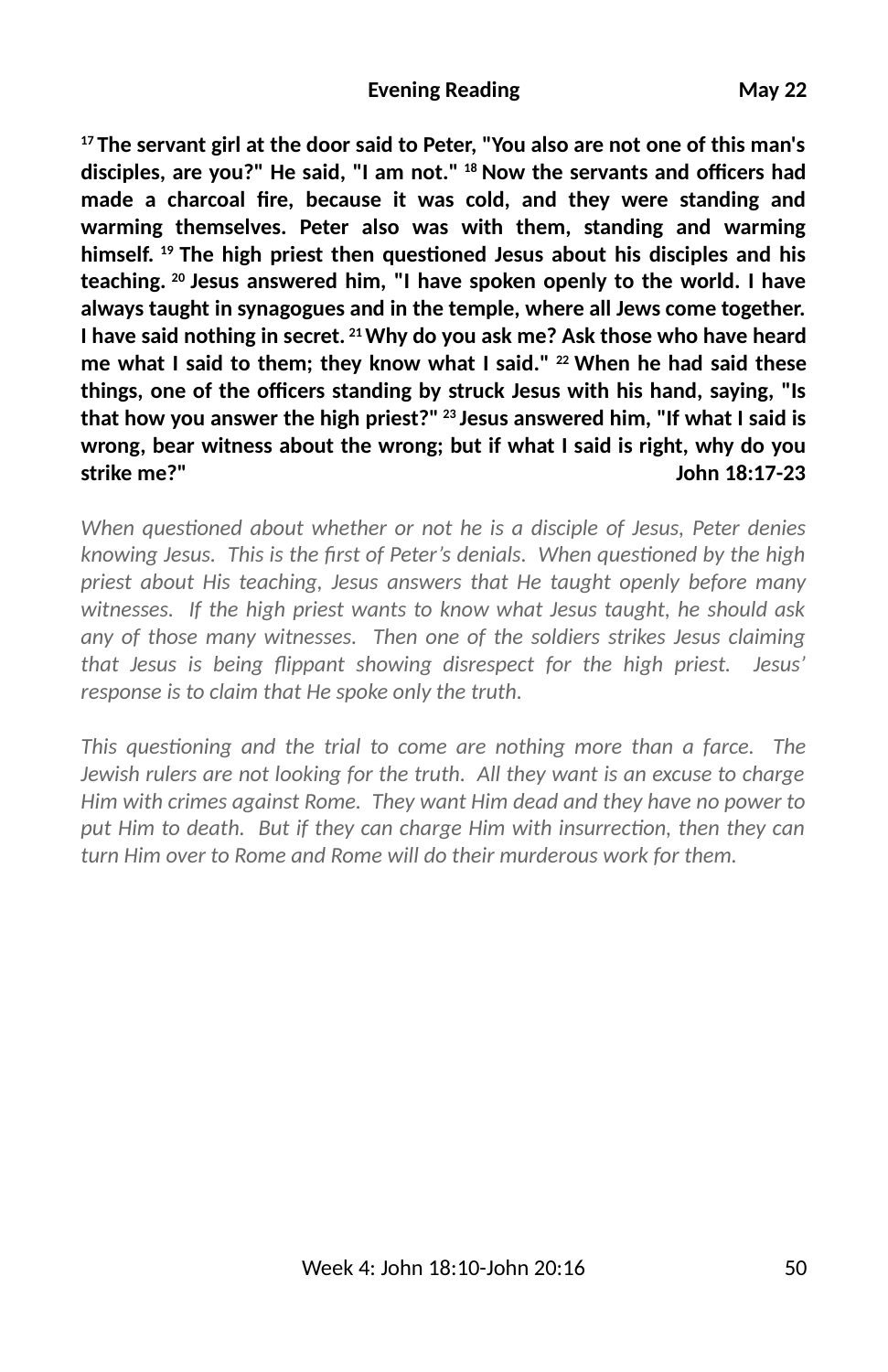**17 The servant girl at the door said to Peter, "You also are not one of this man's** disciples, are you?" He said, "I am not." <sup>18</sup> Now the servants and officers had made a charcoal fire, because it was cold, and they were standing and **warming themselves. Peter also was with them, standing and warming** himself. <sup>19</sup> The high priest then questioned Jesus about his disciples and his **teaching. 20 Jesus answered him, "I have spoken openly to the world. I have always taught in synagogues and in the temple, where all Jews come together. I have said nothing in secret. 21 Why do you ask me? Ask those who have heard me what I said to them; they know what I said." 22 When he had said these** things, one of the officers standing by struck Jesus with his hand, saying, "Is **that how you answer the high priest?" 23 Jesus answered him, "If what I said is wrong, bear witness about the wrong; but if what I said is right, why do you strike me?" John 18:17-23**

*When questioned about whether or not he is a disciple of Jesus, Peter denies knowing Jesus. This is the first of Peter's denials. When questioned by the high priest about His teaching, Jesus answers that He taught openly before many witnesses. If the high priest wants to know what Jesus taught, he should ask any of those many witnesses. Then one of the soldiers strikes Jesus claiming that Jesus is being Sippant showing disrespect for the high priest. Jesus' response is to claim that He spoke only the truth.*

*This questioning and the trial to come are nothing more than a farce. The Jewish rulers are not looking for the truth. All they want is an excuse to charge Him with crimes against Rome. They want Him dead and they have no power to* put Him to death. But if they can charge Him with insurrection, then they can *turn Him over to Rome and Rome will do their murderous work for them.*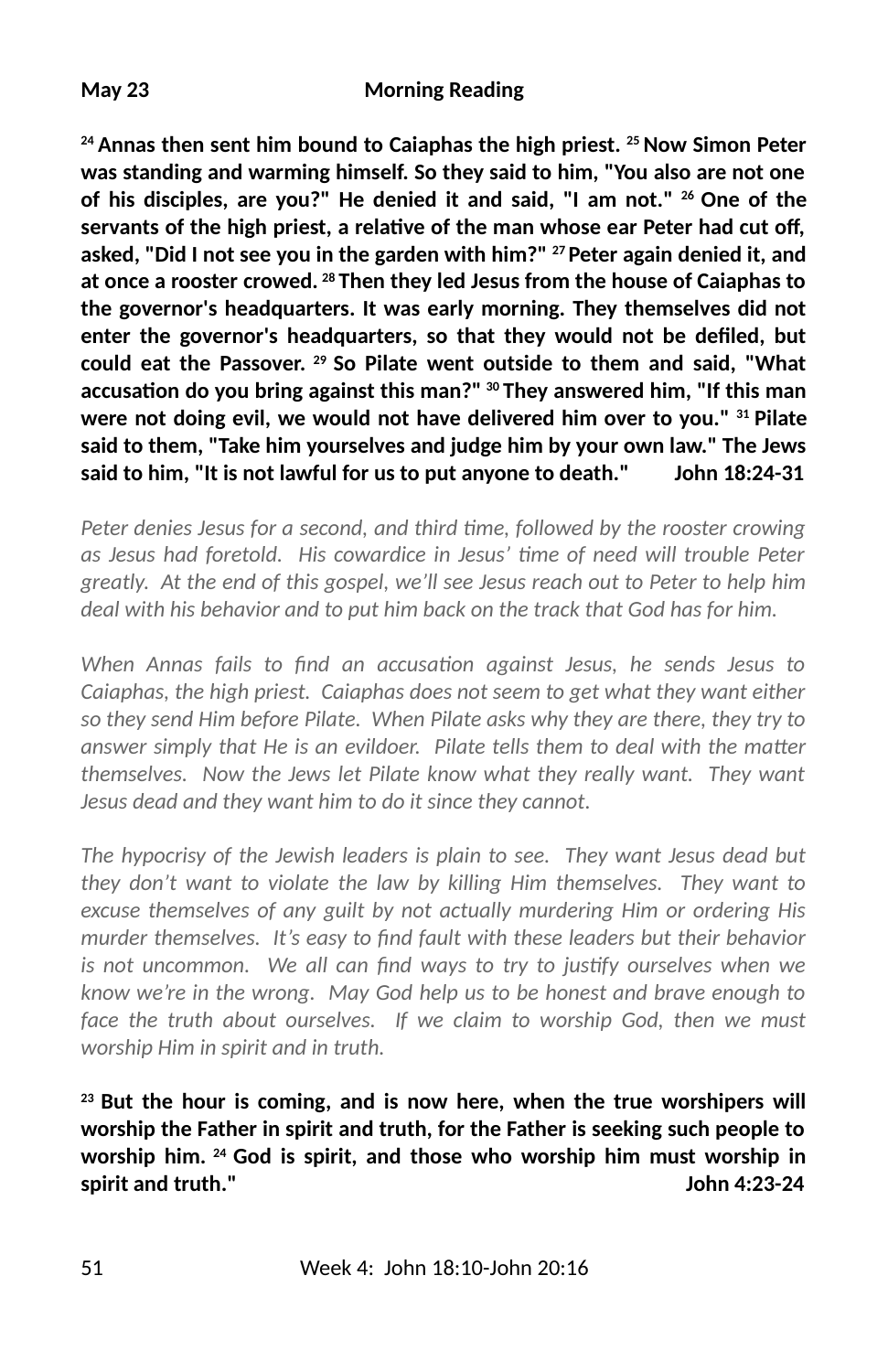#### **May 23 Morning Reading**

**24 Annas then sent him bound to Caiaphas the high priest. 25 Now Simon Peter was standing and warming himself. So they said to him, "You also are not one of his disciples, are you?" He denied it and said, "I am not." 26 One of the** servants of the high priest, a relative of the man whose ear Peter had cut off, **asked, "Did I not see you in the garden with him?" 27 Peter again denied it, and at once a rooster crowed. 28 Then they led Jesus from the house of Caiaphas to the governor's headquarters. It was early morning. They themselves did not** enter the governor's headquarters, so that they would not be defiled, but **could eat the Passover. 29 So Pilate went outside to them and said, "What** accusation do you bring against this man?" <sup>30</sup> They answered him, "If this man **were not doing evil, we would not have delivered him over to you." 31 Pilate said to them, "Take him yourselves and judge him by your own law." The Jews said to him, "It is not lawful for us to put anyone to death." John 18:24-31**

*Peter denies Jesus for a second, and third time, followed by the rooster crowing as Jesus had foretold. His cowardice in Jesus' me of need will trouble Peter greatly. At the end of this gospel, we'll see Jesus reach out to Peter to help him deal with his behavior and to put him back on the track that God has for him.*

*When Annas fails to find an accusation against Jesus, he sends Jesus to Caiaphas, the high priest. Caiaphas does not seem to get what they want either so they send Him before Pilate. When Pilate asks why they are there, they try to answer simply that He is an evildoer. Pilate tells them to deal with the matter themselves. Now the Jews let Pilate know what they really want. They want Jesus dead and they want him to do it since they cannot.*

*The hypocrisy of the Jewish leaders is plain to see. They want Jesus dead but they don't want to violate the law by killing Him themselves. They want to excuse themselves of any guilt by not actually murdering Him or ordering His* murder themselves. It's easy to find fault with these leaders but their behavior is not uncommon. We all can find ways to try to justify ourselves when we *know we're in the wrong. May God help us to be honest and brave enough to face the truth about ourselves. If we claim to worship God, then we must worship Him in spirit and in truth.*

**23 But the hour is coming, and is now here, when the true worshipers will worship the Father in spirit and truth, for the Father is seeking such people to worship him. 24 God is spirit, and those who worship him must worship in spirit and truth." John 4:23-24**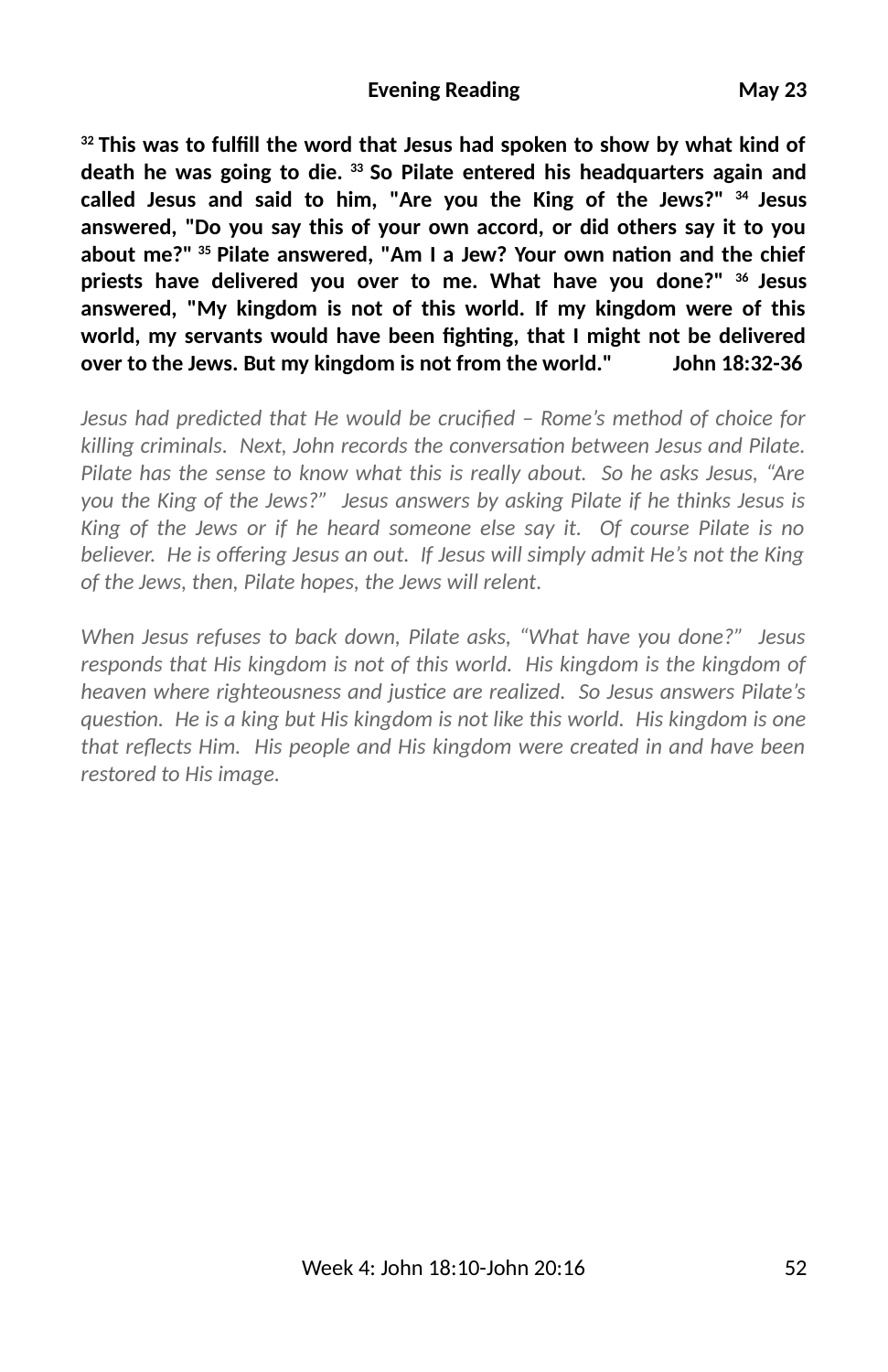<sup>32</sup> This was to fulfill the word that Jesus had spoken to show by what kind of **death he was going to die. 33 So Pilate entered his headquarters again and called Jesus and said to him, "Are you the King of the Jews?" 34 Jesus answered, "Do you say this of your own accord, or did others say it to you** about me?"<sup>35</sup> Pilate answered, "Am I a Jew? Your own nation and the chief **priests have delivered you over to me. What have you done?" 36 Jesus answered, "My kingdom is not of this world. If my kingdom were of this** world, my servants would have been fighting, that I might not be delivered **over to the Jews. But my kingdom is not from the world." John 18:32-36**

*Jesus had predicted that He would be crucified – Rome's method of choice for* killing criminals. Next, John records the conversation between Jesus and Pilate. *Pilate has the sense to know what this is really about. So he asks Jesus, "Are you the King of the Jews?" Jesus answers by asking Pilate if he thinks Jesus is King of the Jews or if he heard someone else say it. Of course Pilate is no* believer. He is offering Jesus an out. If Jesus will simply admit He's not the King *of the Jews, then, Pilate hopes, the Jews will relent.* 

*When Jesus refuses to back down, Pilate asks, "What have you done?" Jesus responds that His kingdom is not of this world. His kingdom is the kingdom of heaven where righteousness and justice are realized. So Jesus answers Pilate's question. He is a king but His kingdom is not like this world. His kingdom is one* that reflects Him. His people and His kingdom were created in and have been *restored to His image.*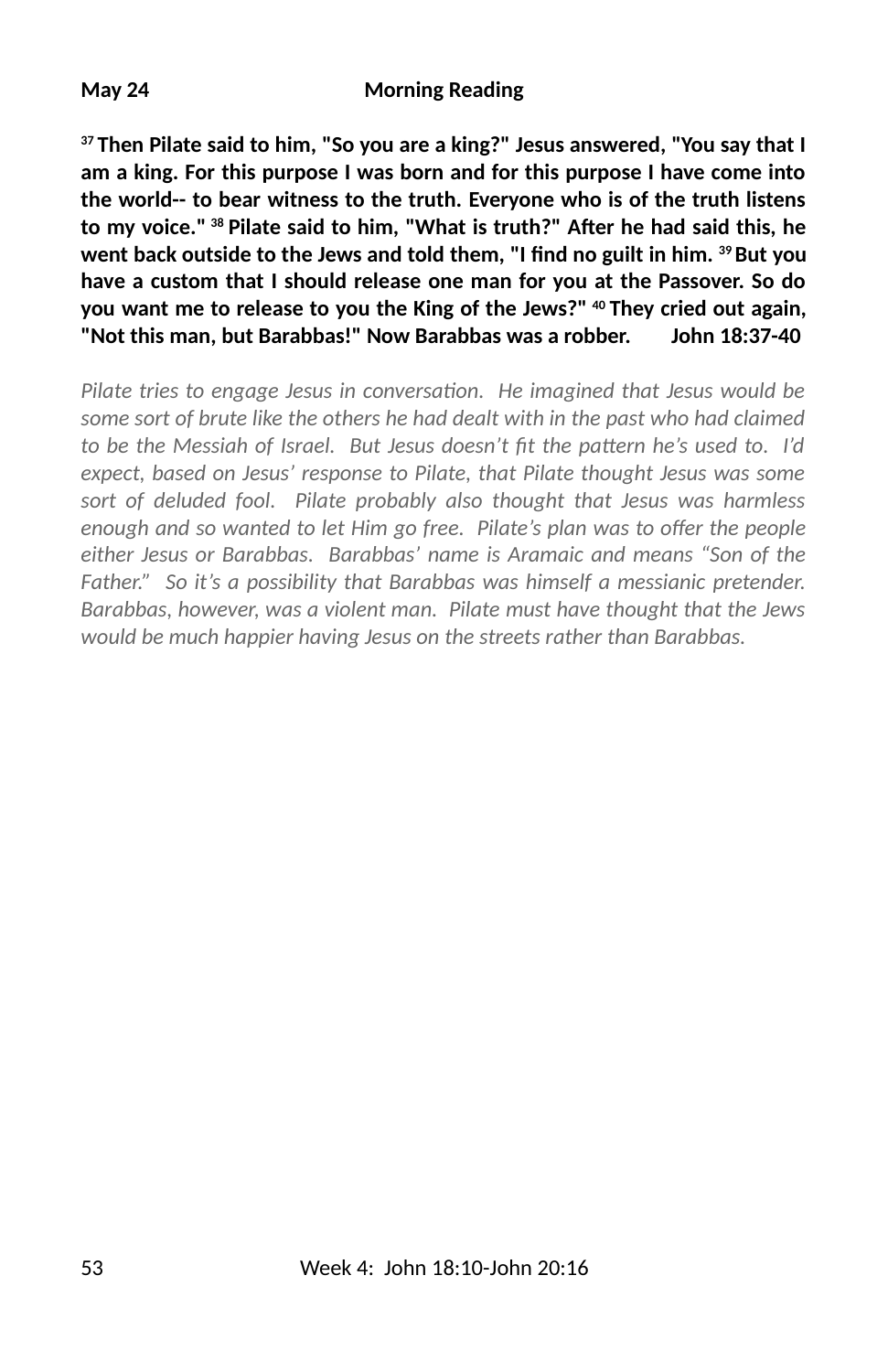**37 Then Pilate said to him, "So you are a king?" Jesus answered, "You say that I am a king. For this purpose I was born and for this purpose I have come into the world-- to bear witness to the truth. Everyone who is of the truth listens** to my voice." <sup>38</sup> Pilate said to him, "What is truth?" After he had said this, he went back outside to the Jews and told them, "I find no guilt in him. <sup>39</sup> But you **have a custom that I should release one man for you at the Passover. So do you want me to release to you the King of the Jews?" 40 They cried out again, "Not this man, but Barabbas!" Now Barabbas was a robber. John 18:37-40**

*Pilate tries to engage Jesus in conversation. He imagined that Jesus would be some sort of brute like the others he had dealt with in the past who had claimed* to be the Messiah of Israel. But Jesus doesn't fit the pattern he's used to. I'd *expect, based on Jesus' response to Pilate, that Pilate thought Jesus was some sort of deluded fool. Pilate probably also thought that Jesus was harmless enough and so wanted to let Him go free. Pilate's plan was to offer the people either Jesus or Barabbas. Barabbas' name is Aramaic and means "Son of the Father." So it's a possibility that Barabbas was himself a messianic pretender. Barabbas, however, was a violent man. Pilate must have thought that the Jews would be much happier having Jesus on the streets rather than Barabbas.*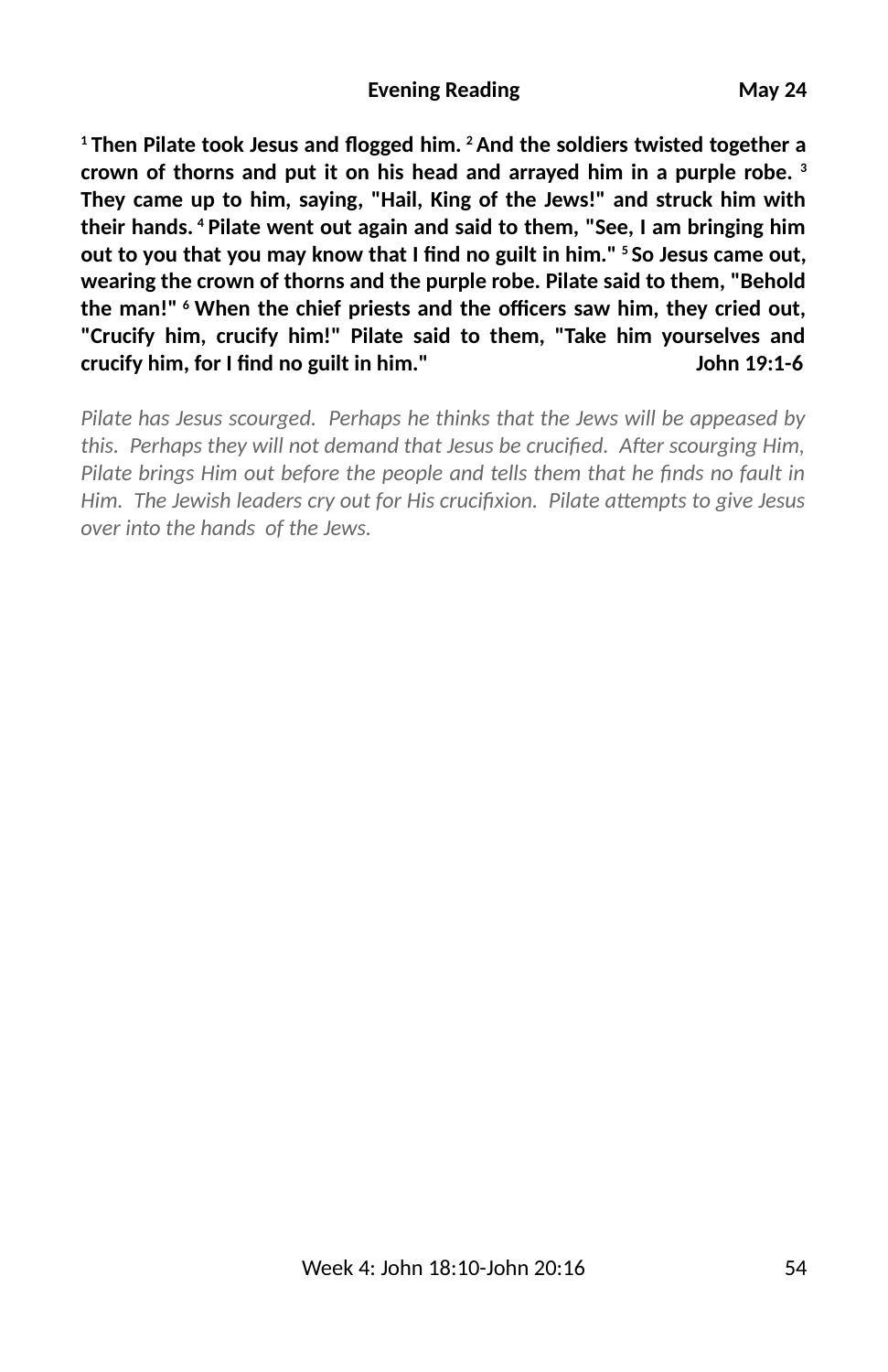<sup>1</sup> Then Pilate took Jesus and flogged him. <sup>2</sup> And the soldiers twisted together a **crown of thorns and put it on his head and arrayed him in a purple robe. 3 They came up to him, saying, "Hail, King of the Jews!" and struck him with their hands. 4 Pilate went out again and said to them, "See, I am bringing him** out to you that you may know that I find no guilt in him." <sup>5</sup> So Jesus came out, **wearing the crown of thorns and the purple robe. Pilate said to them, "Behold** the man!" <sup>6</sup> When the chief priests and the officers saw him, they cried out, **"Crucify him, crucify him!" Pilate said to them, "Take him yourselves and crucify him, for I find no guilt in him."** Crucify him a 19:1-6

*Pilate has Jesus scourged. Perhaps he thinks that the Jews will be appeased by* this. Perhaps they will not demand that Jesus be crucified. After scourging Him, *Pilate brings Him out before the people and tells them that he finds no fault in Him. The Jewish leaders cry out for His crucifixion. Pilate attempts to give Jesus over into the hands of the Jews.*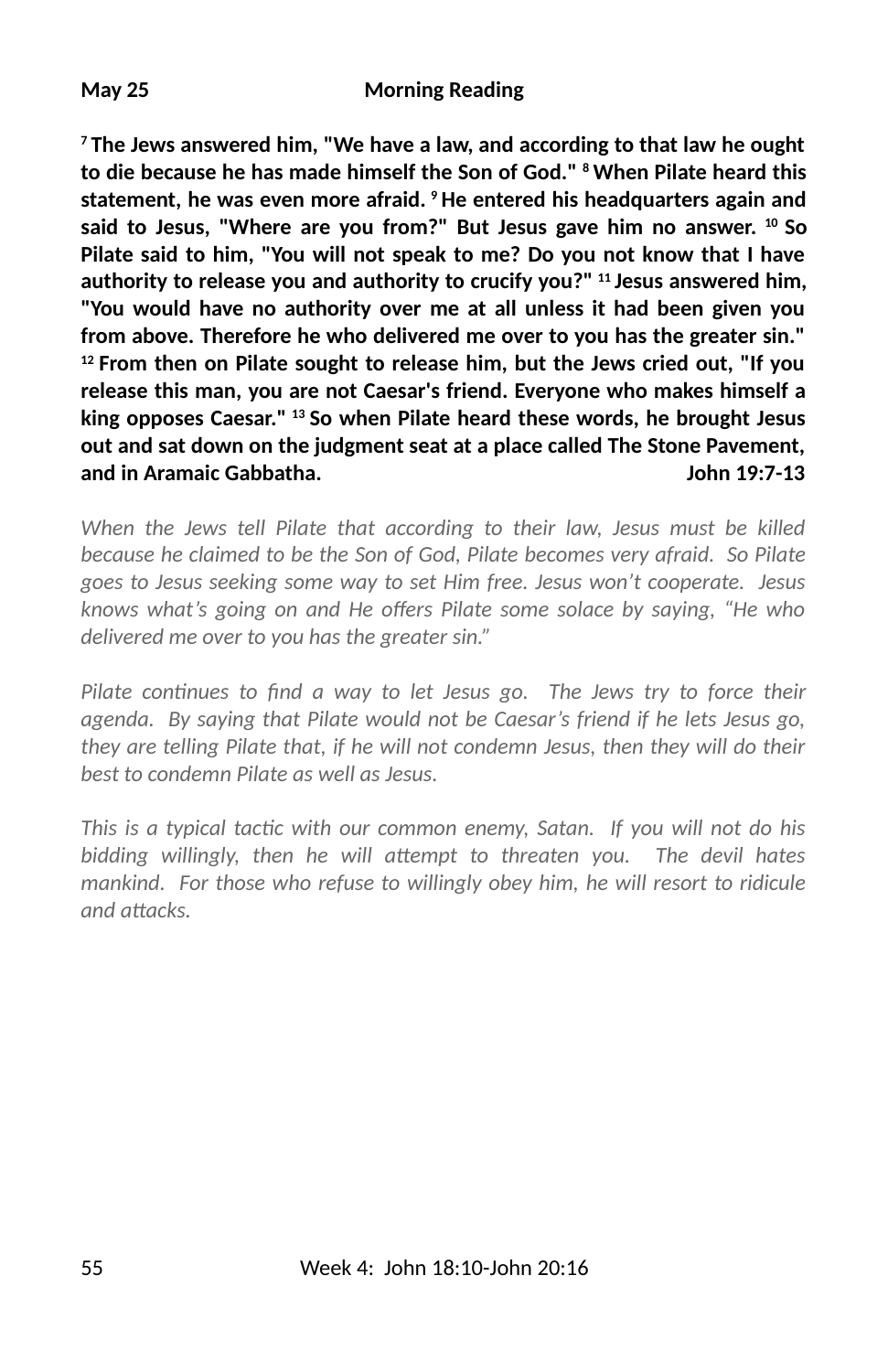#### **May 25 Morning Reading**

**7 The Jews answered him, "We have a law, and according to that law he ought to die because he has made himself the Son of God." 8 When Pilate heard this statement, he was even more afraid. 9 He entered his headquarters again and said to Jesus, "Where are you from?" But Jesus gave him no answer. 10 So Pilate said to him, "You will not speak to me? Do you not know that I have authority to release you and authority to crucify you?" 11 Jesus answered him, "You would have no authority over me at all unless it had been given you from above. Therefore he who delivered me over to you has the greater sin." 12 From then on Pilate sought to release him, but the Jews cried out, "If you release this man, you are not Caesar's friend. Everyone who makes himself a king opposes Caesar." 13 So when Pilate heard these words, he brought Jesus out and sat down on the judgment seat at a place called The Stone Pavement, and in Aramaic Gabbatha. John 19:7-13**

*When the Jews tell Pilate that according to their law, Jesus must be killed because he claimed to be the Son of God, Pilate becomes very afraid. So Pilate goes to Jesus seeking some way to set Him free. Jesus won't cooperate. Jesus knows what's going on and He o&ers Pilate some solace by saying, "He who delivered me over to you has the greater sin."* 

*Pilate continues to find a way to let Jesus go. The Jews try to force their agenda. By saying that Pilate would not be Caesar's friend if he lets Jesus go, they are telling Pilate that, if he will not condemn Jesus, then they will do their best to condemn Pilate as well as Jesus.*

This is a typical tactic with our common enemy, Satan. If you will not do his bidding willingly, then he will attempt to threaten you. The devil hates *mankind. For those who refuse to willingly obey him, he will resort to ridicule and attacks.*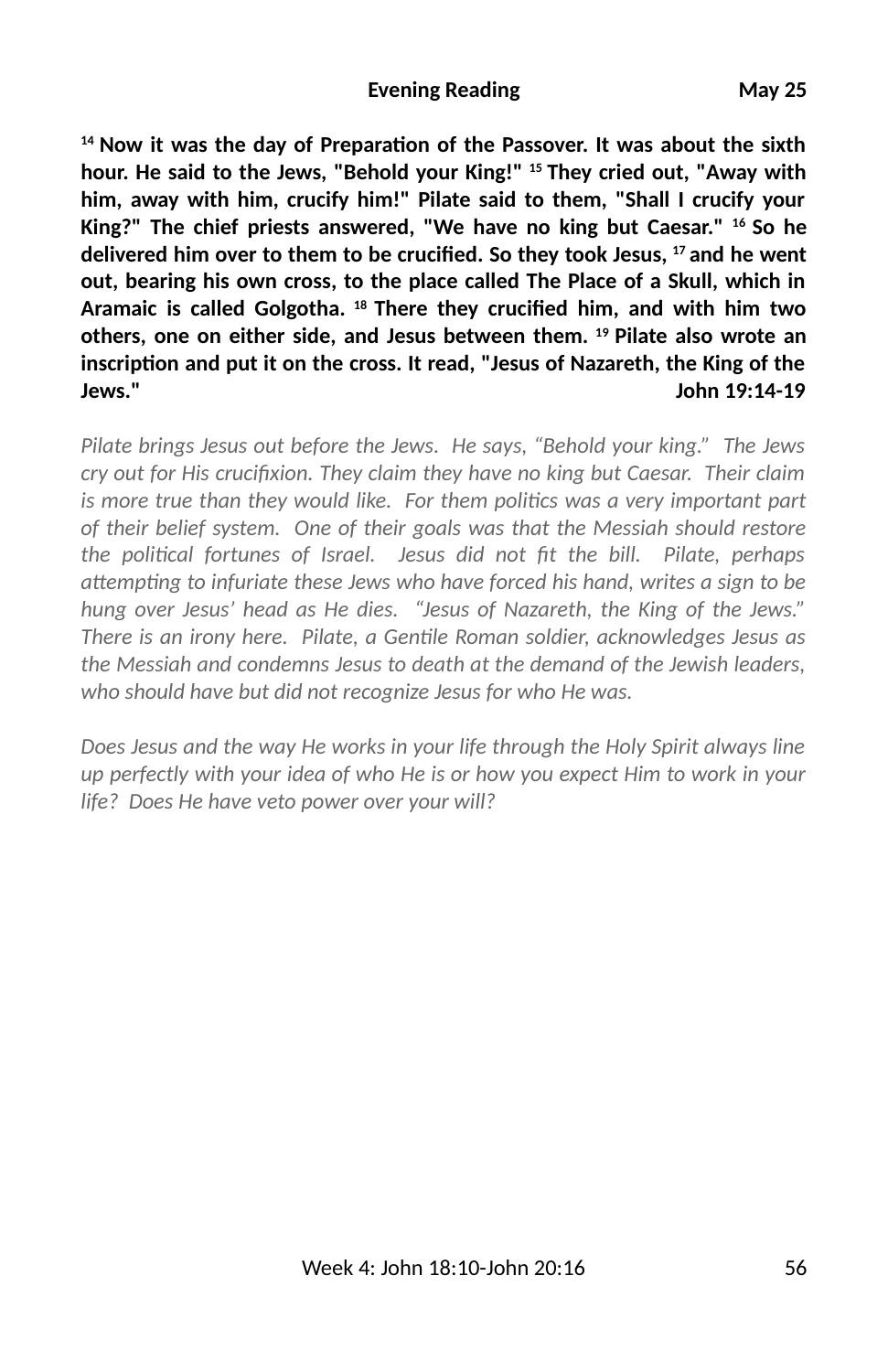<sup>14</sup> Now it was the day of Preparation of the Passover. It was about the sixth **hour. He said to the Jews, "Behold your King!" 15 They cried out, "Away with him, away with him, crucify him!" Pilate said to them, "Shall I crucify your King?" The chief priests answered, "We have no king but Caesar." 16 So he** delivered him over to them to be crucified. So they took Jesus, <sup>17</sup> and he went **out, bearing his own cross, to the place called The Place of a Skull, which in** Aramaic is called Golgotha. <sup>18</sup> There they crucified him, and with him two **others, one on either side, and Jesus between them. 19 Pilate also wrote an** inscription and put it on the cross. It read, "Jesus of Nazareth, the King of the **Jews." John 19:14-19**

*Pilate brings Jesus out before the Jews. He says, "Behold your king." The Jews cry out for His crucifixion. They claim they have no king but Caesar. Their claim is more true than they would like. For them polics was a very important part of their belief system. One of their goals was that the Messiah should restore the polical fortunes of Israel. Jesus did not 3t the bill. Pilate, perhaps attempting to infuriate these Jews who have forced his hand, writes a sign to be hung over Jesus' head as He dies. "Jesus of Nazareth, the King of the Jews." There is an irony here. Pilate, a Genle Roman soldier, acknowledges Jesus as the Messiah and condemns Jesus to death at the demand of the Jewish leaders, who should have but did not recognize Jesus for who He was.*

*Does Jesus and the way He works in your life through the Holy Spirit always line up perfectly with your idea of who He is or how you expect Him to work in your life? Does He have veto power over your will?*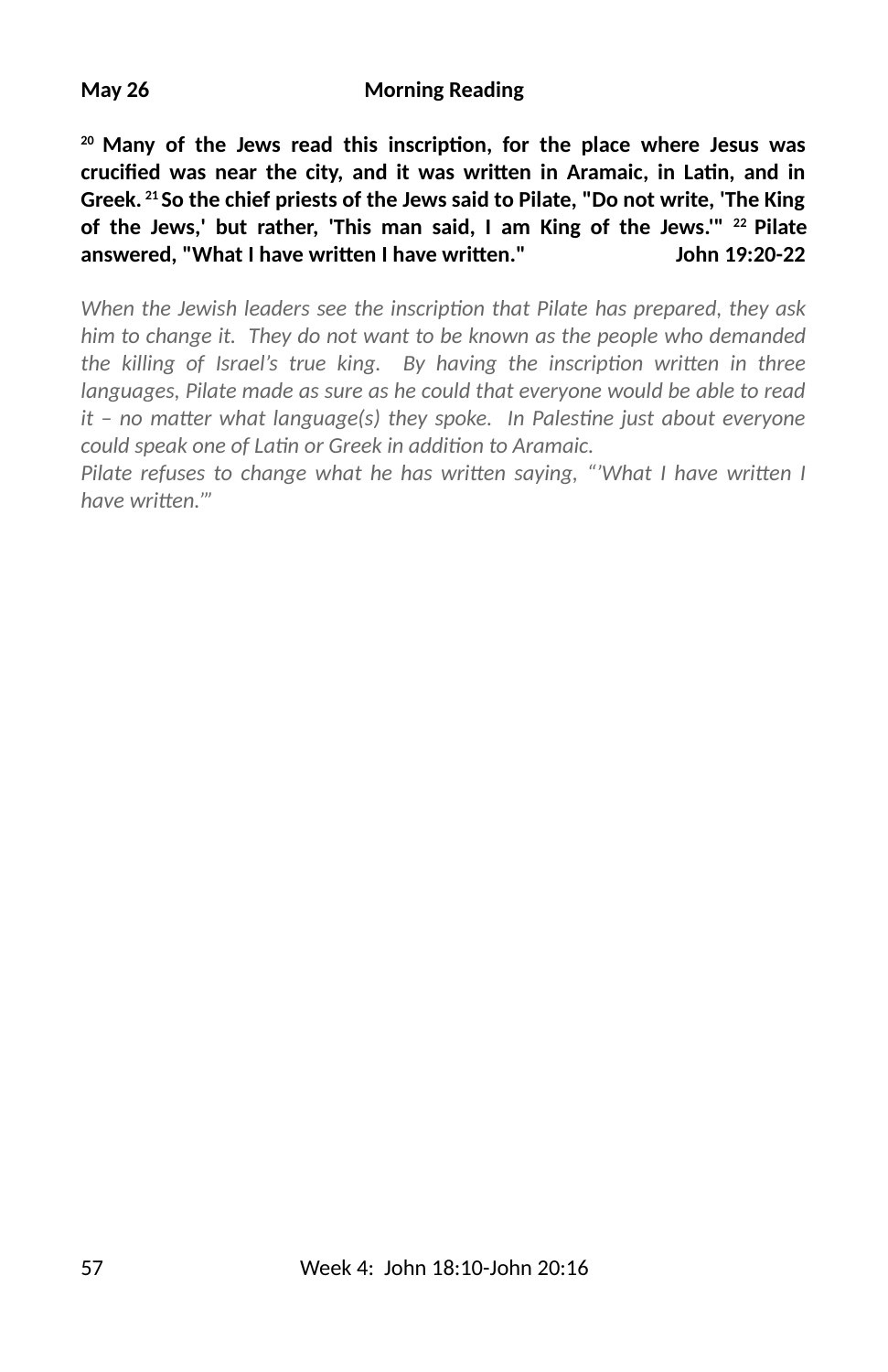<sup>20</sup> Many of the Jews read this inscription, for the place where Jesus was crucified was near the city, and it was written in Aramaic, in Latin, and in **Greek. 21 So the chief priests of the Jews said to Pilate, "Do not write, 'The King of the Jews,' but rather, 'This man said, I am King of the Jews.'" 22 Pilate** answered, "What I have written I have written." John 19:20-22

*When the Jewish leaders see the inscription that Pilate has prepared, they ask him to change it. They do not want to be known as the people who demanded the killing of Israel's true king. By having the inscription written in three languages, Pilate made as sure as he could that everyone would be able to read it – no matter what language(s) they spoke. In Palestine just about everyone* could speak one of Latin or Greek in addition to Aramaic.

*Pilate refuses to change what he has written saying, "'What I have written I* have written."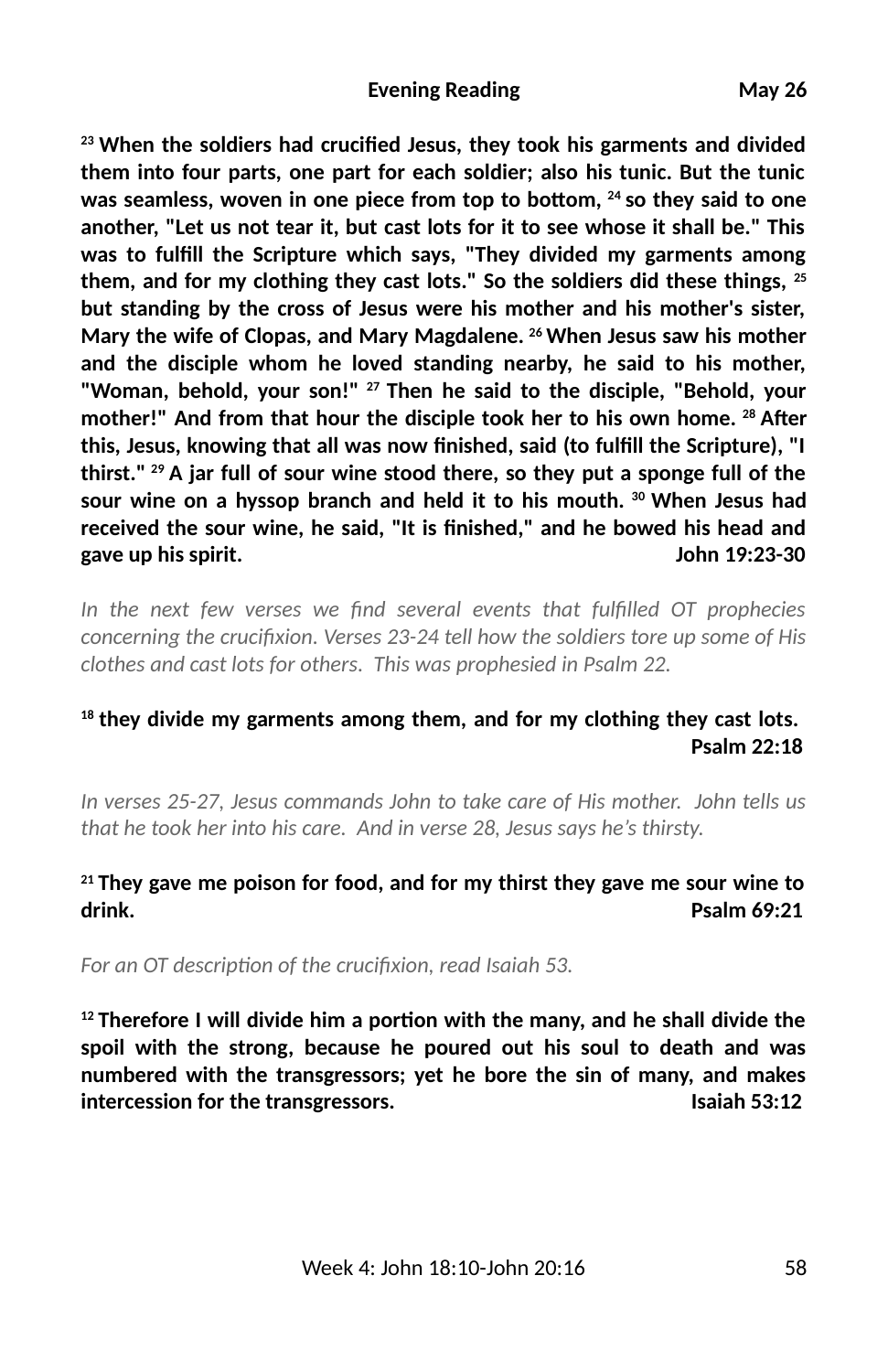<sup>23</sup> When the soldiers had crucified Jesus, they took his garments and divided **them into four parts, one part for each soldier; also his tunic. But the tunic** was seamless, woven in one piece from top to bottom, <sup>24</sup> so they said to one **another, "Let us not tear it, but cast lots for it to see whose it shall be." This** was to fulfill the Scripture which says, "They divided my garments among **them, and for my clothing they cast lots." So the soldiers did these things, 25 but standing by the cross of Jesus were his mother and his mother's sister, Mary the wife of Clopas, and Mary Magdalene. 26 When Jesus saw his mother and the disciple whom he loved standing nearby, he said to his mother, "Woman, behold, your son!" 27 Then he said to the disciple, "Behold, your** mother!" And from that hour the disciple took her to his own home. <sup>28</sup> After **this, Jesus, knowing that all was now 2nished, said (to ful2ll the Scripture), "I thirst." 29 A jar full of sour wine stood there, so they put a sponge full of the sour wine on a hyssop branch and held it to his mouth. 30 When Jesus had received the sour wine, he said, "It is 2nished," and he bowed his head and gave up his spirit. John 19:23-30**

In the next few verses we find several events that fulfilled OT prophecies *concerning the crucifixion. Verses 23-24 tell how the soldiers tore up some of His clothes and cast lots for others. This was prophesied in Psalm 22.*

## **18 they divide my garments among them, and for my clothing they cast lots. Psalm 22:18**

*In verses 25-27, Jesus commands John to take care of His mother. John tells us that he took her into his care. And in verse 28, Jesus says he's thirsty.*

### **21 They gave me poison for food, and for my thirst they gave me sour wine to drink. Psalm 69:21**

For an OT description of the crucifixion, read Isaiah 53.

<sup>12</sup> Therefore I will divide him a portion with the many, and he shall divide the **spoil with the strong, because he poured out his soul to death and was numbered with the transgressors; yet he bore the sin of many, and makes intercession for the transgressors. Isaiah 53:12**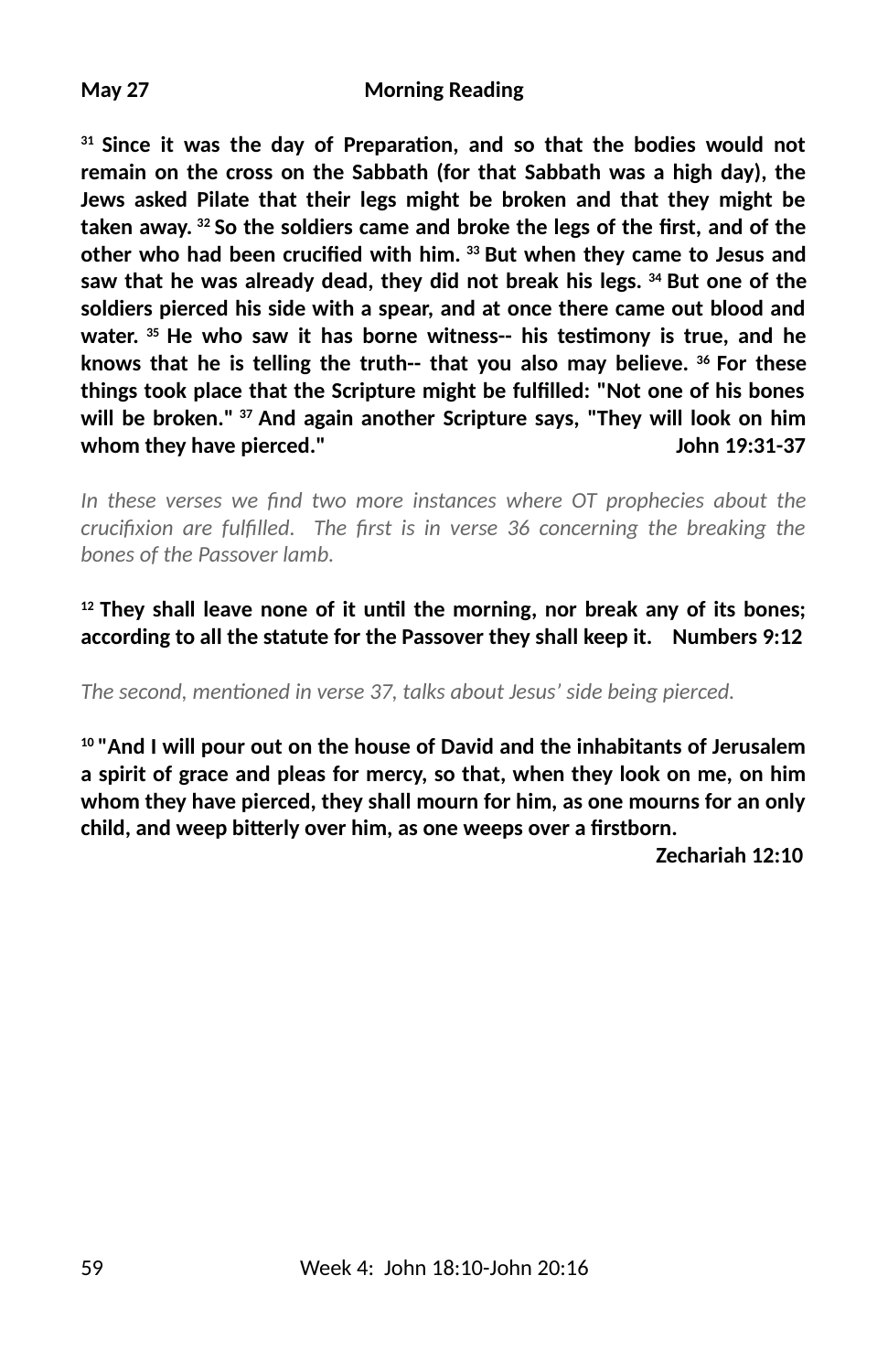<sup>31</sup> Since it was the day of Preparation, and so that the bodies would not **remain on the cross on the Sabbath (for that Sabbath was a high day), the Jews asked Pilate that their legs might be broken and that they might be** taken away. <sup>32</sup> So the soldiers came and broke the legs of the first, and of the other who had been crucified with him. <sup>33</sup> But when they came to Jesus and **saw that he was already dead, they did not break his legs. 34 But one of the soldiers pierced his side with a spear, and at once there came out blood and** water. <sup>35</sup> He who saw it has borne witness-- his testimony is true, and he **knows that he is telling the truth-- that you also may believe. 36 For these things took place that the Scripture might be ful2lled: "Not one of his bones will be broken." 37 And again another Scripture says, "They will look on him whom they have pierced." John 19:31-37**

In these verses we find two more instances where OT prophecies about the *crucifixion are fulfilled. The first is in verse 36 concerning the breaking the bones of the Passover lamb.*

<sup>12</sup> They shall leave none of it until the morning, nor break any of its bones; **according to all the statute for the Passover they shall keep it. Numbers 9:12**

The second, mentioned in verse 37, talks about Jesus' side being pierced.

**10 "And I will pour out on the house of David and the inhabitants of Jerusalem a spirit of grace and pleas for mercy, so that, when they look on me, on him whom they have pierced, they shall mourn for him, as one mourns for an only** child, and weep bitterly over him, as one weeps over a firstborn.

 **Zechariah 12:10**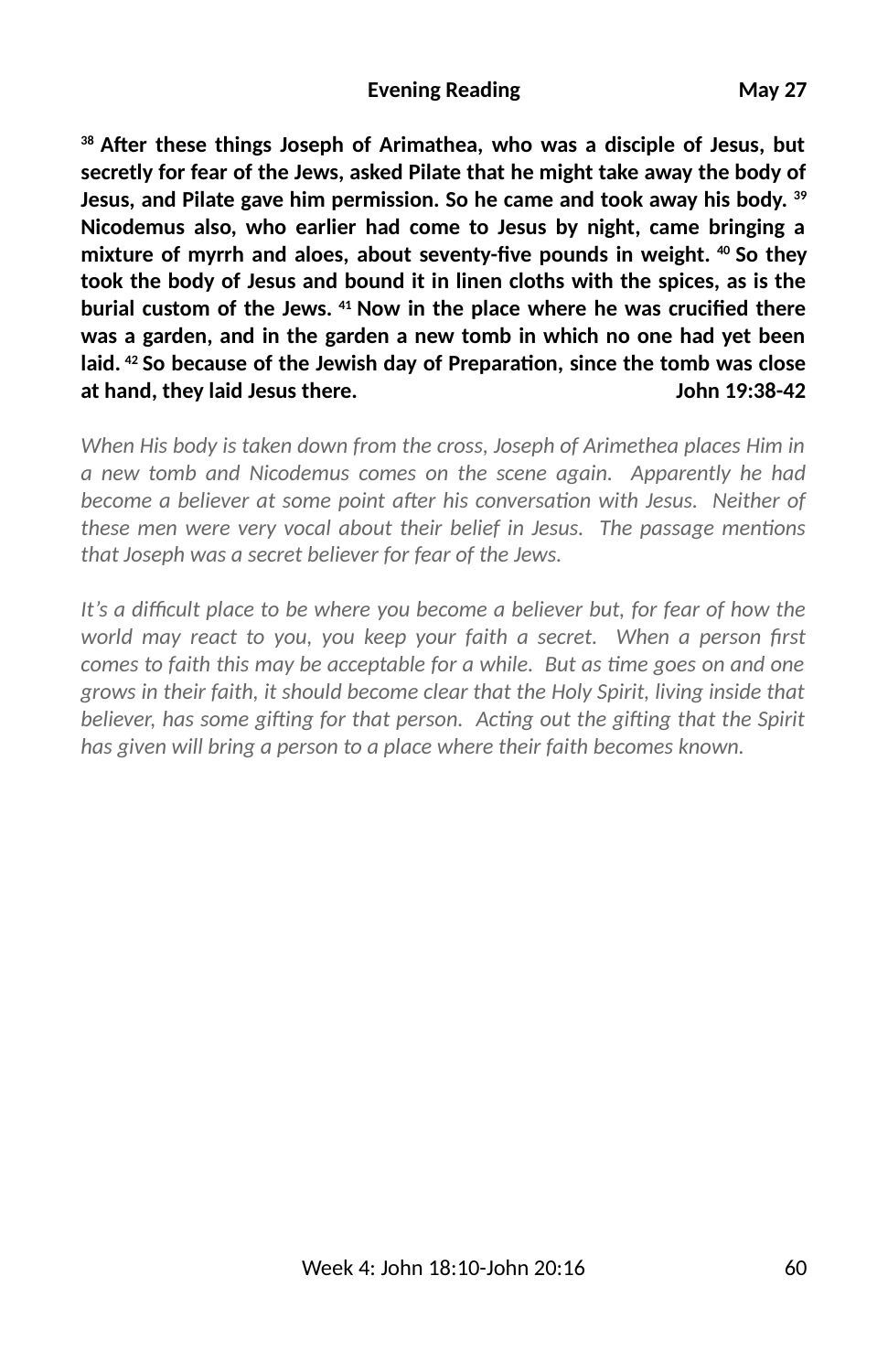**38 A6er these things Joseph of Arimathea, who was a disciple of Jesus, but secretly for fear of the Jews, asked Pilate that he might take away the body of Jesus, and Pilate gave him permission. So he came and took away his body. 39 Nicodemus also, who earlier had come to Jesus by night, came bringing a** mixture of myrrh and aloes, about seventy-five pounds in weight. <sup>40</sup> So they **took the body of Jesus and bound it in linen cloths with the spices, as is the** burial custom of the Jews. <sup>41</sup> Now in the place where he was crucified there **was a garden, and in the garden a new tomb in which no one had yet been** laid. <sup>42</sup> So because of the Jewish day of Preparation, since the tomb was close **at hand, they laid Jesus there. John 19:38-42**

*When His body is taken down from the cross, Joseph of Arimethea places Him in a new tomb and Nicodemus comes on the scene again. Apparently he had become a believer at some point after his conversation with Jesus. Neither of these men were very vocal about their belief in Jesus. The passage mentions that Joseph was a secret believer for fear of the Jews.*

It's a difficult place to be where you become a believer but, for fear of how the *world may react to you, you keep your faith a secret. When a person first comes to faith this may be acceptable for a while. But as time goes on and one grows in their faith, it should become clear that the Holy Spirit, living inside that believer, has some gifting for that person. Acting out the gifting that the Spirit has given will bring a person to a place where their faith becomes known.*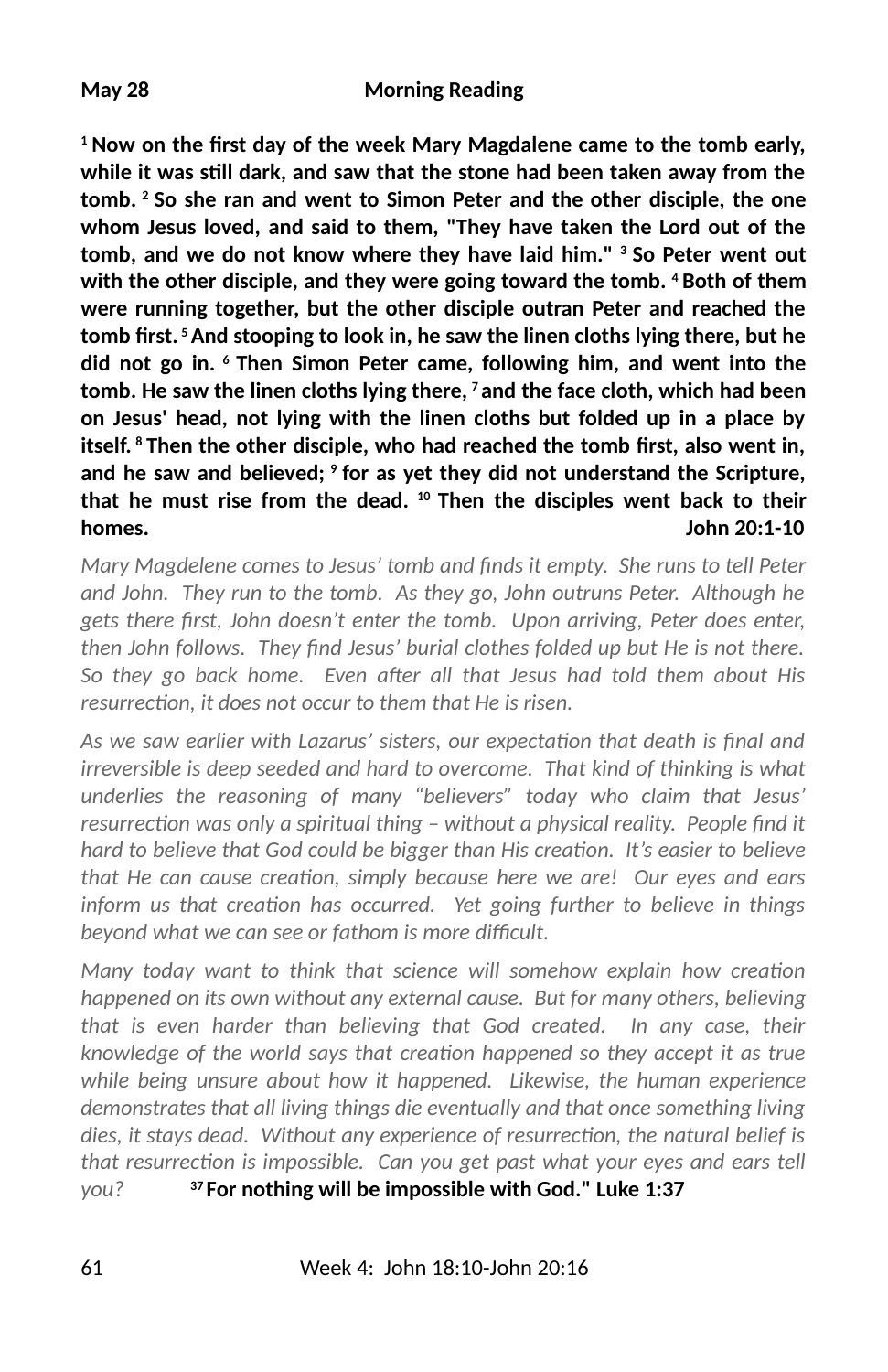<sup>1</sup> Now on the first day of the week Mary Magdalene came to the tomb early, **while it was sll dark, and saw that the stone had been taken away from the tomb. 2 So she ran and went to Simon Peter and the other disciple, the one whom Jesus loved, and said to them, "They have taken the Lord out of the tomb, and we do not know where they have laid him." 3 So Peter went out with the other disciple, and they were going toward the tomb. 4 Both of them were running together, but the other disciple outran Peter and reached the tomb 2rst. 5 And stooping to look in, he saw the linen cloths lying there, but he did not go in. 6 Then Simon Peter came, following him, and went into the tomb. He saw the linen cloths lying there, 7 and the face cloth, which had been on Jesus' head, not lying with the linen cloths but folded up in a place by** itself. <sup>8</sup> Then the other disciple, who had reached the tomb first, also went in, **and he saw and believed; 9 for as yet they did not understand the Scripture, that he must rise from the dead. 10 Then the disciples went back to their homes. John 20:1-10**

*Mary Magdelene comes to Jesus' tomb and finds it empty. She runs to tell Peter and John. They run to the tomb. As they go, John outruns Peter. Although he* gets there first, John doesn't enter the tomb. Upon arriving, Peter does enter, then John follows. They find Jesus' burial clothes folded up but He is not there. So they go back home. Even after all that Jesus had told them about His resurrection, it does not occur to them that He is risen.

As we saw earlier with Lazarus' sisters, our expectation that death is final and *irreversible is deep seeded and hard to overcome. That kind of thinking is what underlies the reasoning of many "believers" today who claim that Jesus' resurrection was only a spiritual thing - without a physical reality. People find it hard to believe that God could be bigger than His creation. It's easier to believe that He can cause creation, simply because here we are! Our eyes and ears inform us that creation has occurred. Yet going further to believe in things* beyond what we can see or fathom is more difficult.

*Many today want to think that science will somehow explain how creation happened on its own without any external cause. But for many others, believing that is even harder than believing that God created. In any case, their knowledge of the world says that creation happened so they accept it as true while being unsure about how it happened. Likewise, the human experience demonstrates that all living things die eventually and that once something living dies, it stays dead. Without any experience of resurrection, the natural belief is that resurrection is impossible. Can you get past what your eyes and ears tell you?* **37 For nothing will be impossible with God." Luke 1:37**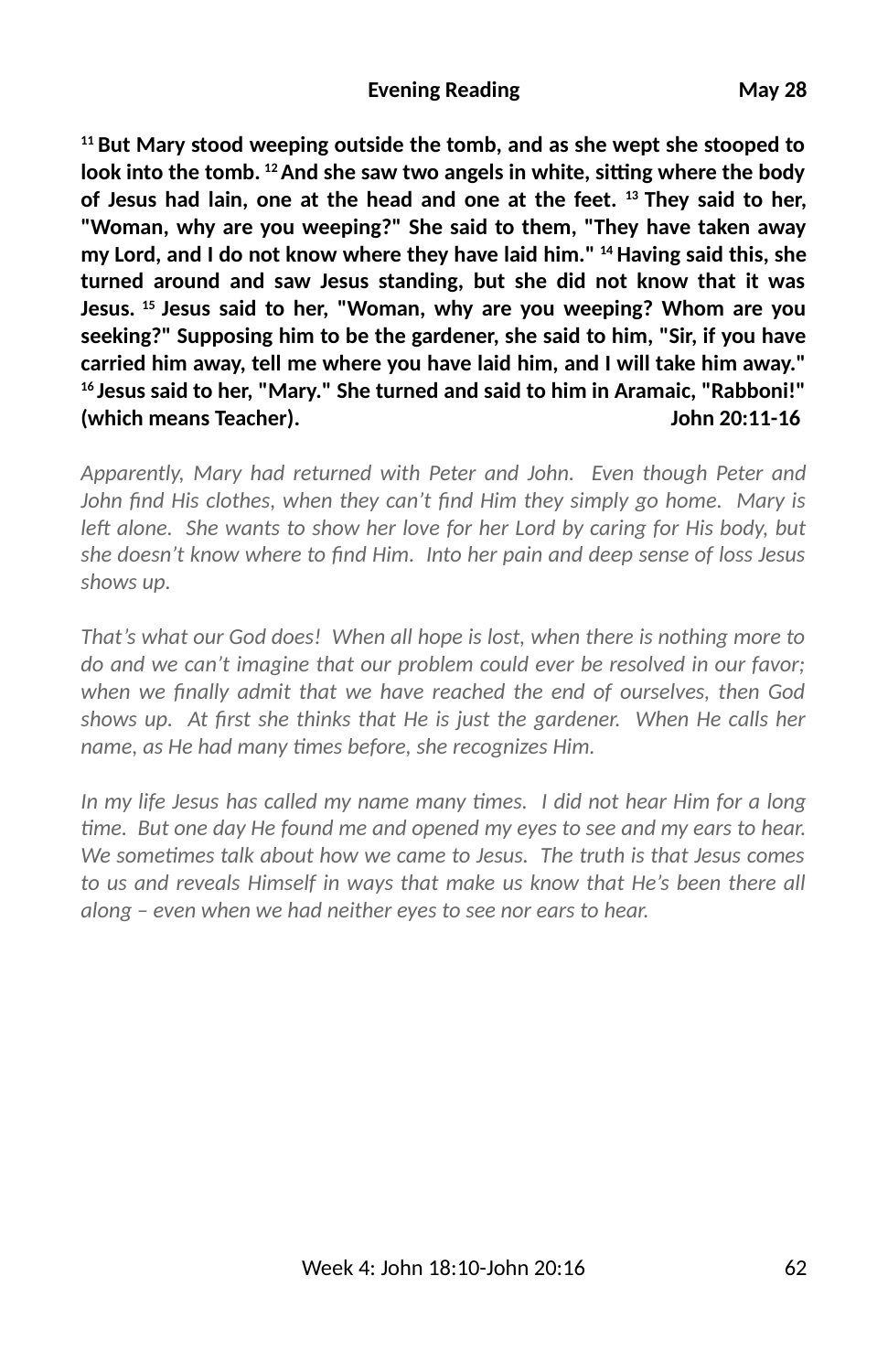**11 But Mary stood weeping outside the tomb, and as she wept she stooped to** look into the tomb. <sup>12</sup> And she saw two angels in white, sitting where the body **of Jesus had lain, one at the head and one at the feet. 13 They said to her, "Woman, why are you weeping?" She said to them, "They have taken away my Lord, and I do not know where they have laid him." 14 Having said this, she turned around and saw Jesus standing, but she did not know that it was Jesus. 15 Jesus said to her, "Woman, why are you weeping? Whom are you seeking?" Supposing him to be the gardener, she said to him, "Sir, if you have carried him away, tell me where you have laid him, and I will take him away." 16 Jesus said to her, "Mary." She turned and said to him in Aramaic, "Rabboni!" (which means Teacher). John 20:11-16**

*Apparently, Mary had returned with Peter and John. Even though Peter and John 3nd His clothes, when they can't 3nd Him they simply go home. Mary is* left alone. She wants to show her love for her Lord by caring for His body, but *she doesn't know where to 3nd Him. Into her pain and deep sense of loss Jesus shows up.* 

*That's what our God does! When all hope is lost, when there is nothing more to do and we can't imagine that our problem could ever be resolved in our favor; when we 3nally admit that we have reached the end of ourselves, then God* shows up. At first she thinks that He is just the gardener. When He calls her *name, as He had many times before, she recognizes Him.* 

In my life Jesus has called my name many times. I did not hear Him for a long *me. But one day He found me and opened my eyes to see and my ears to hear. We sometimes talk about how we came to Jesus. The truth is that Jesus comes to us and reveals Himself in ways that make us know that He's been there all along – even when we had neither eyes to see nor ears to hear.*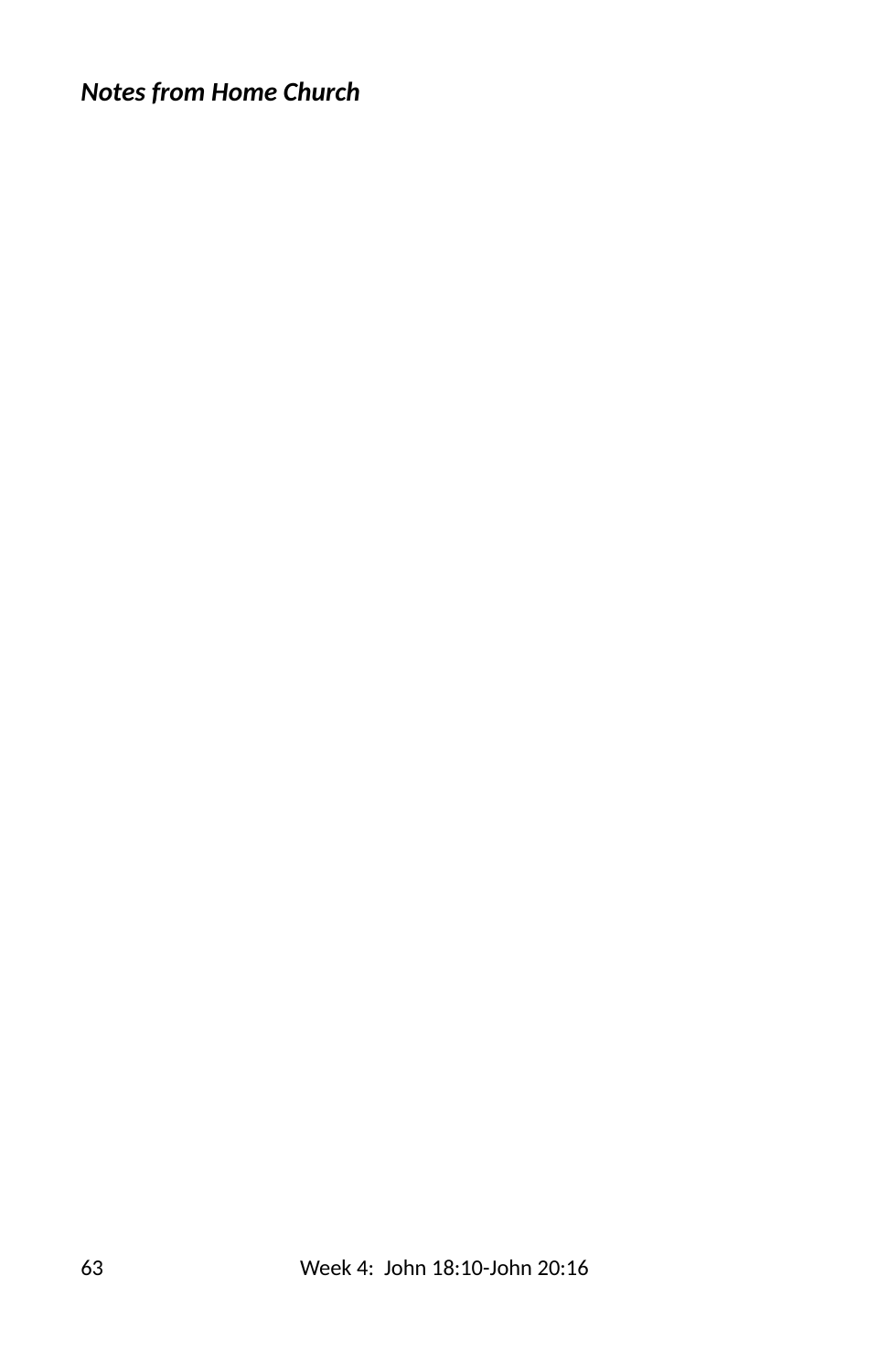# *Notes from Home Church*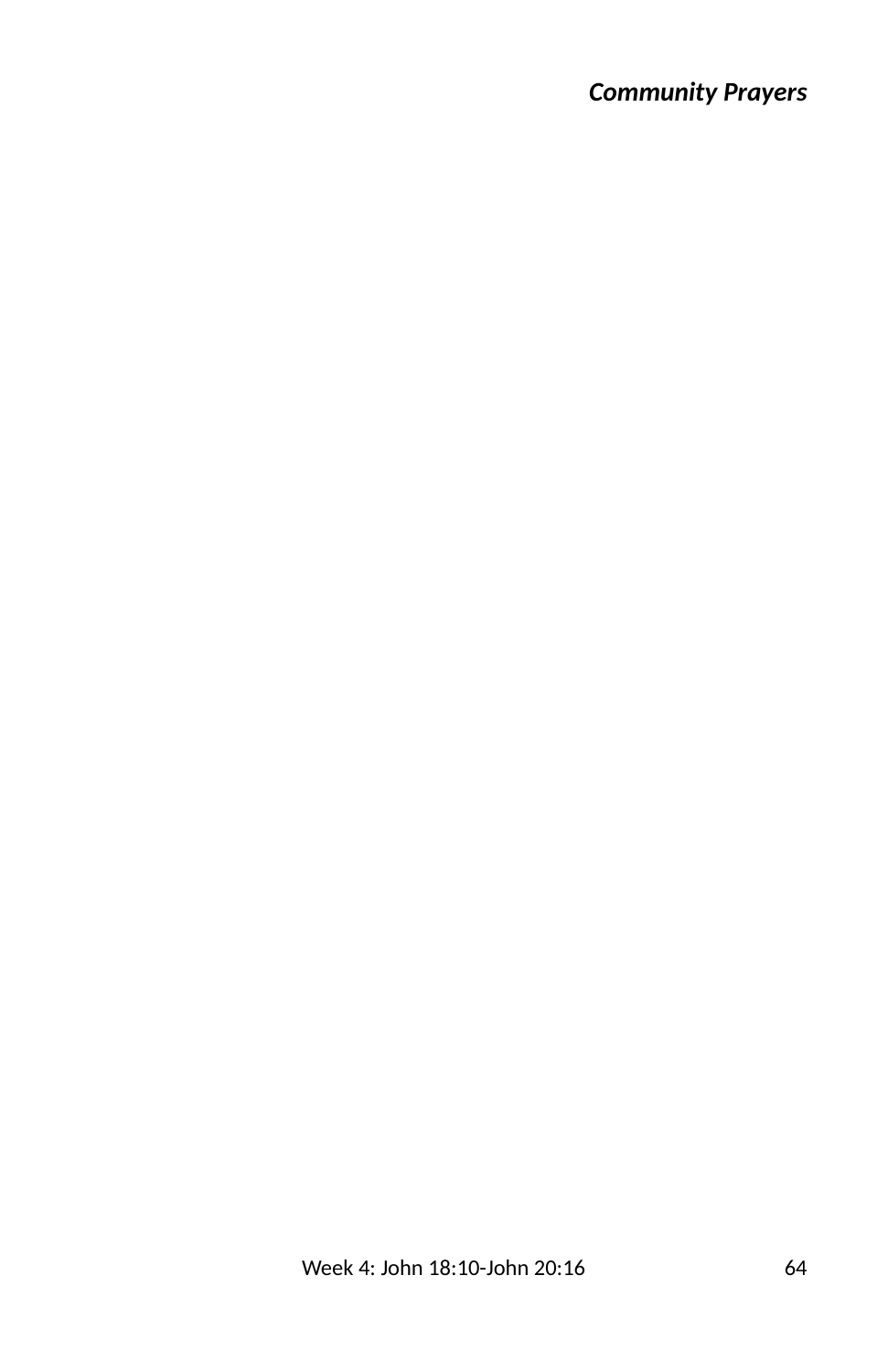## *Community Prayers*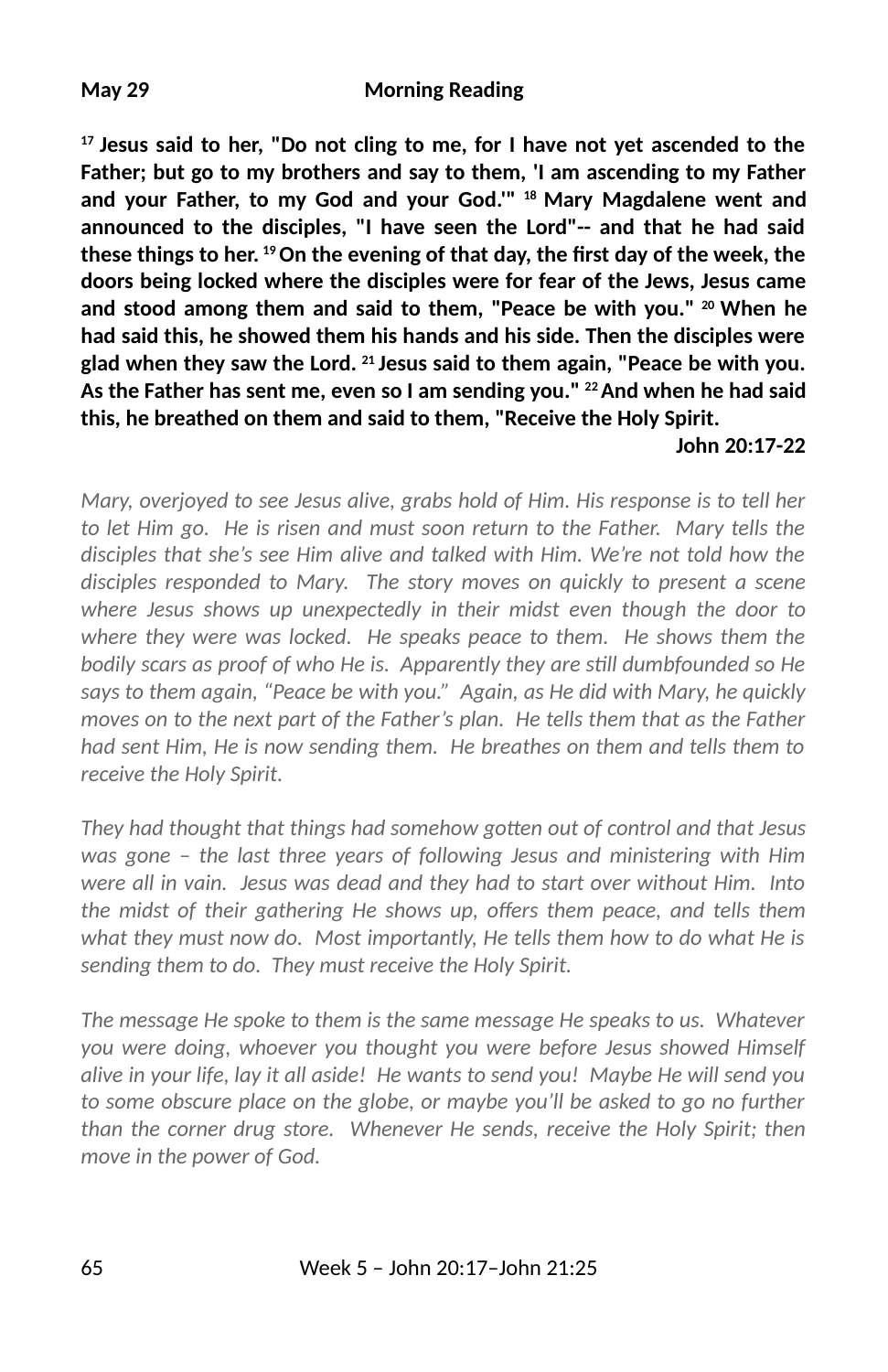**17 Jesus said to her, "Do not cling to me, for I have not yet ascended to the Father; but go to my brothers and say to them, 'I am ascending to my Father and your Father, to my God and your God.'" 18 Mary Magdalene went and announced to the disciples, "I have seen the Lord"-- and that he had said these things to her. 19 On the evening of that day, the 2rst day of the week, the doors being locked where the disciples were for fear of the Jews, Jesus came and stood among them and said to them, "Peace be with you." 20 When he had said this, he showed them his hands and his side. Then the disciples were glad when they saw the Lord. 21 Jesus said to them again, "Peace be with you. As the Father has sent me, even so I am sending you." 22 And when he had said this, he breathed on them and said to them, "Receive the Holy Spirit.** 

#### **John 20:17-22**

*Mary, overjoyed to see Jesus alive, grabs hold of Him. His response is to tell her to let Him go. He is risen and must soon return to the Father. Mary tells the disciples that she's see Him alive and talked with Him. We're not told how the disciples responded to Mary. The story moves on quickly to present a scene where Jesus shows up unexpectedly in their midst even though the door to where they were was locked. He speaks peace to them. He shows them the bodily scars as proof of who He is. Apparently they are sll dumbfounded so He says to them again, "Peace be with you." Again, as He did with Mary, he quickly moves on to the next part of the Father's plan. He tells them that as the Father had sent Him, He is now sending them. He breathes on them and tells them to receive the Holy Spirit.*

*They had thought that things had somehow gotten out of control and that Jesus was gone – the last three years of following Jesus and ministering with Him were all in vain. Jesus was dead and they had to start over without Him. Into the midst of their gathering He shows up, offers them peace, and tells them what they must now do. Most importantly, He tells them how to do what He is sending them to do. They must receive the Holy Spirit.*

*The message He spoke to them is the same message He speaks to us. Whatever you were doing, whoever you thought you were before Jesus showed Himself alive in your life, lay it all aside! He wants to send you! Maybe He will send you to some obscure place on the globe, or maybe you'll be asked to go no further than the corner drug store. Whenever He sends, receive the Holy Spirit; then move in the power of God.*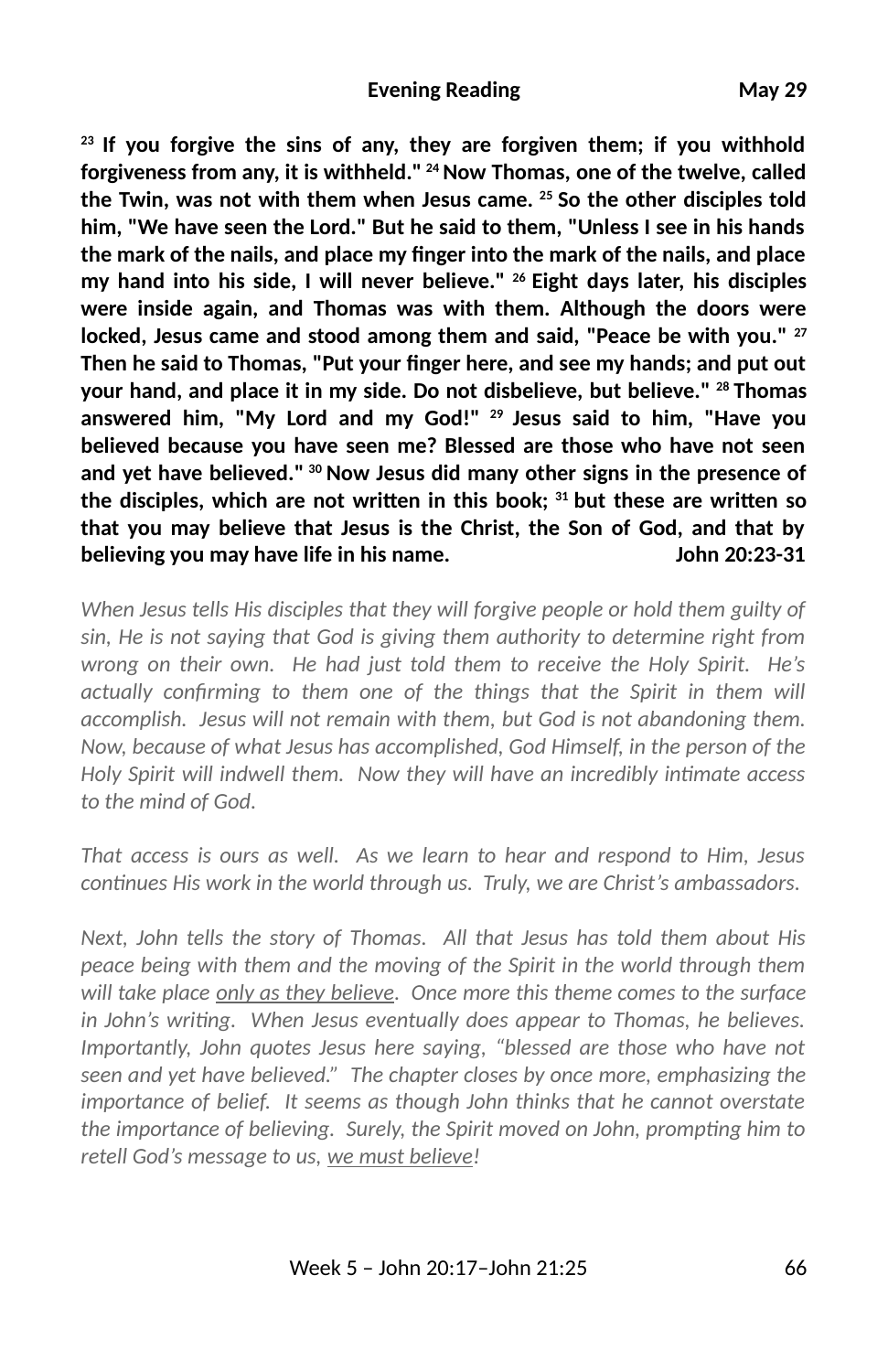**23 If you forgive the sins of any, they are forgiven them; if you withhold forgiveness from any, it is withheld." 24 Now Thomas, one of the twelve, called the Twin, was not with them when Jesus came. 25 So the other disciples told him, "We have seen the Lord." But he said to them, "Unless I see in his hands the mark of the nails, and place my 2nger into the mark of the nails, and place my hand into his side, I will never believe." 26 Eight days later, his disciples were inside again, and Thomas was with them. Although the doors were** locked, Jesus came and stood among them and said, "Peace be with you." <sup>27</sup> Then he said to Thomas, "Put your finger here, and see my hands; and put out **your hand, and place it in my side. Do not disbelieve, but believe." 28 Thomas answered him, "My Lord and my God!" 29 Jesus said to him, "Have you believed because you have seen me? Blessed are those who have not seen and yet have believed." 30 Now Jesus did many other signs in the presence of** the disciples, which are not written in this book; <sup>31</sup> but these are written so **that you may believe that Jesus is the Christ, the Son of God, and that by believing you may have life in his name. John 20:23-31**

*When Jesus tells His disciples that they will forgive people or hold them guilty of sin, He is not saying that God is giving them authority to determine right from wrong on their own. He had just told them to receive the Holy Spirit. He's actually confirming to them one of the things that the Spirit in them will accomplish. Jesus will not remain with them, but God is not abandoning them. Now, because of what Jesus has accomplished, God Himself, in the person of the Holy Spirit will indwell them. Now they will have an incredibly intimate access to the mind of God.* 

*That access is ours as well. As we learn to hear and respond to Him, Jesus* continues His work in the world through us. Truly, we are Christ's ambassadors.

*Next, John tells the story of Thomas. All that Jesus has told them about His peace being with them and the moving of the Spirit in the world through them will take place only as they believe. Once more this theme comes to the surface in John's writing. When Jesus eventually does appear to Thomas, he believes. Importantly, John quotes Jesus here saying, "blessed are those who have not seen and yet have believed." The chapter closes by once more, emphasizing the importance of belief. It seems as though John thinks that he cannot overstate the importance of believing. Surely, the Spirit moved on John, prompting him to retell God's message to us, we must believe!*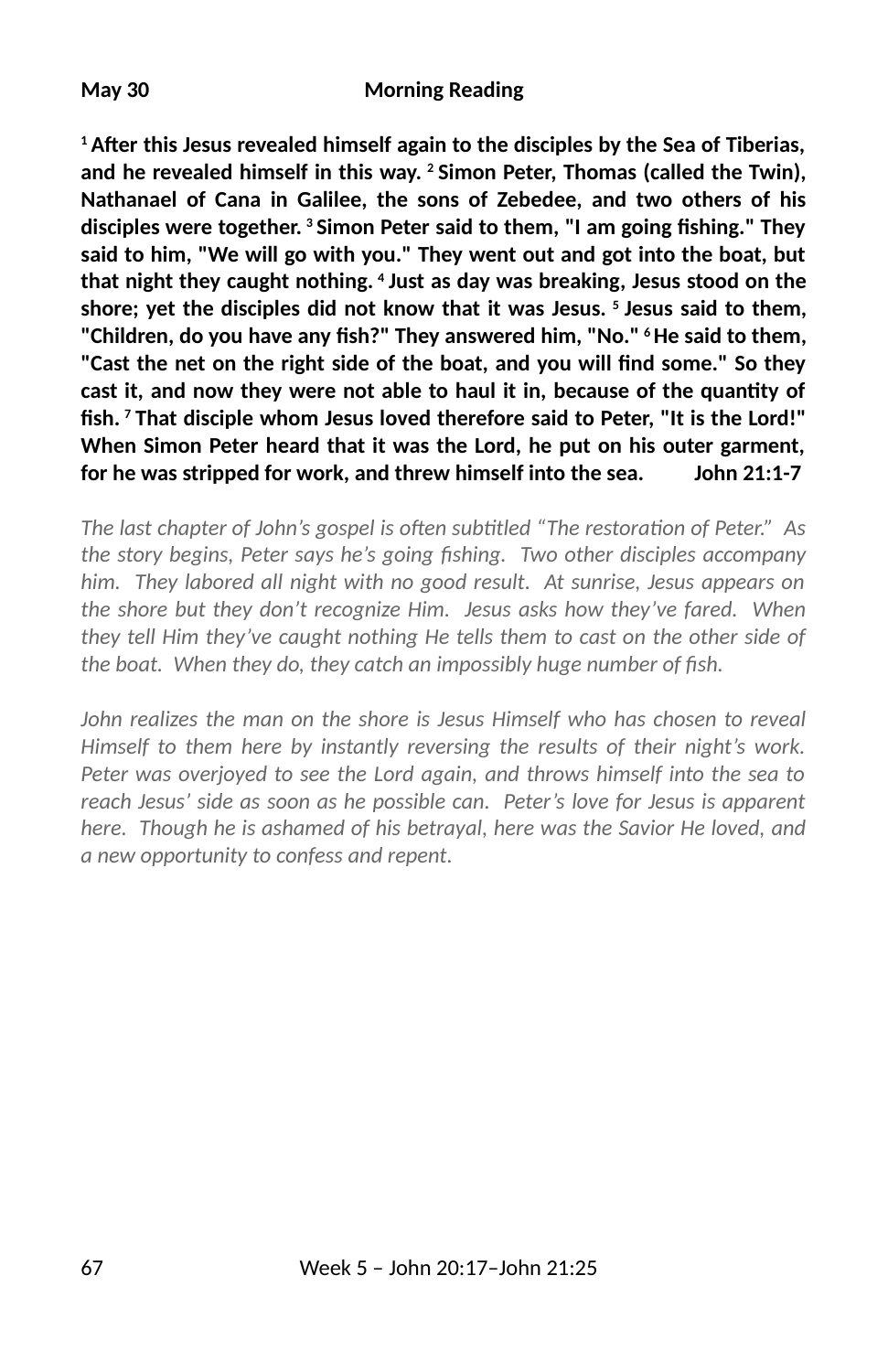**1 A6er this Jesus revealed himself again to the disciples by the Sea of Tiberias, and he revealed himself in this way. 2 Simon Peter, Thomas (called the Twin), Nathanael of Cana in Galilee, the sons of Zebedee, and two others of his** disciples were together. <sup>3</sup> Simon Peter said to them, "I am going fishing." They **said to him, "We will go with you." They went out and got into the boat, but that night they caught nothing. 4 Just as day was breaking, Jesus stood on the shore; yet the disciples did not know that it was Jesus. 5 Jesus said to them,** "Children, do you have any fish?" They answered him, "No." <sup>6</sup> He said to them, "Cast the net on the right side of the boat, and you will find some." So they **cast it, and now they were not able to haul it in, because of the quanty of 2sh. 7 That disciple whom Jesus loved therefore said to Peter, "It is the Lord!" When Simon Peter heard that it was the Lord, he put on his outer garment, for he was stripped for work, and threw himself into the sea. John 21:1-7**

*The last chapter of John's gospel is often subtitled "The restoration of Peter." As the story begins, Peter says he's going 3shing. Two other disciples accompany him. They labored all night with no good result. At sunrise, Jesus appears on the shore but they don't recognize Him. Jesus asks how they've fared. When they tell Him they've caught nothing He tells them to cast on the other side of* the boat. When they do, they catch an impossibly huge number of fish.

*John realizes the man on the shore is Jesus Himself who has chosen to reveal Himself to them here by instantly reversing the results of their night's work. Peter was overjoyed to see the Lord again, and throws himself into the sea to reach Jesus' side as soon as he possible can. Peter's love for Jesus is apparent here. Though he is ashamed of his betrayal, here was the Savior He loved, and a new opportunity to confess and repent.*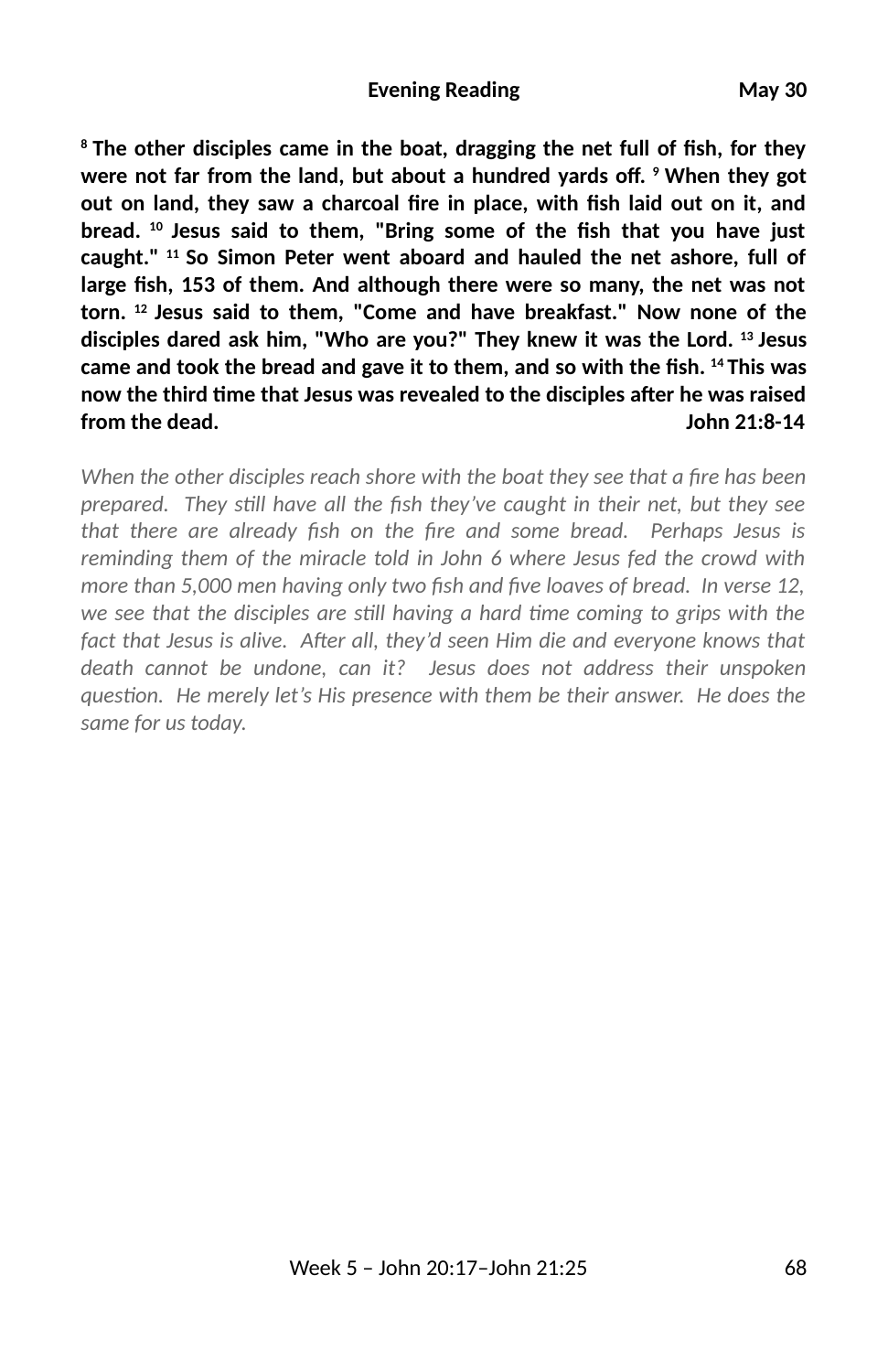<sup>8</sup> The other disciples came in the boat, dragging the net full of fish, for they were not far from the land, but about a hundred yards off. <sup>9</sup> When they got out on land, they saw a charcoal fire in place, with fish laid out on it, and bread. <sup>10</sup> Jesus said to them, "Bring some of the fish that you have just **caught." 11 So Simon Peter went aboard and hauled the net ashore, full of** large fish, 153 of them. And although there were so many, the net was not **torn. 12 Jesus said to them, "Come and have breakfast." Now none of the disciples dared ask him, "Who are you?" They knew it was the Lord. 13 Jesus** came and took the bread and gave it to them, and so with the fish. <sup>14</sup> This was **now the third me that Jesus was revealed to the disciples a6er he was raised from the dead. John 21:8-14**

*When the other disciples reach shore with the boat they see that a fire has been prepared. They sll have all the 3sh they've caught in their net, but they see* that there are already fish on the fire and some bread. Perhaps Jesus is *reminding them of the miracle told in John 6 where Jesus fed the crowd with more than 5,000 men having only two fish and five loaves of bread. In verse 12,* we see that the disciples are still having a hard time coming to grips with the fact that Jesus is alive. After all, they'd seen Him die and everyone knows that *death cannot be undone, can it? Jesus does not address their unspoken* question. He merely let's His presence with them be their answer. He does the *same for us today.*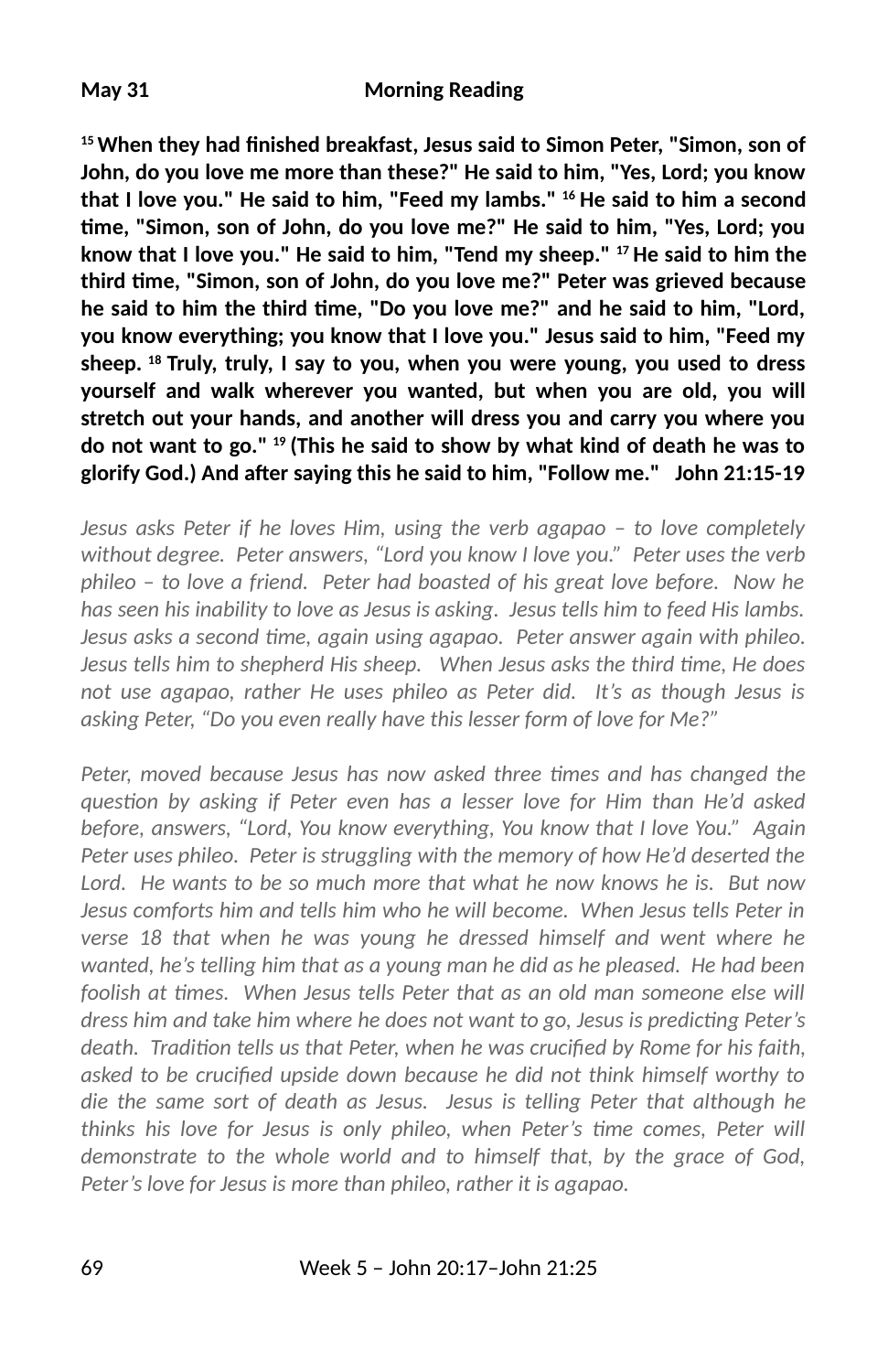## **May 31 Morning Reading**

<sup>15</sup> When they had finished breakfast, Jesus said to Simon Peter, "Simon, son of **John, do you love me more than these?" He said to him, "Yes, Lord; you know that I love you." He said to him, "Feed my lambs." 16 He said to him a second me, "Simon, son of John, do you love me?" He said to him, "Yes, Lord; you know that I love you." He said to him, "Tend my sheep." 17 He said to him the third me, "Simon, son of John, do you love me?" Peter was grieved because he said to him the third me, "Do you love me?" and he said to him, "Lord, you know everything; you know that I love you." Jesus said to him, "Feed my sheep. 18 Truly, truly, I say to you, when you were young, you used to dress yourself and walk wherever you wanted, but when you are old, you will stretch out your hands, and another will dress you and carry you where you do not want to go." 19 (This he said to show by what kind of death he was to glorify God.) And a6er saying this he said to him, "Follow me." John 21:15-19**

*Jesus asks Peter if he loves Him, using the verb agapao – to love completely without degree. Peter answers, "Lord you know I love you." Peter uses the verb phileo – to love a friend. Peter had boasted of his great love before. Now he has seen his inability to love as Jesus is asking. Jesus tells him to feed His lambs. Jesus asks a second me, again using agapao. Peter answer again with phileo. Jesus tells him to shepherd His sheep. When Jesus asks the third me, He does not use agapao, rather He uses phileo as Peter did. It's as though Jesus is asking Peter, "Do you even really have this lesser form of love for Me?"* 

*Peter, moved because Jesus has now asked three times and has changed the question by asking if Peter even has a lesser love for Him than He'd asked before, answers, "Lord, You know everything, You know that I love You." Again Peter uses phileo. Peter is struggling with the memory of how He'd deserted the Lord. He wants to be so much more that what he now knows he is. But now Jesus comforts him and tells him who he will become. When Jesus tells Peter in verse 18 that when he was young he dressed himself and went where he wanted, he's telling him that as a young man he did as he pleased. He had been* foolish at times. When Jesus tells Peter that as an old man someone else will *dress him and take him where he does not want to go, Jesus is predicting Peter's* death. Tradition tells us that Peter, when he was crucified by Rome for his faith, asked to be crucified upside down because he did not think himself worthy to *die the same sort of death as Jesus. Jesus is telling Peter that although he thinks his love for Jesus is only phileo, when Peter's time comes, Peter will demonstrate to the whole world and to himself that, by the grace of God, Peter's love for Jesus is more than phileo, rather it is agapao.*